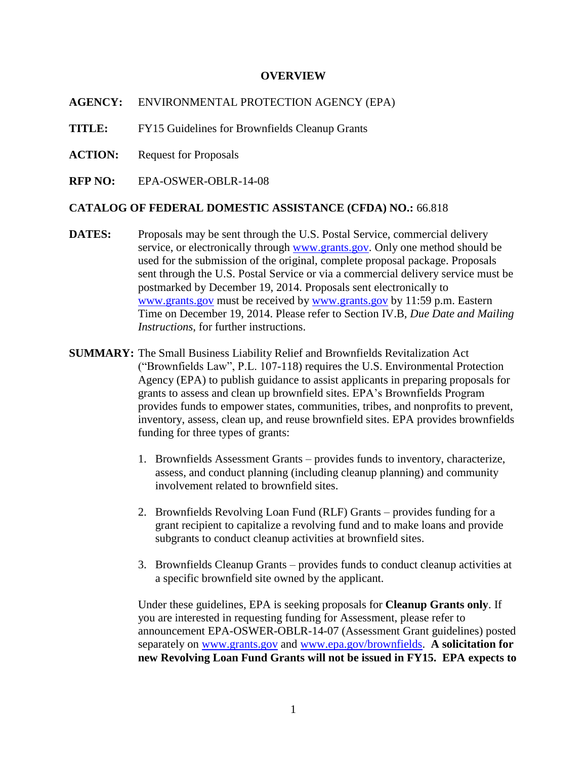#### **OVERVIEW**

**AGENCY:** ENVIRONMENTAL PROTECTION AGENCY (EPA)

**TITLE:** FY15 Guidelines for Brownfields Cleanup Grants

**ACTION:** Request for Proposals

**RFP NO:** EPA-OSWER-OBLR-14-08

#### **CATALOG OF FEDERAL DOMESTIC ASSISTANCE (CFDA) NO.:** 66.818

- **DATES:** Proposals may be sent through the U.S. Postal Service, commercial delivery service, or electronically through [www.grants.gov.](http://www.grants.gov/) Only one method should be used for the submission of the original, complete proposal package. Proposals sent through the U.S. Postal Service or via a commercial delivery service must be postmarked by December 19, 2014. Proposals sent electronically to [www.grants.gov](http://www.grants.gov/) must be received by [www.grants.gov](http://www.grants.gov/) by 11:59 p.m. Eastern Time on December 19, 2014. Please refer to Section IV.B, *Due Date and Mailing Instructions*, for further instructions.
- **SUMMARY:** The Small Business Liability Relief and Brownfields Revitalization Act ("Brownfields Law", P.L. 107-118) requires the U.S. Environmental Protection Agency (EPA) to publish guidance to assist applicants in preparing proposals for grants to assess and clean up brownfield sites. EPA's Brownfields Program provides funds to empower states, communities, tribes, and nonprofits to prevent, inventory, assess, clean up, and reuse brownfield sites. EPA provides brownfields funding for three types of grants:
	- 1. Brownfields Assessment Grants provides funds to inventory, characterize, assess, and conduct planning (including cleanup planning) and community involvement related to brownfield sites.
	- 2. Brownfields Revolving Loan Fund (RLF) Grants provides funding for a grant recipient to capitalize a revolving fund and to make loans and provide subgrants to conduct cleanup activities at brownfield sites.
	- 3. Brownfields Cleanup Grants provides funds to conduct cleanup activities at a specific brownfield site owned by the applicant.

Under these guidelines, EPA is seeking proposals for **Cleanup Grants only**. If you are interested in requesting funding for Assessment, please refer to announcement EPA-OSWER-OBLR-14-07 (Assessment Grant guidelines) posted separately on [www.grants.gov](http://www.grants.gov/) and [www.epa.gov/brownfields.](http://www.epa.gov/brownfields) **A solicitation for new Revolving Loan Fund Grants will not be issued in FY15. EPA expects to**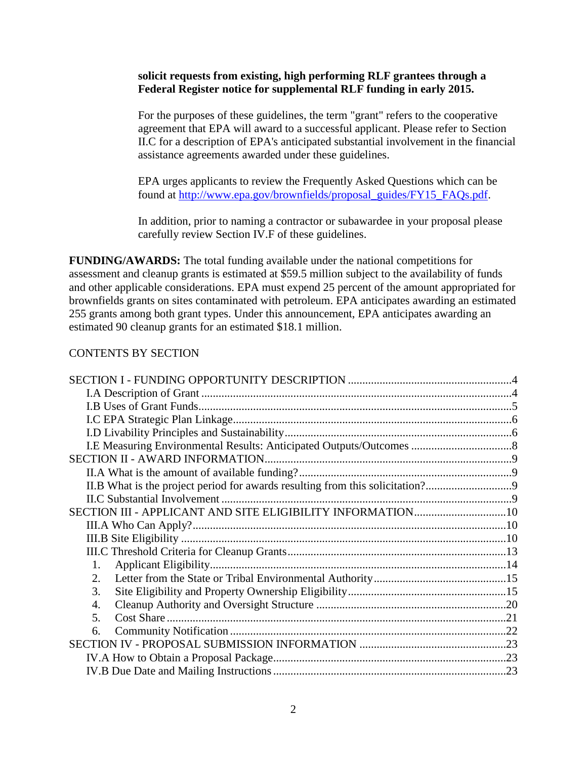#### **solicit requests from existing, high performing RLF grantees through a Federal Register notice for supplemental RLF funding in early 2015.**

For the purposes of these guidelines, the term "grant" refers to the cooperative agreement that EPA will award to a successful applicant. Please refer to Section II.C for a description of EPA's anticipated substantial involvement in the financial assistance agreements awarded under these guidelines.

EPA urges applicants to review the Frequently Asked Questions which can be found at [http://www.epa.gov/brownfields/proposal\\_guides/FY15\\_FAQs.pdf.](http://www.epa.gov/brownfields/proposal_guides/FY15_FAQs.pdf)

In addition, prior to naming a contractor or subawardee in your proposal please carefully review Section IV.F of these guidelines.

**FUNDING/AWARDS:** The total funding available under the national competitions for assessment and cleanup grants is estimated at \$59.5 million subject to the availability of funds and other applicable considerations. EPA must expend 25 percent of the amount appropriated for brownfields grants on sites contaminated with petroleum. EPA anticipates awarding an estimated 255 grants among both grant types. Under this announcement, EPA anticipates awarding an estimated 90 cleanup grants for an estimated \$18.1 million.

#### CONTENTS BY SECTION

| II.B What is the project period for awards resulting from this solicitation? |  |
|------------------------------------------------------------------------------|--|
|                                                                              |  |
|                                                                              |  |
|                                                                              |  |
|                                                                              |  |
|                                                                              |  |
| 1.                                                                           |  |
| 2.                                                                           |  |
| 3.                                                                           |  |
| 4.                                                                           |  |
| 5 <sub>1</sub>                                                               |  |
| 6.                                                                           |  |
|                                                                              |  |
|                                                                              |  |
|                                                                              |  |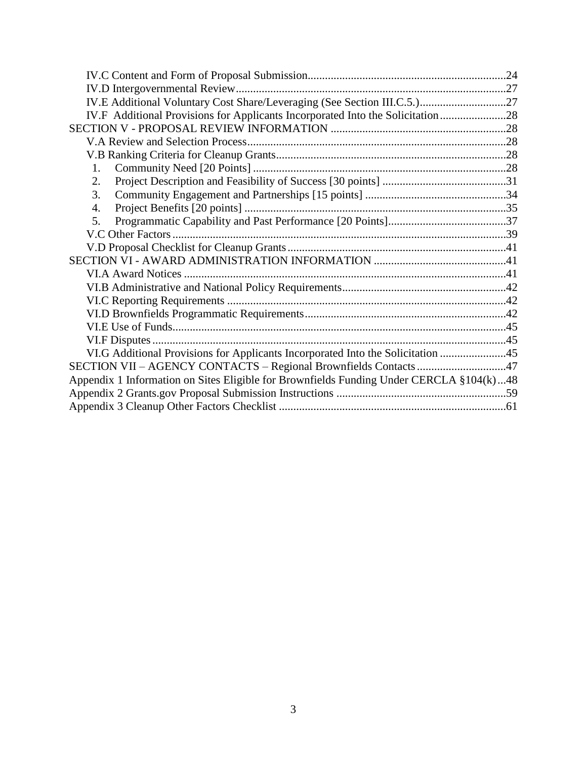| IV.E Additional Voluntary Cost Share/Leveraging (See Section III.C.5.)27                |  |
|-----------------------------------------------------------------------------------------|--|
| IV.F Additional Provisions for Applicants Incorporated Into the Solicitation28          |  |
|                                                                                         |  |
|                                                                                         |  |
|                                                                                         |  |
| $1_{-}$                                                                                 |  |
| 2.                                                                                      |  |
| 3.                                                                                      |  |
| 4.                                                                                      |  |
| 5.                                                                                      |  |
|                                                                                         |  |
|                                                                                         |  |
|                                                                                         |  |
|                                                                                         |  |
|                                                                                         |  |
|                                                                                         |  |
|                                                                                         |  |
|                                                                                         |  |
|                                                                                         |  |
| VI.G Additional Provisions for Applicants Incorporated Into the Solicitation 45         |  |
| SECTION VII - AGENCY CONTACTS - Regional Brownfields Contacts 47                        |  |
| Appendix 1 Information on Sites Eligible for Brownfields Funding Under CERCLA §104(k)48 |  |
|                                                                                         |  |
|                                                                                         |  |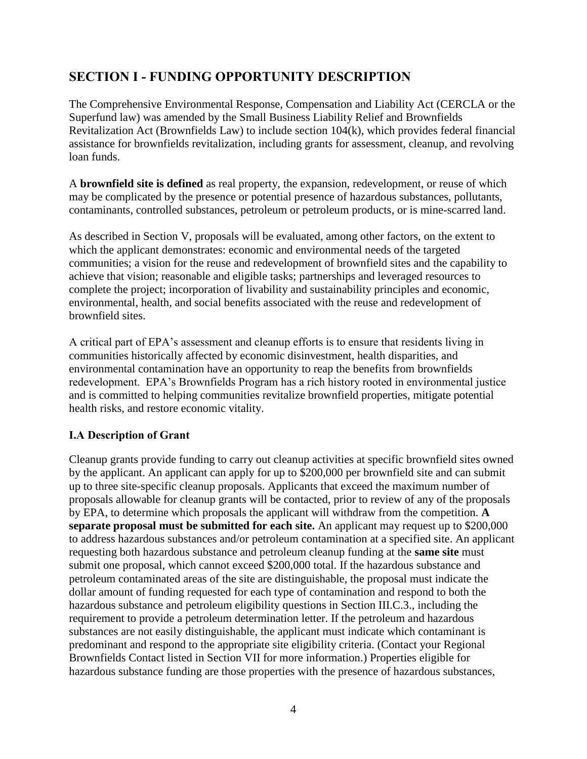# <span id="page-3-0"></span>**SECTION I - FUNDING OPPORTUNITY DESCRIPTION**

The Comprehensive Environmental Response, Compensation and Liability Act (CERCLA or the Superfund law) was amended by the Small Business Liability Relief and Brownfields Revitalization Act (Brownfields Law) to include section 104(k), which provides federal financial assistance for brownfields revitalization, including grants for assessment, cleanup, and revolving loan funds.

A **brownfield site is defined** as real property, the expansion, redevelopment, or reuse of which may be complicated by the presence or potential presence of hazardous substances, pollutants, contaminants, controlled substances, petroleum or petroleum products, or is mine-scarred land.

As described in Section V, proposals will be evaluated, among other factors, on the extent to which the applicant demonstrates: economic and environmental needs of the targeted communities; a vision for the reuse and redevelopment of brownfield sites and the capability to achieve that vision; reasonable and eligible tasks; partnerships and leveraged resources to complete the project; incorporation of livability and sustainability principles and economic, environmental, health, and social benefits associated with the reuse and redevelopment of brownfield sites.

A critical part of EPA's assessment and cleanup efforts is to ensure that residents living in communities historically affected by economic disinvestment, health disparities, and environmental contamination have an opportunity to reap the benefits from brownfields redevelopment. EPA's Brownfields Program has a rich history rooted in environmental justice and is committed to helping communities revitalize brownfield properties, mitigate potential health risks, and restore economic vitality.

## <span id="page-3-1"></span>**I.A Description of Grant**

Cleanup grants provide funding to carry out cleanup activities at specific brownfield sites owned by the applicant. An applicant can apply for up to \$200,000 per brownfield site and can submit up to three site-specific cleanup proposals. Applicants that exceed the maximum number of proposals allowable for cleanup grants will be contacted, prior to review of any of the proposals by EPA, to determine which proposals the applicant will withdraw from the competition. **A separate proposal must be submitted for each site.** An applicant may request up to \$200,000 to address hazardous substances and/or petroleum contamination at a specified site. An applicant requesting both hazardous substance and petroleum cleanup funding at the **same site** must submit one proposal, which cannot exceed \$200,000 total. If the hazardous substance and petroleum contaminated areas of the site are distinguishable, the proposal must indicate the dollar amount of funding requested for each type of contamination and respond to both the hazardous substance and petroleum eligibility questions in Section III.C.3., including the requirement to provide a petroleum determination letter. If the petroleum and hazardous substances are not easily distinguishable, the applicant must indicate which contaminant is predominant and respond to the appropriate site eligibility criteria. (Contact your Regional Brownfields Contact listed in Section VII for more information.) Properties eligible for hazardous substance funding are those properties with the presence of hazardous substances,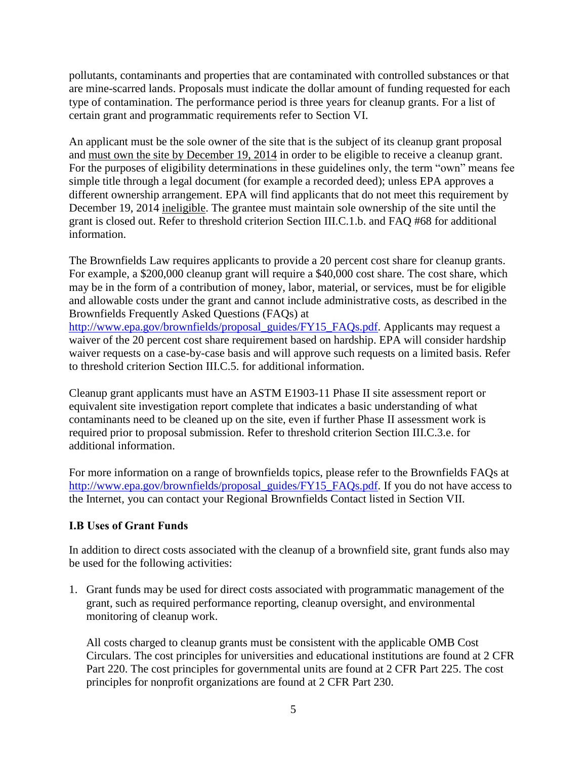pollutants, contaminants and properties that are contaminated with controlled substances or that are mine-scarred lands. Proposals must indicate the dollar amount of funding requested for each type of contamination. The performance period is three years for cleanup grants. For a list of certain grant and programmatic requirements refer to Section VI.

An applicant must be the sole owner of the site that is the subject of its cleanup grant proposal and must own the site by December 19, 2014 in order to be eligible to receive a cleanup grant. For the purposes of eligibility determinations in these guidelines only, the term "own" means fee simple title through a legal document (for example a recorded deed); unless EPA approves a different ownership arrangement. EPA will find applicants that do not meet this requirement by December 19, 2014 ineligible. The grantee must maintain sole ownership of the site until the grant is closed out. Refer to threshold criterion Section III.C.1.b. and FAQ #68 for additional information.

The Brownfields Law requires applicants to provide a 20 percent cost share for cleanup grants. For example, a \$200,000 cleanup grant will require a \$40,000 cost share. The cost share, which may be in the form of a contribution of money, labor, material, or services, must be for eligible and allowable costs under the grant and cannot include administrative costs, as described in the Brownfields Frequently Asked Questions (FAQs) at

[http://www.epa.gov/brownfields/proposal\\_guides/FY15\\_FAQs.pdf.](http://www.epa.gov/brownfields/proposal_guides/FY15_FAQs.pdf) Applicants may request a waiver of the 20 percent cost share requirement based on hardship. EPA will consider hardship waiver requests on a case-by-case basis and will approve such requests on a limited basis. Refer to threshold criterion Section III.C.5. for additional information.

Cleanup grant applicants must have an ASTM E1903-11 Phase II site assessment report or equivalent site investigation report complete that indicates a basic understanding of what contaminants need to be cleaned up on the site, even if further Phase II assessment work is required prior to proposal submission. Refer to threshold criterion Section III.C.3.e. for additional information.

For more information on a range of brownfields topics, please refer to the Brownfields FAQs at [http://www.epa.gov/brownfields/proposal\\_guides/FY15\\_FAQs.pdf.](http://www.epa.gov/brownfields/proposal_guides/FY15_FAQs.pdf) If you do not have access to the Internet, you can contact your Regional Brownfields Contact listed in Section VII.

#### <span id="page-4-0"></span>**I.B Uses of Grant Funds**

In addition to direct costs associated with the cleanup of a brownfield site, grant funds also may be used for the following activities:

1. Grant funds may be used for direct costs associated with programmatic management of the grant, such as required performance reporting, cleanup oversight, and environmental monitoring of cleanup work.

All costs charged to cleanup grants must be consistent with the applicable OMB Cost Circulars. The cost principles for universities and educational institutions are found at 2 CFR Part 220. The cost principles for governmental units are found at 2 CFR Part 225. The cost principles for nonprofit organizations are found at 2 CFR Part 230.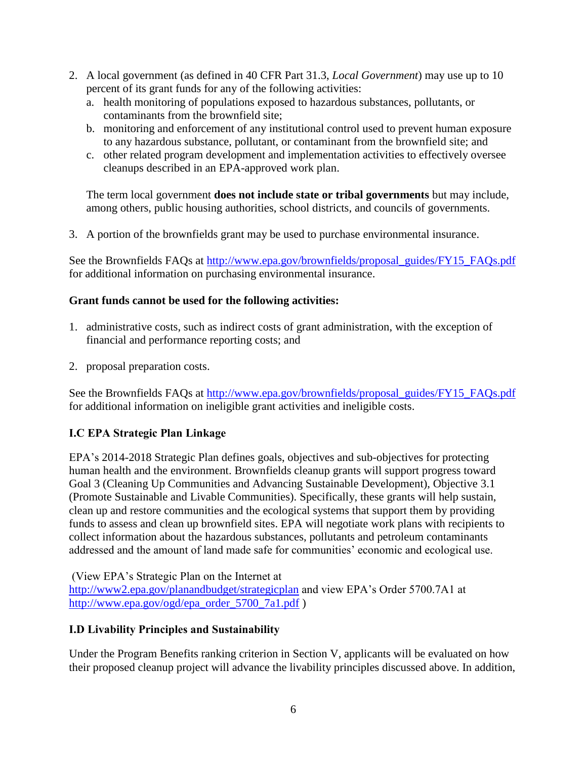- 2. A local government (as defined in 40 CFR Part 31.3, *Local Government*) may use up to 10 percent of its grant funds for any of the following activities:
	- a. health monitoring of populations exposed to hazardous substances, pollutants, or contaminants from the brownfield site;
	- b. monitoring and enforcement of any institutional control used to prevent human exposure to any hazardous substance, pollutant, or contaminant from the brownfield site; and
	- c. other related program development and implementation activities to effectively oversee cleanups described in an EPA-approved work plan.

The term local government **does not include state or tribal governments** but may include, among others, public housing authorities, school districts, and councils of governments.

3. A portion of the brownfields grant may be used to purchase environmental insurance.

See the Brownfields FAQs at [http://www.epa.gov/brownfields/proposal\\_guides/FY15\\_FAQs.pdf](http://www.epa.gov/brownfields/proposal_guides/FY15_FAQs.pdf) for additional information on purchasing environmental insurance.

## **Grant funds cannot be used for the following activities:**

- 1. administrative costs, such as indirect costs of grant administration, with the exception of financial and performance reporting costs; and
- 2. proposal preparation costs.

See the Brownfields FAQs at [http://www.epa.gov/brownfields/proposal\\_guides/FY15\\_FAQs.pdf](http://www.epa.gov/brownfields/proposal_guides/FY15_FAQs.pdf) for additional information on ineligible grant activities and ineligible costs.

## <span id="page-5-0"></span>**I.C EPA Strategic Plan Linkage**

EPA's 2014-2018 Strategic Plan defines goals, objectives and sub-objectives for protecting human health and the environment. Brownfields cleanup grants will support progress toward Goal 3 (Cleaning Up Communities and Advancing Sustainable Development), Objective 3.1 (Promote Sustainable and Livable Communities). Specifically, these grants will help sustain, clean up and restore communities and the ecological systems that support them by providing funds to assess and clean up brownfield sites. EPA will negotiate work plans with recipients to collect information about the hazardous substances, pollutants and petroleum contaminants addressed and the amount of land made safe for communities' economic and ecological use.

(View EPA's Strategic Plan on the Internet at <http://www2.epa.gov/planandbudget/strategicplan> and view EPA's Order 5700.7A1 at [http://www.epa.gov/ogd/epa\\_order\\_5700\\_7a1.pdf](http://www.epa.gov/ogd/epa_order_5700_7a1.pdf) )

## <span id="page-5-1"></span>**I.D Livability Principles and Sustainability**

Under the Program Benefits ranking criterion in Section V, applicants will be evaluated on how their proposed cleanup project will advance the livability principles discussed above. In addition,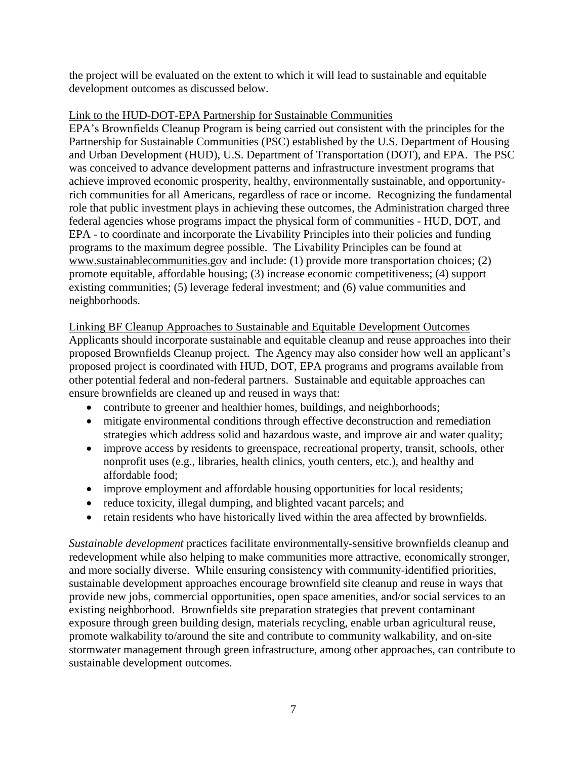the project will be evaluated on the extent to which it will lead to sustainable and equitable development outcomes as discussed below.

#### Link to the HUD-DOT-EPA Partnership for Sustainable Communities

EPA's Brownfields Cleanup Program is being carried out consistent with the principles for the Partnership for Sustainable Communities (PSC) established by the U.S. Department of Housing and Urban Development (HUD), U.S. Department of Transportation (DOT), and EPA. The PSC was conceived to advance development patterns and infrastructure investment programs that achieve improved economic prosperity, healthy, environmentally sustainable, and opportunityrich communities for all Americans, regardless of race or income. Recognizing the fundamental role that public investment plays in achieving these outcomes, the Administration charged three federal agencies whose programs impact the physical form of communities - HUD, DOT, and EPA - to coordinate and incorporate the Livability Principles into their policies and funding programs to the maximum degree possible. The Livability Principles can be found at [www.sustainablecommunities.gov](http://www.sustainablecommunities.gov/) and include: (1) provide more transportation choices; (2) promote equitable, affordable housing; (3) increase economic competitiveness; (4) support existing communities; (5) leverage federal investment; and (6) value communities and neighborhoods.

#### Linking BF Cleanup Approaches to Sustainable and Equitable Development Outcomes

Applicants should incorporate sustainable and equitable cleanup and reuse approaches into their proposed Brownfields Cleanup project. The Agency may also consider how well an applicant's proposed project is coordinated with HUD, DOT, EPA programs and programs available from other potential federal and non-federal partners. Sustainable and equitable approaches can ensure brownfields are cleaned up and reused in ways that:

- contribute to greener and healthier homes, buildings, and neighborhoods;
- mitigate environmental conditions through effective deconstruction and remediation strategies which address solid and hazardous waste, and improve air and water quality;
- improve access by residents to greenspace, recreational property, transit, schools, other nonprofit uses (e.g., libraries, health clinics, youth centers, etc.), and healthy and affordable food;
- improve employment and affordable housing opportunities for local residents;
- reduce toxicity, illegal dumping, and blighted vacant parcels; and
- retain residents who have historically lived within the area affected by brownfields.

*Sustainable development* practices facilitate environmentally-sensitive brownfields cleanup and redevelopment while also helping to make communities more attractive, economically stronger, and more socially diverse. While ensuring consistency with community-identified priorities, sustainable development approaches encourage brownfield site cleanup and reuse in ways that provide new jobs, commercial opportunities, open space amenities, and/or social services to an existing neighborhood. Brownfields site preparation strategies that prevent contaminant exposure through green building design, materials recycling, enable urban agricultural reuse, promote walkability to/around the site and contribute to community walkability, and on-site stormwater management through green infrastructure, among other approaches, can contribute to sustainable development outcomes.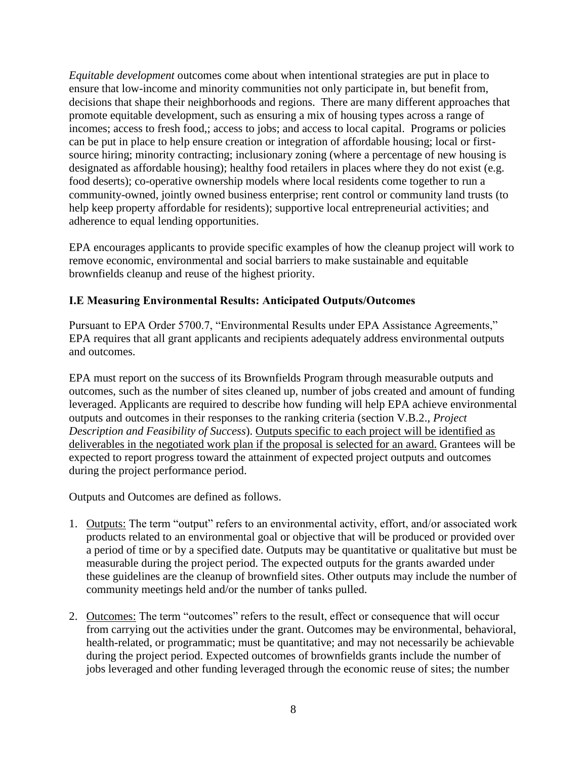*Equitable development* outcomes come about when intentional strategies are put in place to ensure that low-income and minority communities not only participate in, but benefit from, decisions that shape their neighborhoods and regions. There are many different approaches that promote equitable development, such as ensuring a mix of housing types across a range of incomes; access to fresh food,; access to jobs; and access to local capital. Programs or policies can be put in place to help ensure creation or integration of affordable housing; local or firstsource hiring; minority contracting; inclusionary zoning (where a percentage of new housing is designated as affordable housing); healthy food retailers in places where they do not exist (e.g. food deserts); co-operative ownership models where local residents come together to run a community-owned, jointly owned business enterprise; rent control or community land trusts (to help keep property affordable for residents); supportive local entrepreneurial activities; and adherence to equal lending opportunities.

EPA encourages applicants to provide specific examples of how the cleanup project will work to remove economic, environmental and social barriers to make sustainable and equitable brownfields cleanup and reuse of the highest priority.

#### <span id="page-7-0"></span>**I.E Measuring Environmental Results: Anticipated Outputs/Outcomes**

Pursuant to EPA Order 5700.7, "Environmental Results under EPA Assistance Agreements," EPA requires that all grant applicants and recipients adequately address environmental outputs and outcomes.

EPA must report on the success of its Brownfields Program through measurable outputs and outcomes, such as the number of sites cleaned up, number of jobs created and amount of funding leveraged. Applicants are required to describe how funding will help EPA achieve environmental outputs and outcomes in their responses to the ranking criteria (section V.B.2., *Project Description and Feasibility of Success*). Outputs specific to each project will be identified as deliverables in the negotiated work plan if the proposal is selected for an award. Grantees will be expected to report progress toward the attainment of expected project outputs and outcomes during the project performance period.

Outputs and Outcomes are defined as follows.

- 1. Outputs: The term "output" refers to an environmental activity, effort, and/or associated work products related to an environmental goal or objective that will be produced or provided over a period of time or by a specified date. Outputs may be quantitative or qualitative but must be measurable during the project period. The expected outputs for the grants awarded under these guidelines are the cleanup of brownfield sites. Other outputs may include the number of community meetings held and/or the number of tanks pulled.
- 2. Outcomes: The term "outcomes" refers to the result, effect or consequence that will occur from carrying out the activities under the grant. Outcomes may be environmental, behavioral, health-related, or programmatic; must be quantitative; and may not necessarily be achievable during the project period. Expected outcomes of brownfields grants include the number of jobs leveraged and other funding leveraged through the economic reuse of sites; the number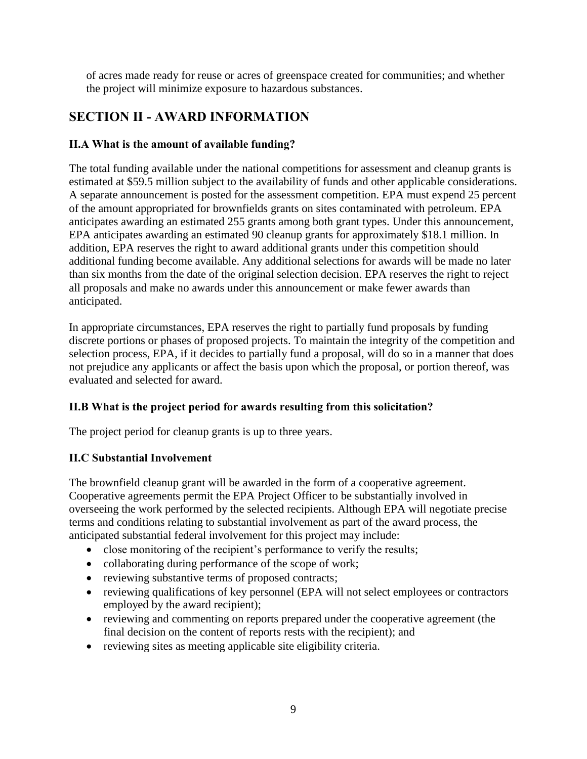of acres made ready for reuse or acres of greenspace created for communities; and whether the project will minimize exposure to hazardous substances.

# <span id="page-8-0"></span>**SECTION II - AWARD INFORMATION**

## <span id="page-8-1"></span>**II.A What is the amount of available funding?**

The total funding available under the national competitions for assessment and cleanup grants is estimated at \$59.5 million subject to the availability of funds and other applicable considerations. A separate announcement is posted for the assessment competition. EPA must expend 25 percent of the amount appropriated for brownfields grants on sites contaminated with petroleum. EPA anticipates awarding an estimated 255 grants among both grant types. Under this announcement, EPA anticipates awarding an estimated 90 cleanup grants for approximately \$18.1 million. In addition, EPA reserves the right to award additional grants under this competition should additional funding become available. Any additional selections for awards will be made no later than six months from the date of the original selection decision. EPA reserves the right to reject all proposals and make no awards under this announcement or make fewer awards than anticipated.

In appropriate circumstances, EPA reserves the right to partially fund proposals by funding discrete portions or phases of proposed projects. To maintain the integrity of the competition and selection process, EPA, if it decides to partially fund a proposal, will do so in a manner that does not prejudice any applicants or affect the basis upon which the proposal, or portion thereof, was evaluated and selected for award.

## <span id="page-8-2"></span>**II.B What is the project period for awards resulting from this solicitation?**

The project period for cleanup grants is up to three years.

## <span id="page-8-3"></span>**II.C Substantial Involvement**

The brownfield cleanup grant will be awarded in the form of a cooperative agreement. Cooperative agreements permit the EPA Project Officer to be substantially involved in overseeing the work performed by the selected recipients. Although EPA will negotiate precise terms and conditions relating to substantial involvement as part of the award process, the anticipated substantial federal involvement for this project may include:

- close monitoring of the recipient's performance to verify the results;
- collaborating during performance of the scope of work;
- reviewing substantive terms of proposed contracts;
- reviewing qualifications of key personnel (EPA will not select employees or contractors employed by the award recipient);
- reviewing and commenting on reports prepared under the cooperative agreement (the final decision on the content of reports rests with the recipient); and
- reviewing sites as meeting applicable site eligibility criteria.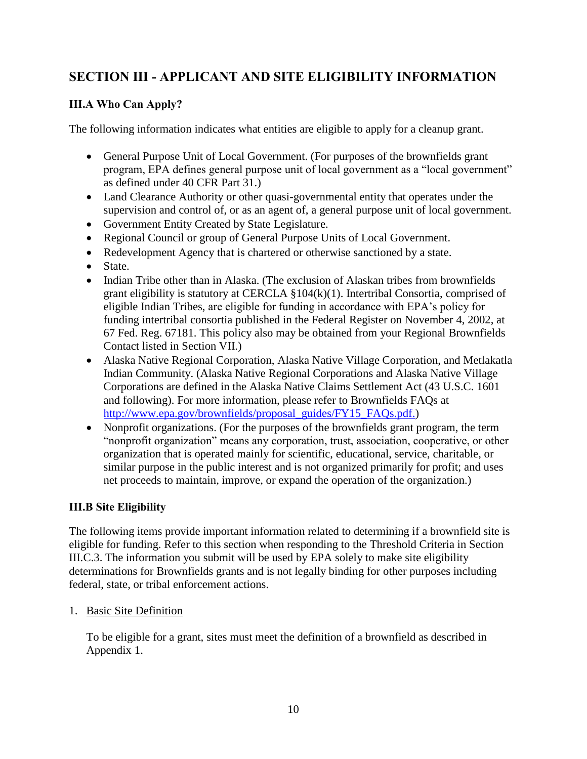# <span id="page-9-0"></span>**SECTION III - APPLICANT AND SITE ELIGIBILITY INFORMATION**

## <span id="page-9-1"></span>**III.A Who Can Apply?**

The following information indicates what entities are eligible to apply for a cleanup grant.

- General Purpose Unit of Local Government. (For purposes of the brownfields grant program, EPA defines general purpose unit of local government as a "local government" as defined under 40 CFR Part 31.)
- Land Clearance Authority or other quasi-governmental entity that operates under the supervision and control of, or as an agent of, a general purpose unit of local government.
- Government Entity Created by State Legislature.
- Regional Council or group of General Purpose Units of Local Government.
- Redevelopment Agency that is chartered or otherwise sanctioned by a state.
- State.
- Indian Tribe other than in Alaska. (The exclusion of Alaskan tribes from brownfields grant eligibility is statutory at CERCLA §104(k)(1). Intertribal Consortia, comprised of eligible Indian Tribes, are eligible for funding in accordance with EPA's policy for funding intertribal consortia published in the Federal Register on November 4, 2002, at 67 Fed. Reg. 67181. This policy also may be obtained from your Regional Brownfields Contact listed in Section VII.)
- Alaska Native Regional Corporation, Alaska Native Village Corporation, and Metlakatla Indian Community. (Alaska Native Regional Corporations and Alaska Native Village Corporations are defined in the Alaska Native Claims Settlement Act (43 U.S.C. 1601 and following). For more information, please refer to Brownfields FAQs at [http://www.epa.gov/brownfields/proposal\\_guides/FY15\\_FAQs.pdf.](http://www.epa.gov/brownfields/proposal_guides/FY15_FAQs.pdf))
- Nonprofit organizations. (For the purposes of the brownfields grant program, the term "nonprofit organization" means any corporation, trust, association, cooperative, or other organization that is operated mainly for scientific, educational, service, charitable, or similar purpose in the public interest and is not organized primarily for profit; and uses net proceeds to maintain, improve, or expand the operation of the organization.)

## <span id="page-9-2"></span>**III.B Site Eligibility**

The following items provide important information related to determining if a brownfield site is eligible for funding. Refer to this section when responding to the Threshold Criteria in Section III.C.3. The information you submit will be used by EPA solely to make site eligibility determinations for Brownfields grants and is not legally binding for other purposes including federal, state, or tribal enforcement actions.

#### 1. Basic Site Definition

To be eligible for a grant, sites must meet the definition of a brownfield as described in Appendix 1.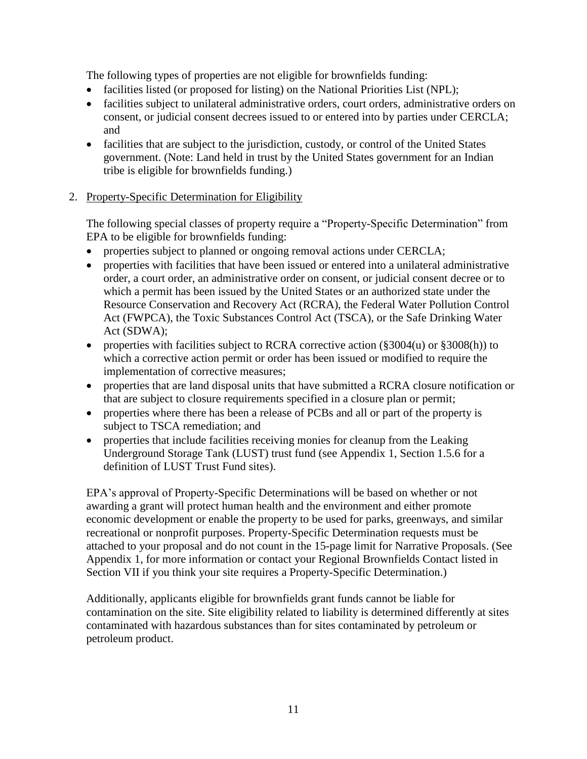The following types of properties are not eligible for brownfields funding:

- facilities listed (or proposed for listing) on the National Priorities List (NPL);
- facilities subject to unilateral administrative orders, court orders, administrative orders on consent, or judicial consent decrees issued to or entered into by parties under CERCLA; and
- facilities that are subject to the jurisdiction, custody, or control of the United States government. (Note: Land held in trust by the United States government for an Indian tribe is eligible for brownfields funding.)

#### 2. Property-Specific Determination for Eligibility

The following special classes of property require a "Property-Specific Determination" from EPA to be eligible for brownfields funding:

- properties subject to planned or ongoing removal actions under CERCLA;
- properties with facilities that have been issued or entered into a unilateral administrative order, a court order, an administrative order on consent, or judicial consent decree or to which a permit has been issued by the United States or an authorized state under the Resource Conservation and Recovery Act (RCRA), the Federal Water Pollution Control Act (FWPCA), the Toxic Substances Control Act (TSCA), or the Safe Drinking Water Act (SDWA);
- properties with facilities subject to RCRA corrective action  $(\frac{2004(u)}{u})$  or  $\frac{2008(h)}{u}$  to which a corrective action permit or order has been issued or modified to require the implementation of corrective measures;
- properties that are land disposal units that have submitted a RCRA closure notification or that are subject to closure requirements specified in a closure plan or permit;
- properties where there has been a release of PCBs and all or part of the property is subject to TSCA remediation; and
- properties that include facilities receiving monies for cleanup from the Leaking Underground Storage Tank (LUST) trust fund (see Appendix 1, Section 1.5.6 for a definition of LUST Trust Fund sites).

EPA's approval of Property-Specific Determinations will be based on whether or not awarding a grant will protect human health and the environment and either promote economic development or enable the property to be used for parks, greenways, and similar recreational or nonprofit purposes. Property-Specific Determination requests must be attached to your proposal and do not count in the 15-page limit for Narrative Proposals. (See Appendix 1, for more information or contact your Regional Brownfields Contact listed in Section VII if you think your site requires a Property-Specific Determination.)

Additionally, applicants eligible for brownfields grant funds cannot be liable for contamination on the site. Site eligibility related to liability is determined differently at sites contaminated with hazardous substances than for sites contaminated by petroleum or petroleum product.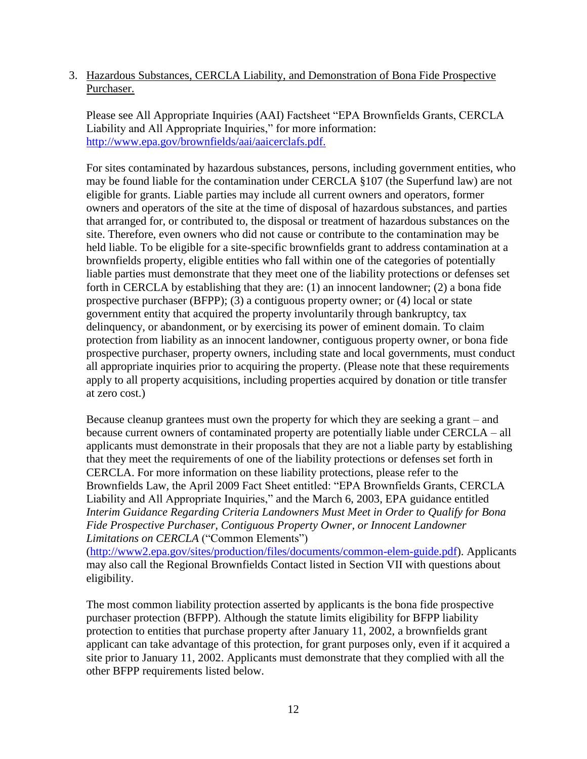3. Hazardous Substances, CERCLA Liability, and Demonstration of Bona Fide Prospective Purchaser.

Please see All Appropriate Inquiries (AAI) Factsheet "EPA Brownfields Grants, CERCLA Liability and All Appropriate Inquiries," for more information: [http://www.epa.gov/brownfields/aai/aaicerclafs.pdf.](http://www.epa.gov/brownfields/aai/aaicerclafs.pdf)

For sites contaminated by hazardous substances, persons, including government entities, who may be found liable for the contamination under CERCLA §107 (the Superfund law) are not eligible for grants. Liable parties may include all current owners and operators, former owners and operators of the site at the time of disposal of hazardous substances, and parties that arranged for, or contributed to, the disposal or treatment of hazardous substances on the site. Therefore, even owners who did not cause or contribute to the contamination may be held liable. To be eligible for a site-specific brownfields grant to address contamination at a brownfields property, eligible entities who fall within one of the categories of potentially liable parties must demonstrate that they meet one of the liability protections or defenses set forth in CERCLA by establishing that they are: (1) an innocent landowner; (2) a bona fide prospective purchaser (BFPP); (3) a contiguous property owner; or (4) local or state government entity that acquired the property involuntarily through bankruptcy, tax delinquency, or abandonment, or by exercising its power of eminent domain. To claim protection from liability as an innocent landowner, contiguous property owner, or bona fide prospective purchaser, property owners, including state and local governments, must conduct all appropriate inquiries prior to acquiring the property. (Please note that these requirements apply to all property acquisitions, including properties acquired by donation or title transfer at zero cost.)

Because cleanup grantees must own the property for which they are seeking a grant – and because current owners of contaminated property are potentially liable under CERCLA – all applicants must demonstrate in their proposals that they are not a liable party by establishing that they meet the requirements of one of the liability protections or defenses set forth in CERCLA. For more information on these liability protections, please refer to the Brownfields Law, the April 2009 Fact Sheet entitled: "EPA Brownfields Grants, CERCLA Liability and All Appropriate Inquiries," and the March 6, 2003, EPA guidance entitled *Interim Guidance Regarding Criteria Landowners Must Meet in Order to Qualify for Bona Fide Prospective Purchaser, Contiguous Property Owner, or Innocent Landowner Limitations on CERCLA* ("Common Elements")

[\(http://www2.epa.gov/sites/production/files/documents/common-elem-guide.pdf\)](http://www2.epa.gov/sites/production/files/documents/common-elem-guide.pdf). Applicants may also call the Regional Brownfields Contact listed in Section VII with questions about eligibility.

The most common liability protection asserted by applicants is the bona fide prospective purchaser protection (BFPP). Although the statute limits eligibility for BFPP liability protection to entities that purchase property after January 11, 2002, a brownfields grant applicant can take advantage of this protection, for grant purposes only, even if it acquired a site prior to January 11, 2002. Applicants must demonstrate that they complied with all the other BFPP requirements listed below.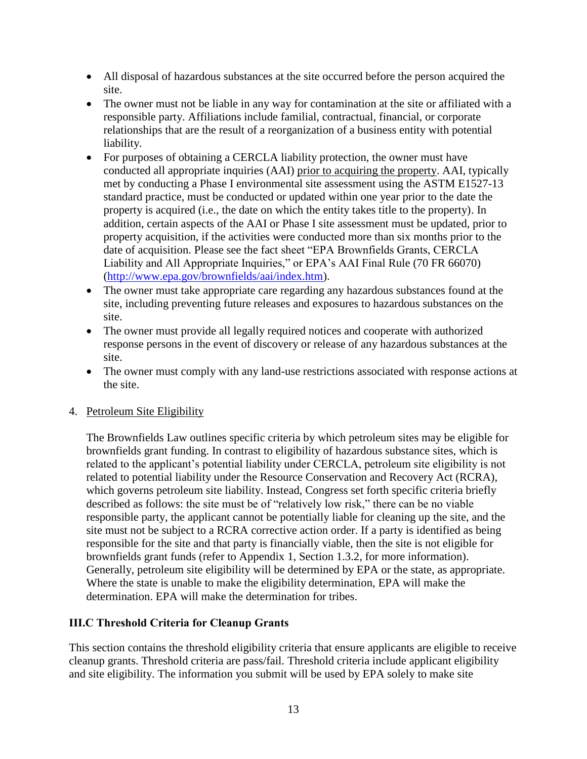- All disposal of hazardous substances at the site occurred before the person acquired the site.
- The owner must not be liable in any way for contamination at the site or affiliated with a responsible party. Affiliations include familial, contractual, financial, or corporate relationships that are the result of a reorganization of a business entity with potential liability.
- For purposes of obtaining a CERCLA liability protection, the owner must have conducted all appropriate inquiries (AAI) prior to acquiring the property. AAI, typically met by conducting a Phase I environmental site assessment using the ASTM E1527-13 standard practice, must be conducted or updated within one year prior to the date the property is acquired (i.e., the date on which the entity takes title to the property). In addition, certain aspects of the AAI or Phase I site assessment must be updated, prior to property acquisition, if the activities were conducted more than six months prior to the date of acquisition. Please see the fact sheet "EPA Brownfields Grants, CERCLA Liability and All Appropriate Inquiries," or EPA's AAI Final Rule (70 FR 66070) [\(http://www.epa.gov/brownfields/aai/index.htm\)](http://www.epa.gov/brownfields/aai/index.htm).
- The owner must take appropriate care regarding any hazardous substances found at the site, including preventing future releases and exposures to hazardous substances on the site.
- The owner must provide all legally required notices and cooperate with authorized response persons in the event of discovery or release of any hazardous substances at the site.
- The owner must comply with any land-use restrictions associated with response actions at the site.

#### 4. Petroleum Site Eligibility

The Brownfields Law outlines specific criteria by which petroleum sites may be eligible for brownfields grant funding. In contrast to eligibility of hazardous substance sites, which is related to the applicant's potential liability under CERCLA, petroleum site eligibility is not related to potential liability under the Resource Conservation and Recovery Act (RCRA), which governs petroleum site liability. Instead, Congress set forth specific criteria briefly described as follows: the site must be of "relatively low risk," there can be no viable responsible party, the applicant cannot be potentially liable for cleaning up the site, and the site must not be subject to a RCRA corrective action order. If a party is identified as being responsible for the site and that party is financially viable, then the site is not eligible for brownfields grant funds (refer to Appendix 1, Section 1.3.2, for more information). Generally, petroleum site eligibility will be determined by EPA or the state, as appropriate. Where the state is unable to make the eligibility determination, EPA will make the determination. EPA will make the determination for tribes.

#### <span id="page-12-0"></span>**III.C Threshold Criteria for Cleanup Grants**

This section contains the threshold eligibility criteria that ensure applicants are eligible to receive cleanup grants. Threshold criteria are pass/fail. Threshold criteria include applicant eligibility and site eligibility. The information you submit will be used by EPA solely to make site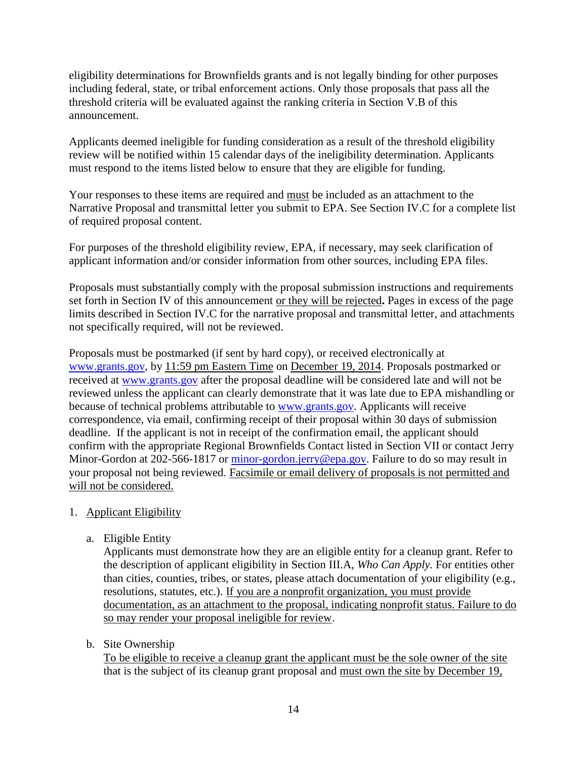eligibility determinations for Brownfields grants and is not legally binding for other purposes including federal, state, or tribal enforcement actions. Only those proposals that pass all the threshold criteria will be evaluated against the ranking criteria in Section V.B of this announcement.

Applicants deemed ineligible for funding consideration as a result of the threshold eligibility review will be notified within 15 calendar days of the ineligibility determination. Applicants must respond to the items listed below to ensure that they are eligible for funding.

Your responses to these items are required and must be included as an attachment to the Narrative Proposal and transmittal letter you submit to EPA. See Section IV.C for a complete list of required proposal content.

For purposes of the threshold eligibility review, EPA, if necessary, may seek clarification of applicant information and/or consider information from other sources, including EPA files.

Proposals must substantially comply with the proposal submission instructions and requirements set forth in Section IV of this announcement or they will be rejected**.** Pages in excess of the page limits described in Section IV.C for the narrative proposal and transmittal letter, and attachments not specifically required, will not be reviewed.

Proposals must be postmarked (if sent by hard copy), or received electronically at [www.grants.gov,](http://www.grants.gov/) by 11:59 pm Eastern Time on December 19, 2014. Proposals postmarked or received at [www.grants.gov](http://www.grants.gov/) after the proposal deadline will be considered late and will not be reviewed unless the applicant can clearly demonstrate that it was late due to EPA mishandling or because of technical problems attributable to [www.grants.gov.](http://www.grants.gov/) Applicants will receive correspondence, via email, confirming receipt of their proposal within 30 days of submission deadline. If the applicant is not in receipt of the confirmation email, the applicant should confirm with the appropriate Regional Brownfields Contact listed in Section VII or contact Jerry Minor-Gordon at 202-566-1817 or [minor-gordon.jerry@epa.gov.](mailto:minor-gordon.jerry@epa.gov) Failure to do so may result in your proposal not being reviewed. Facsimile or email delivery of proposals is not permitted and will not be considered.

- <span id="page-13-0"></span>1. Applicant Eligibility
	- a. Eligible Entity

Applicants must demonstrate how they are an eligible entity for a cleanup grant. Refer to the description of applicant eligibility in Section III.A, *Who Can Apply.* For entities other than cities, counties, tribes, or states, please attach documentation of your eligibility (e.g., resolutions, statutes, etc.). If you are a nonprofit organization, you must provide documentation, as an attachment to the proposal, indicating nonprofit status. Failure to do so may render your proposal ineligible for review.

b. Site Ownership

To be eligible to receive a cleanup grant the applicant must be the sole owner of the site that is the subject of its cleanup grant proposal and must own the site by December 19,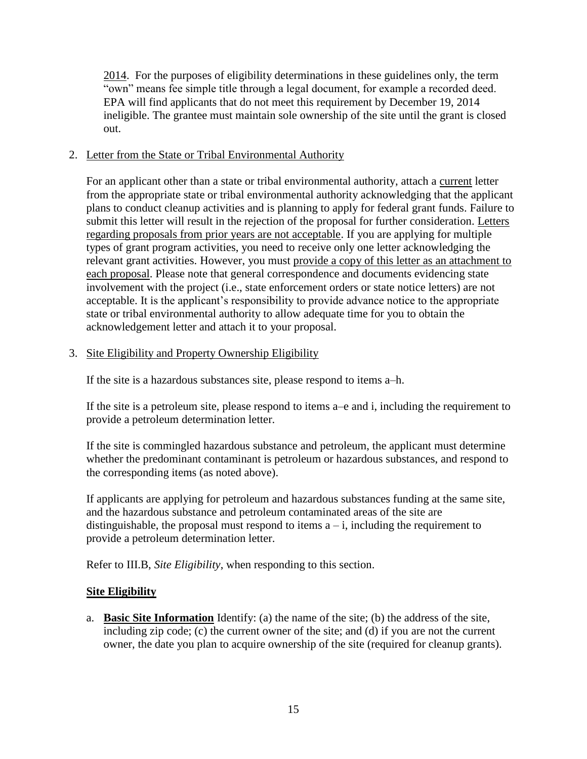2014.For the purposes of eligibility determinations in these guidelines only, the term "own" means fee simple title through a legal document, for example a recorded deed. EPA will find applicants that do not meet this requirement by December 19, 2014 ineligible. The grantee must maintain sole ownership of the site until the grant is closed out.

#### <span id="page-14-0"></span>2. Letter from the State or Tribal Environmental Authority

For an applicant other than a state or tribal environmental authority, attach a current letter from the appropriate state or tribal environmental authority acknowledging that the applicant plans to conduct cleanup activities and is planning to apply for federal grant funds. Failure to submit this letter will result in the rejection of the proposal for further consideration. Letters regarding proposals from prior years are not acceptable. If you are applying for multiple types of grant program activities, you need to receive only one letter acknowledging the relevant grant activities. However, you must provide a copy of this letter as an attachment to each proposal. Please note that general correspondence and documents evidencing state involvement with the project (i.e., state enforcement orders or state notice letters) are not acceptable. It is the applicant's responsibility to provide advance notice to the appropriate state or tribal environmental authority to allow adequate time for you to obtain the acknowledgement letter and attach it to your proposal.

#### <span id="page-14-1"></span>3. Site Eligibility and Property Ownership Eligibility

If the site is a hazardous substances site, please respond to items a–h.

If the site is a petroleum site, please respond to items a–e and i, including the requirement to provide a petroleum determination letter.

If the site is commingled hazardous substance and petroleum, the applicant must determine whether the predominant contaminant is petroleum or hazardous substances, and respond to the corresponding items (as noted above).

If applicants are applying for petroleum and hazardous substances funding at the same site, and the hazardous substance and petroleum contaminated areas of the site are distinguishable, the proposal must respond to items  $a - i$ , including the requirement to provide a petroleum determination letter.

Refer to III.B, *Site Eligibility*, when responding to this section.

#### **Site Eligibility**

a. **Basic Site Information** Identify: (a) the name of the site; (b) the address of the site, including zip code; (c) the current owner of the site; and (d) if you are not the current owner, the date you plan to acquire ownership of the site (required for cleanup grants).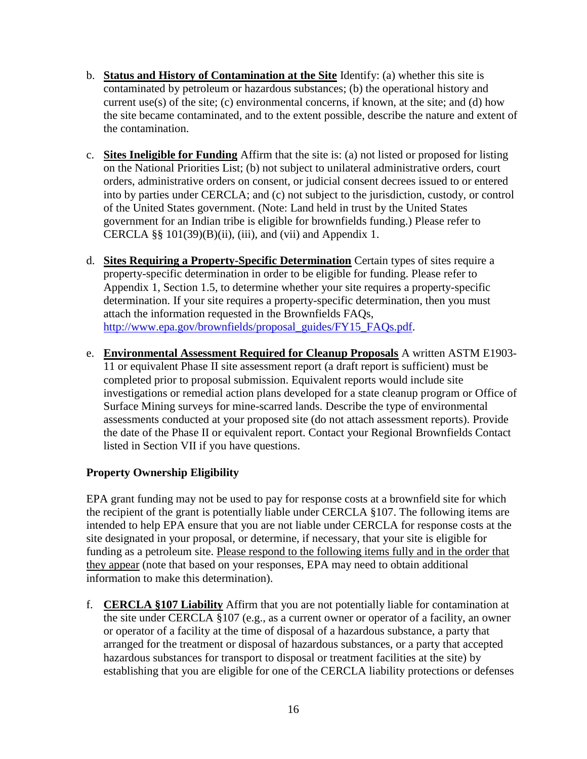- b. **Status and History of Contamination at the Site** Identify: (a) whether this site is contaminated by petroleum or hazardous substances; (b) the operational history and current use(s) of the site; (c) environmental concerns, if known, at the site; and (d) how the site became contaminated, and to the extent possible, describe the nature and extent of the contamination.
- c. **Sites Ineligible for Funding** Affirm that the site is: (a) not listed or proposed for listing on the National Priorities List; (b) not subject to unilateral administrative orders, court orders, administrative orders on consent, or judicial consent decrees issued to or entered into by parties under CERCLA; and (c) not subject to the jurisdiction, custody, or control of the United States government. (Note: Land held in trust by the United States government for an Indian tribe is eligible for brownfields funding.) Please refer to CERCLA §§  $101(39)(B)(ii)$ , (iii), and (vii) and Appendix 1.
- d. **Sites Requiring a Property-Specific Determination** Certain types of sites require a property-specific determination in order to be eligible for funding. Please refer to Appendix 1, Section 1.5, to determine whether your site requires a property-specific determination. If your site requires a property-specific determination, then you must attach the information requested in the Brownfields FAQs, [http://www.epa.gov/brownfields/proposal\\_guides/FY15\\_FAQs.pdf.](http://www.epa.gov/brownfields/proposal_guides/FY15_FAQs.pdf)
- e. **Environmental Assessment Required for Cleanup Proposals** A written ASTM E1903- 11 or equivalent Phase II site assessment report (a draft report is sufficient) must be completed prior to proposal submission. Equivalent reports would include site investigations or remedial action plans developed for a state cleanup program or Office of Surface Mining surveys for mine-scarred lands. Describe the type of environmental assessments conducted at your proposed site (do not attach assessment reports). Provide the date of the Phase II or equivalent report. Contact your Regional Brownfields Contact listed in Section VII if you have questions.

## **Property Ownership Eligibility**

EPA grant funding may not be used to pay for response costs at a brownfield site for which the recipient of the grant is potentially liable under CERCLA §107. The following items are intended to help EPA ensure that you are not liable under CERCLA for response costs at the site designated in your proposal, or determine, if necessary, that your site is eligible for funding as a petroleum site. Please respond to the following items fully and in the order that they appear (note that based on your responses, EPA may need to obtain additional information to make this determination).

f. **CERCLA §107 Liability** Affirm that you are not potentially liable for contamination at the site under CERCLA §107 (e.g., as a current owner or operator of a facility, an owner or operator of a facility at the time of disposal of a hazardous substance, a party that arranged for the treatment or disposal of hazardous substances, or a party that accepted hazardous substances for transport to disposal or treatment facilities at the site) by establishing that you are eligible for one of the CERCLA liability protections or defenses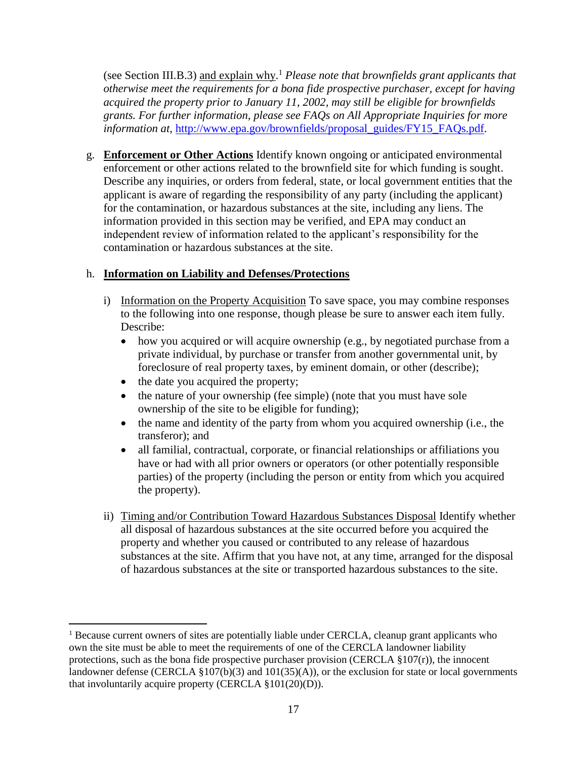(see Section III.B.3) and explain why. <sup>1</sup> *Please note that brownfields grant applicants that otherwise meet the requirements for a bona fide prospective purchaser, except for having acquired the property prior to January 11, 2002, may still be eligible for brownfields grants. For further information, please see FAQs on All Appropriate Inquiries for more information at,* [http://www.epa.gov/brownfields/proposal\\_guides/FY15\\_FAQs.pdf](http://www.epa.gov/brownfields/proposal_guides/FY15_FAQs.pdf)*.*

g. **Enforcement or Other Actions** Identify known ongoing or anticipated environmental enforcement or other actions related to the brownfield site for which funding is sought. Describe any inquiries, or orders from federal, state, or local government entities that the applicant is aware of regarding the responsibility of any party (including the applicant) for the contamination, or hazardous substances at the site, including any liens. The information provided in this section may be verified, and EPA may conduct an independent review of information related to the applicant's responsibility for the contamination or hazardous substances at the site.

## h. **Information on Liability and Defenses/Protections**

- i) Information on the Property Acquisition To save space, you may combine responses to the following into one response, though please be sure to answer each item fully. Describe:
	- how you acquired or will acquire ownership (e.g., by negotiated purchase from a private individual, by purchase or transfer from another governmental unit, by foreclosure of real property taxes, by eminent domain, or other (describe);
	- the date you acquired the property;

 $\overline{a}$ 

- the nature of your ownership (fee simple) (note that you must have sole ownership of the site to be eligible for funding);
- the name and identity of the party from whom you acquired ownership (i.e., the transferor); and
- all familial, contractual, corporate, or financial relationships or affiliations you have or had with all prior owners or operators (or other potentially responsible parties) of the property (including the person or entity from which you acquired the property).
- ii) Timing and/or Contribution Toward Hazardous Substances Disposal Identify whether all disposal of hazardous substances at the site occurred before you acquired the property and whether you caused or contributed to any release of hazardous substances at the site. Affirm that you have not, at any time, arranged for the disposal of hazardous substances at the site or transported hazardous substances to the site.

 $<sup>1</sup>$  Because current owners of sites are potentially liable under CERCLA, cleanup grant applicants who</sup> own the site must be able to meet the requirements of one of the CERCLA landowner liability protections, such as the bona fide prospective purchaser provision (CERCLA  $\S 107(r)$ ), the innocent landowner defense (CERCLA  $\S 107(b)(3)$  and  $101(35)(A)$ ), or the exclusion for state or local governments that involuntarily acquire property (CERCLA §101(20)(D)).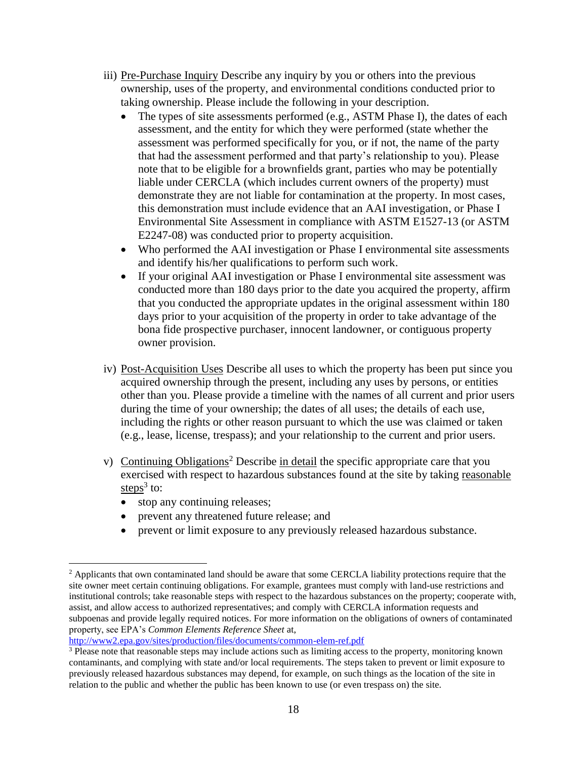- iii) Pre-Purchase Inquiry Describe any inquiry by you or others into the previous ownership, uses of the property, and environmental conditions conducted prior to taking ownership. Please include the following in your description.
	- The types of site assessments performed (e.g., ASTM Phase I), the dates of each assessment, and the entity for which they were performed (state whether the assessment was performed specifically for you, or if not, the name of the party that had the assessment performed and that party's relationship to you). Please note that to be eligible for a brownfields grant, parties who may be potentially liable under CERCLA (which includes current owners of the property) must demonstrate they are not liable for contamination at the property. In most cases, this demonstration must include evidence that an AAI investigation, or Phase I Environmental Site Assessment in compliance with ASTM E1527-13 (or ASTM E2247-08) was conducted prior to property acquisition.
	- Who performed the AAI investigation or Phase I environmental site assessments and identify his/her qualifications to perform such work.
	- If your original AAI investigation or Phase I environmental site assessment was conducted more than 180 days prior to the date you acquired the property, affirm that you conducted the appropriate updates in the original assessment within 180 days prior to your acquisition of the property in order to take advantage of the bona fide prospective purchaser, innocent landowner, or contiguous property owner provision.
- iv) Post-Acquisition Uses Describe all uses to which the property has been put since you acquired ownership through the present, including any uses by persons, or entities other than you. Please provide a timeline with the names of all current and prior users during the time of your ownership; the dates of all uses; the details of each use, including the rights or other reason pursuant to which the use was claimed or taken (e.g., lease, license, trespass); and your relationship to the current and prior users.
- v) Continuing Obligations<sup>2</sup> Describe in detail the specific appropriate care that you exercised with respect to hazardous substances found at the site by taking reasonable steps<sup>3</sup> to:
	- stop any continuing releases;

 $\overline{a}$ 

- prevent any threatened future release; and
- prevent or limit exposure to any previously released hazardous substance.

<http://www2.epa.gov/sites/production/files/documents/common-elem-ref.pdf>

<sup>&</sup>lt;sup>2</sup> Applicants that own contaminated land should be aware that some CERCLA liability protections require that the site owner meet certain continuing obligations. For example, grantees must comply with land-use restrictions and institutional controls; take reasonable steps with respect to the hazardous substances on the property; cooperate with, assist, and allow access to authorized representatives; and comply with CERCLA information requests and subpoenas and provide legally required notices. For more information on the obligations of owners of contaminated property, see EPA's *Common Elements Reference Sheet* at,

<sup>&</sup>lt;sup>3</sup> Please note that reasonable steps may include actions such as limiting access to the property, monitoring known contaminants, and complying with state and/or local requirements. The steps taken to prevent or limit exposure to previously released hazardous substances may depend, for example, on such things as the location of the site in relation to the public and whether the public has been known to use (or even trespass on) the site.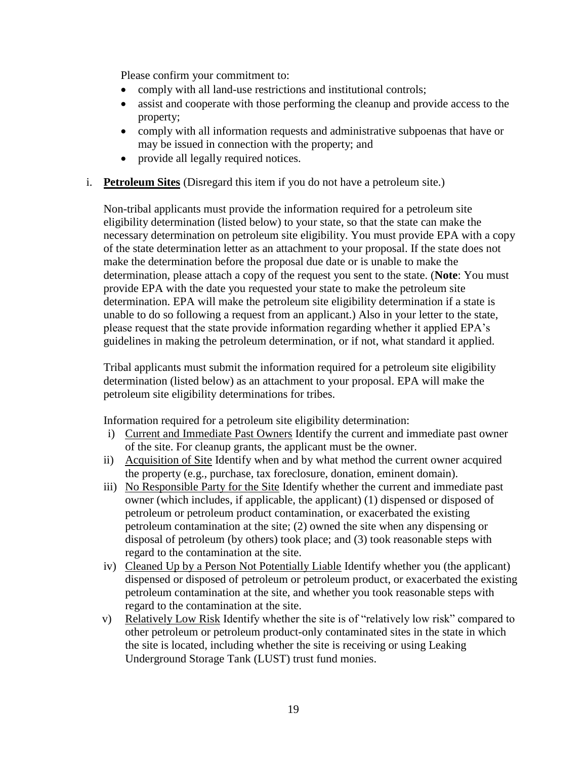Please confirm your commitment to:

- comply with all land-use restrictions and institutional controls;
- assist and cooperate with those performing the cleanup and provide access to the property;
- comply with all information requests and administrative subpoenas that have or may be issued in connection with the property; and
- provide all legally required notices.
- i. **Petroleum Sites** (Disregard this item if you do not have a petroleum site.)

Non-tribal applicants must provide the information required for a petroleum site eligibility determination (listed below) to your state, so that the state can make the necessary determination on petroleum site eligibility. You must provide EPA with a copy of the state determination letter as an attachment to your proposal. If the state does not make the determination before the proposal due date or is unable to make the determination, please attach a copy of the request you sent to the state. (**Note**: You must provide EPA with the date you requested your state to make the petroleum site determination. EPA will make the petroleum site eligibility determination if a state is unable to do so following a request from an applicant.) Also in your letter to the state, please request that the state provide information regarding whether it applied EPA's guidelines in making the petroleum determination, or if not, what standard it applied.

Tribal applicants must submit the information required for a petroleum site eligibility determination (listed below) as an attachment to your proposal. EPA will make the petroleum site eligibility determinations for tribes.

Information required for a petroleum site eligibility determination:

- i) Current and Immediate Past Owners Identify the current and immediate past owner of the site. For cleanup grants, the applicant must be the owner.
- ii) Acquisition of Site Identify when and by what method the current owner acquired the property (e.g., purchase, tax foreclosure, donation, eminent domain).
- iii) No Responsible Party for the Site Identify whether the current and immediate past owner (which includes, if applicable, the applicant) (1) dispensed or disposed of petroleum or petroleum product contamination, or exacerbated the existing petroleum contamination at the site; (2) owned the site when any dispensing or disposal of petroleum (by others) took place; and (3) took reasonable steps with regard to the contamination at the site.
- iv) Cleaned Up by a Person Not Potentially Liable Identify whether you (the applicant) dispensed or disposed of petroleum or petroleum product, or exacerbated the existing petroleum contamination at the site, and whether you took reasonable steps with regard to the contamination at the site.
- v) Relatively Low Risk Identify whether the site is of "relatively low risk" compared to other petroleum or petroleum product-only contaminated sites in the state in which the site is located, including whether the site is receiving or using Leaking Underground Storage Tank (LUST) trust fund monies.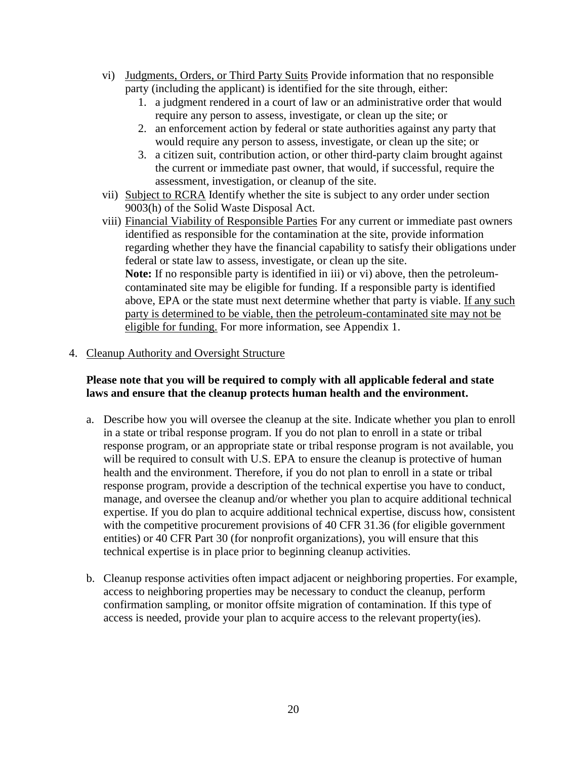- vi) Judgments, Orders, or Third Party Suits Provide information that no responsible party (including the applicant) is identified for the site through, either:
	- 1. a judgment rendered in a court of law or an administrative order that would require any person to assess, investigate, or clean up the site; or
	- 2. an enforcement action by federal or state authorities against any party that would require any person to assess, investigate, or clean up the site; or
	- 3. a citizen suit, contribution action, or other third-party claim brought against the current or immediate past owner, that would, if successful, require the assessment, investigation, or cleanup of the site.
- vii) Subject to RCRA Identify whether the site is subject to any order under section 9003(h) of the Solid Waste Disposal Act.
- viii) Financial Viability of Responsible Parties For any current or immediate past owners identified as responsible for the contamination at the site, provide information regarding whether they have the financial capability to satisfy their obligations under federal or state law to assess, investigate, or clean up the site. **Note:** If no responsible party is identified in iii) or vi) above, then the petroleumcontaminated site may be eligible for funding. If a responsible party is identified above, EPA or the state must next determine whether that party is viable. If any such party is determined to be viable, then the petroleum-contaminated site may not be eligible for funding. For more information, see Appendix 1.

#### <span id="page-19-0"></span>4. Cleanup Authority and Oversight Structure

#### **Please note that you will be required to comply with all applicable federal and state laws and ensure that the cleanup protects human health and the environment.**

- a. Describe how you will oversee the cleanup at the site. Indicate whether you plan to enroll in a state or tribal response program. If you do not plan to enroll in a state or tribal response program, or an appropriate state or tribal response program is not available, you will be required to consult with U.S. EPA to ensure the cleanup is protective of human health and the environment. Therefore, if you do not plan to enroll in a state or tribal response program, provide a description of the technical expertise you have to conduct, manage, and oversee the cleanup and/or whether you plan to acquire additional technical expertise. If you do plan to acquire additional technical expertise, discuss how, consistent with the competitive procurement provisions of 40 CFR 31.36 (for eligible government entities) or 40 CFR Part 30 (for nonprofit organizations), you will ensure that this technical expertise is in place prior to beginning cleanup activities.
- b. Cleanup response activities often impact adjacent or neighboring properties. For example, access to neighboring properties may be necessary to conduct the cleanup, perform confirmation sampling, or monitor offsite migration of contamination. If this type of access is needed, provide your plan to acquire access to the relevant property(ies).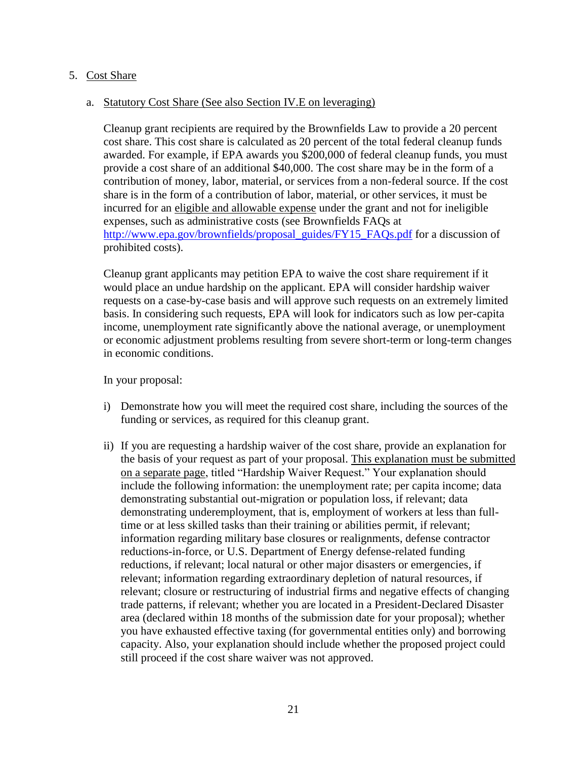#### <span id="page-20-0"></span>5. Cost Share

#### a. Statutory Cost Share (See also Section IV.E on leveraging)

Cleanup grant recipients are required by the Brownfields Law to provide a 20 percent cost share. This cost share is calculated as 20 percent of the total federal cleanup funds awarded. For example, if EPA awards you \$200,000 of federal cleanup funds, you must provide a cost share of an additional \$40,000. The cost share may be in the form of a contribution of money, labor, material, or services from a non-federal source. If the cost share is in the form of a contribution of labor, material, or other services, it must be incurred for an eligible and allowable expense under the grant and not for ineligible expenses, such as administrative costs (see Brownfields FAQs at [http://www.epa.gov/brownfields/proposal\\_guides/FY15\\_FAQs.pdf](http://www.epa.gov/brownfields/proposal_guides/FY15_FAQs.pdf) for a discussion of prohibited costs).

Cleanup grant applicants may petition EPA to waive the cost share requirement if it would place an undue hardship on the applicant. EPA will consider hardship waiver requests on a case-by-case basis and will approve such requests on an extremely limited basis. In considering such requests, EPA will look for indicators such as low per-capita income, unemployment rate significantly above the national average, or unemployment or economic adjustment problems resulting from severe short-term or long-term changes in economic conditions.

In your proposal:

- i) Demonstrate how you will meet the required cost share, including the sources of the funding or services, as required for this cleanup grant.
- ii) If you are requesting a hardship waiver of the cost share, provide an explanation for the basis of your request as part of your proposal. This explanation must be submitted on a separate page, titled "Hardship Waiver Request." Your explanation should include the following information: the unemployment rate; per capita income; data demonstrating substantial out-migration or population loss, if relevant; data demonstrating underemployment, that is, employment of workers at less than fulltime or at less skilled tasks than their training or abilities permit, if relevant; information regarding military base closures or realignments, defense contractor reductions-in-force, or U.S. Department of Energy defense-related funding reductions, if relevant; local natural or other major disasters or emergencies, if relevant; information regarding extraordinary depletion of natural resources, if relevant; closure or restructuring of industrial firms and negative effects of changing trade patterns, if relevant; whether you are located in a President-Declared Disaster area (declared within 18 months of the submission date for your proposal); whether you have exhausted effective taxing (for governmental entities only) and borrowing capacity. Also, your explanation should include whether the proposed project could still proceed if the cost share waiver was not approved.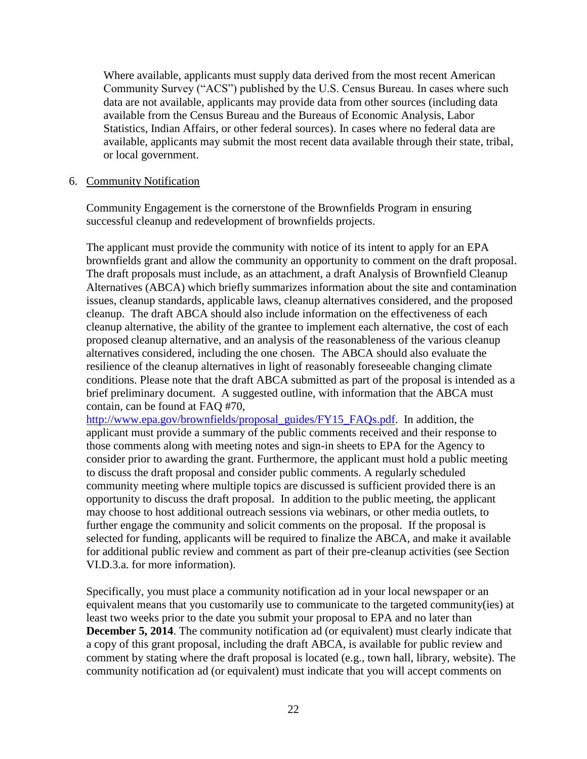Where available, applicants must supply data derived from the most recent American Community Survey ("ACS") published by the U.S. Census Bureau. In cases where such data are not available, applicants may provide data from other sources (including data available from the Census Bureau and the Bureaus of Economic Analysis, Labor Statistics, Indian Affairs, or other federal sources). In cases where no federal data are available, applicants may submit the most recent data available through their state, tribal, or local government.

#### <span id="page-21-0"></span>6. Community Notification

Community Engagement is the cornerstone of the Brownfields Program in ensuring successful cleanup and redevelopment of brownfields projects.

The applicant must provide the community with notice of its intent to apply for an EPA brownfields grant and allow the community an opportunity to comment on the draft proposal. The draft proposals must include, as an attachment, a draft Analysis of Brownfield Cleanup Alternatives (ABCA) which briefly summarizes information about the site and contamination issues, cleanup standards, applicable laws, cleanup alternatives considered, and the proposed cleanup. The draft ABCA should also include information on the effectiveness of each cleanup alternative, the ability of the grantee to implement each alternative, the cost of each proposed cleanup alternative, and an analysis of the reasonableness of the various cleanup alternatives considered, including the one chosen. The ABCA should also evaluate the resilience of the cleanup alternatives in light of reasonably foreseeable changing climate conditions. Please note that the draft ABCA submitted as part of the proposal is intended as a brief preliminary document. A suggested outline, with information that the ABCA must contain, can be found at FAQ #70,

[http://www.epa.gov/brownfields/proposal\\_guides/FY15\\_FAQs.pdf.](http://www.epa.gov/brownfields/proposal_guides/FY15_FAQs.pdf) In addition, the applicant must provide a summary of the public comments received and their response to those comments along with meeting notes and sign-in sheets to EPA for the Agency to consider prior to awarding the grant. Furthermore, the applicant must hold a public meeting to discuss the draft proposal and consider public comments. A regularly scheduled community meeting where multiple topics are discussed is sufficient provided there is an opportunity to discuss the draft proposal. In addition to the public meeting, the applicant may choose to host additional outreach sessions via webinars, or other media outlets, to further engage the community and solicit comments on the proposal. If the proposal is selected for funding, applicants will be required to finalize the ABCA, and make it available for additional public review and comment as part of their pre-cleanup activities (see Section VI.D.3.a. for more information).

Specifically, you must place a community notification ad in your local newspaper or an equivalent means that you customarily use to communicate to the targeted community(ies) at least two weeks prior to the date you submit your proposal to EPA and no later than **December 5, 2014**. The community notification ad (or equivalent) must clearly indicate that a copy of this grant proposal, including the draft ABCA, is available for public review and comment by stating where the draft proposal is located (e.g., town hall, library, website). The community notification ad (or equivalent) must indicate that you will accept comments on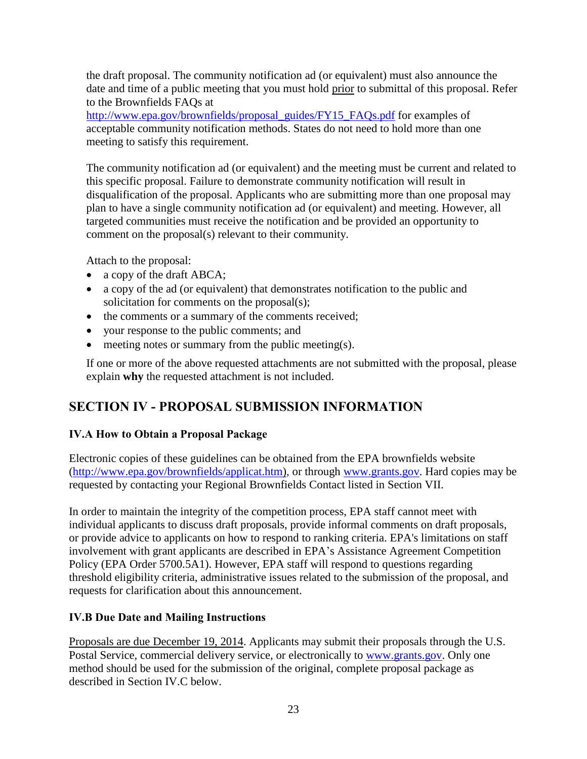the draft proposal. The community notification ad (or equivalent) must also announce the date and time of a public meeting that you must hold prior to submittal of this proposal. Refer to the Brownfields FAQs at

[http://www.epa.gov/brownfields/proposal\\_guides/FY15\\_FAQs.pdf](http://www.epa.gov/brownfields/proposal_guides/FY15_FAQs.pdf) for examples of acceptable community notification methods. States do not need to hold more than one meeting to satisfy this requirement.

The community notification ad (or equivalent) and the meeting must be current and related to this specific proposal. Failure to demonstrate community notification will result in disqualification of the proposal. Applicants who are submitting more than one proposal may plan to have a single community notification ad (or equivalent) and meeting. However, all targeted communities must receive the notification and be provided an opportunity to comment on the proposal(s) relevant to their community.

Attach to the proposal:

- a copy of the draft ABCA;
- a copy of the ad (or equivalent) that demonstrates notification to the public and solicitation for comments on the proposal(s);
- the comments or a summary of the comments received;
- your response to the public comments; and
- $\bullet$  meeting notes or summary from the public meeting(s).

If one or more of the above requested attachments are not submitted with the proposal, please explain **why** the requested attachment is not included.

# <span id="page-22-0"></span>**SECTION IV - PROPOSAL SUBMISSION INFORMATION**

## <span id="page-22-1"></span>**IV.A How to Obtain a Proposal Package**

Electronic copies of these guidelines can be obtained from the EPA brownfields website [\(http://www.epa.gov/brownfields/applicat.htm\),](http://www.epa.gov/brownfields/applicat.htm) or through [www.grants.gov.](http://www.grants.gov/) Hard copies may be requested by contacting your Regional Brownfields Contact listed in Section VII.

In order to maintain the integrity of the competition process, EPA staff cannot meet with individual applicants to discuss draft proposals, provide informal comments on draft proposals, or provide advice to applicants on how to respond to ranking criteria. EPA's limitations on staff involvement with grant applicants are described in EPA's Assistance Agreement Competition Policy (EPA Order 5700.5A1). However, EPA staff will respond to questions regarding threshold eligibility criteria, administrative issues related to the submission of the proposal, and requests for clarification about this announcement.

## <span id="page-22-2"></span>**IV.B Due Date and Mailing Instructions**

Proposals are due December 19, 2014. Applicants may submit their proposals through the U.S. Postal Service, commercial delivery service, or electronically to [www.grants.gov.](http://www.grants.gov/) Only one method should be used for the submission of the original, complete proposal package as described in Section IV.C below.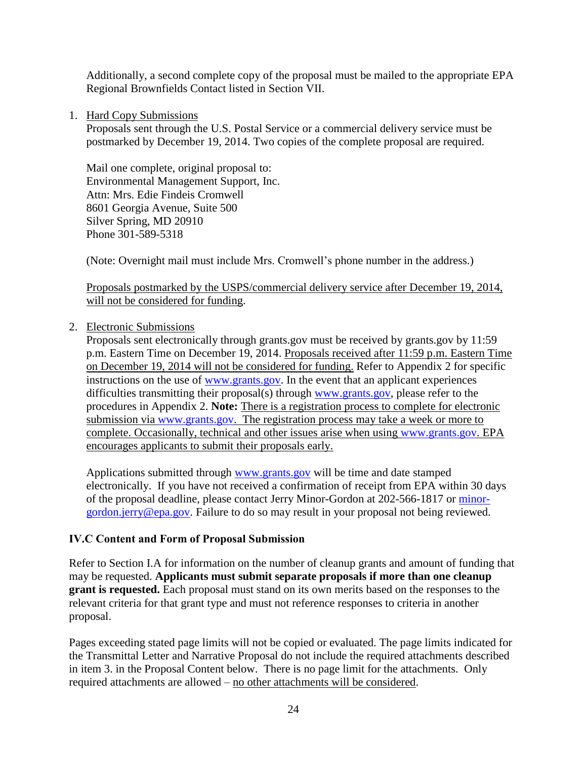Additionally, a second complete copy of the proposal must be mailed to the appropriate EPA Regional Brownfields Contact listed in Section VII.

1. Hard Copy Submissions

Proposals sent through the U.S. Postal Service or a commercial delivery service must be postmarked by December 19, 2014. Two copies of the complete proposal are required.

Mail one complete, original proposal to: Environmental Management Support, Inc. Attn: Mrs. Edie Findeis Cromwell 8601 Georgia Avenue, Suite 500 Silver Spring, MD 20910 Phone 301-589-5318

(Note: Overnight mail must include Mrs. Cromwell's phone number in the address.)

Proposals postmarked by the USPS/commercial delivery service after December 19, 2014, will not be considered for funding.

2. Electronic Submissions

Proposals sent electronically through grants.gov must be received by grants.gov by 11:59 p.m. Eastern Time on December 19, 2014. Proposals received after 11:59 p.m. Eastern Time on December 19, 2014 will not be considered for funding. Refer to Appendix 2 for specific instructions on the use of [www.grants.gov.](http://www.grants.gov/) In the event that an applicant experiences difficulties transmitting their proposal(s) through [www.grants.gov,](http://www.grants.gov/) please refer to the procedures in Appendix 2. **Note:** There is a registration process to complete for electronic submission via [www.grants.gov.](http://www.grants.gov/) The registration process may take a week or more to complete. Occasionally, technical and other issues arise when using [www.grants.gov.](http://www.grants.gov/) EPA encourages applicants to submit their proposals early.

Applications submitted through [www.grants.gov](http://www.grants.gov/) will be time and date stamped electronically. If you have not received a confirmation of receipt from EPA within 30 days of the proposal deadline, please contact Jerry Minor-Gordon at 202-566-1817 or [minor](mailto:minor-gordon.jerry@epa.gov)[gordon.jerry@epa.gov.](mailto:minor-gordon.jerry@epa.gov) Failure to do so may result in your proposal not being reviewed.

#### <span id="page-23-0"></span>**IV.C Content and Form of Proposal Submission**

Refer to Section I.A for information on the number of cleanup grants and amount of funding that may be requested. **Applicants must submit separate proposals if more than one cleanup grant is requested.** Each proposal must stand on its own merits based on the responses to the relevant criteria for that grant type and must not reference responses to criteria in another proposal.

Pages exceeding stated page limits will not be copied or evaluated. The page limits indicated for the Transmittal Letter and Narrative Proposal do not include the required attachments described in item 3. in the Proposal Content below. There is no page limit for the attachments. Only required attachments are allowed – no other attachments will be considered.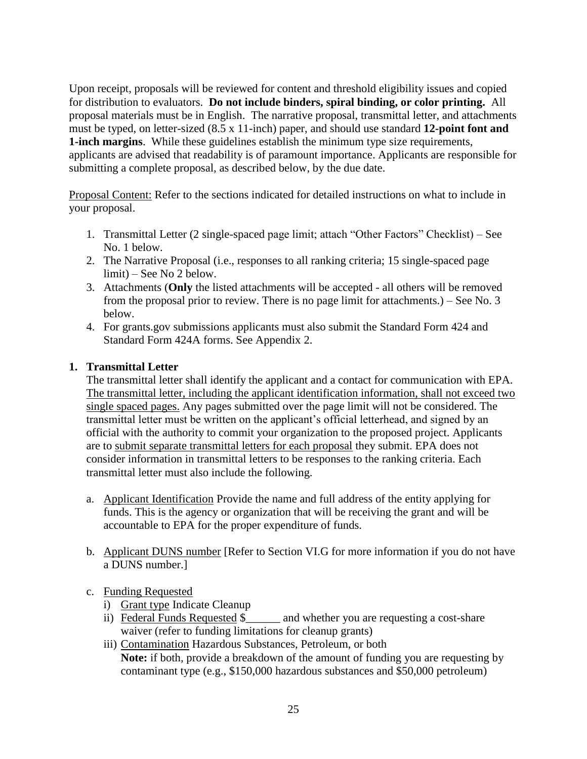Upon receipt, proposals will be reviewed for content and threshold eligibility issues and copied for distribution to evaluators. **Do not include binders, spiral binding, or color printing.** All proposal materials must be in English. The narrative proposal, transmittal letter, and attachments must be typed, on letter-sized (8.5 x 11-inch) paper, and should use standard **12-point font and 1-inch margins**. While these guidelines establish the minimum type size requirements, applicants are advised that readability is of paramount importance. Applicants are responsible for submitting a complete proposal, as described below, by the due date.

Proposal Content: Refer to the sections indicated for detailed instructions on what to include in your proposal.

- 1. Transmittal Letter (2 single-spaced page limit; attach "Other Factors" Checklist) See No. 1 below.
- 2. The Narrative Proposal (i.e., responses to all ranking criteria; 15 single-spaced page limit) – See No 2 below.
- 3. Attachments (**Only** the listed attachments will be accepted all others will be removed from the proposal prior to review. There is no page limit for attachments.) – See No. 3 below.
- 4. For grants.gov submissions applicants must also submit the Standard Form 424 and Standard Form 424A forms. See Appendix 2.

#### **1. Transmittal Letter**

The transmittal letter shall identify the applicant and a contact for communication with EPA. The transmittal letter, including the applicant identification information, shall not exceed two single spaced pages. Any pages submitted over the page limit will not be considered. The transmittal letter must be written on the applicant's official letterhead, and signed by an official with the authority to commit your organization to the proposed project. Applicants are to submit separate transmittal letters for each proposal they submit. EPA does not consider information in transmittal letters to be responses to the ranking criteria. Each transmittal letter must also include the following.

- a. Applicant Identification Provide the name and full address of the entity applying for funds. This is the agency or organization that will be receiving the grant and will be accountable to EPA for the proper expenditure of funds.
- b. Applicant DUNS number [Refer to Section VI.G for more information if you do not have a DUNS number.]

#### c. Funding Requested

- i) Grant type Indicate Cleanup
- ii) Federal Funds Requested \$\_\_\_\_\_\_ and whether you are requesting a cost-share waiver (refer to funding limitations for cleanup grants)
- iii) Contamination Hazardous Substances, Petroleum, or both **Note:** if both, provide a breakdown of the amount of funding you are requesting by contaminant type (e.g., \$150,000 hazardous substances and \$50,000 petroleum)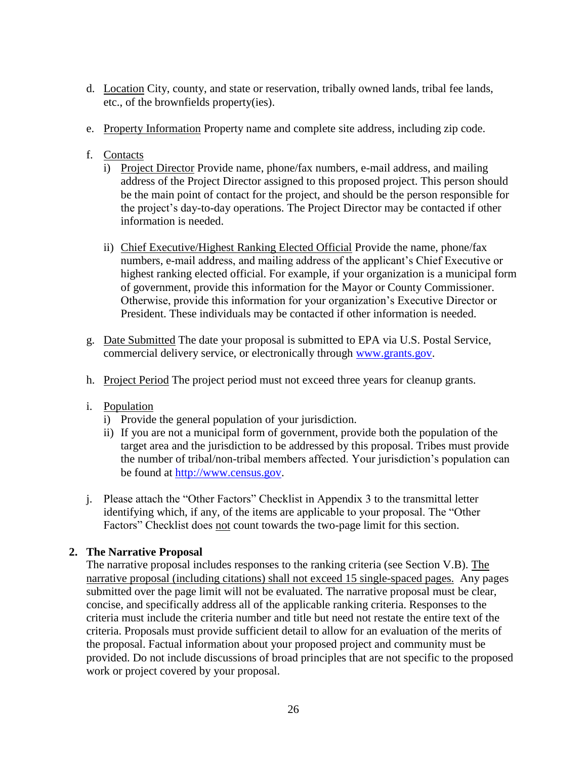- d. Location City, county, and state or reservation, tribally owned lands, tribal fee lands, etc., of the brownfields property(ies).
- e. Property Information Property name and complete site address, including zip code.
- f. Contacts
	- i) Project Director Provide name, phone/fax numbers, e-mail address, and mailing address of the Project Director assigned to this proposed project. This person should be the main point of contact for the project, and should be the person responsible for the project's day-to-day operations. The Project Director may be contacted if other information is needed.
	- ii) Chief Executive/Highest Ranking Elected Official Provide the name, phone/fax numbers, e-mail address, and mailing address of the applicant's Chief Executive or highest ranking elected official. For example, if your organization is a municipal form of government, provide this information for the Mayor or County Commissioner. Otherwise, provide this information for your organization's Executive Director or President. These individuals may be contacted if other information is needed.
- g. Date Submitted The date your proposal is submitted to EPA via U.S. Postal Service, commercial delivery service, or electronically through [www.grants.gov.](http://www.grants.gov/)
- h. Project Period The project period must not exceed three years for cleanup grants.
- i. Population
	- i) Provide the general population of your jurisdiction.
	- ii) If you are not a municipal form of government, provide both the population of the target area and the jurisdiction to be addressed by this proposal. Tribes must provide the number of tribal/non-tribal members affected. Your jurisdiction's population can be found at [http://www.census.gov.](http://www.census.gov/)
- j. Please attach the "Other Factors" Checklist in Appendix 3 to the transmittal letter identifying which, if any, of the items are applicable to your proposal. The "Other Factors" Checklist does not count towards the two-page limit for this section.

#### **2. The Narrative Proposal**

The narrative proposal includes responses to the ranking criteria (see Section V.B). The narrative proposal (including citations) shall not exceed 15 single-spaced pages. Any pages submitted over the page limit will not be evaluated. The narrative proposal must be clear, concise, and specifically address all of the applicable ranking criteria. Responses to the criteria must include the criteria number and title but need not restate the entire text of the criteria. Proposals must provide sufficient detail to allow for an evaluation of the merits of the proposal. Factual information about your proposed project and community must be provided. Do not include discussions of broad principles that are not specific to the proposed work or project covered by your proposal.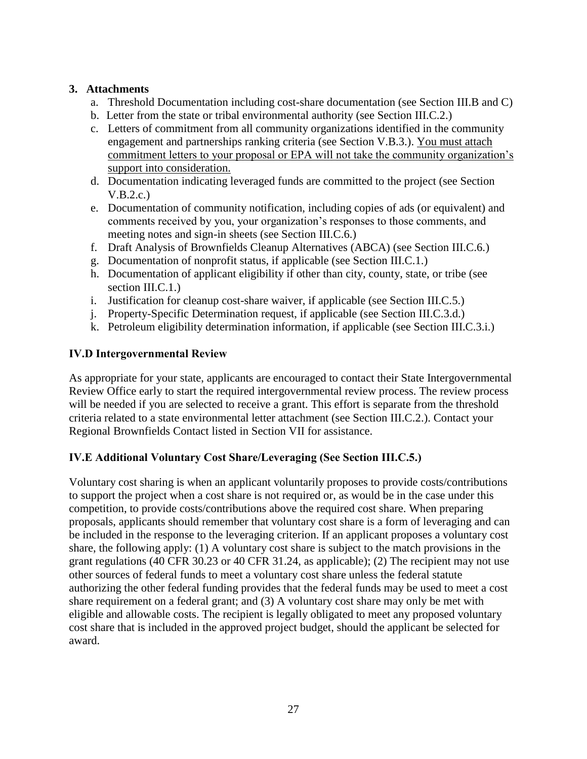#### **3. Attachments**

- a. Threshold Documentation including cost-share documentation (see Section III.B and C)
- b. Letter from the state or tribal environmental authority (see Section III.C.2.)
- c. Letters of commitment from all community organizations identified in the community engagement and partnerships ranking criteria (see Section V.B.3.). You must attach commitment letters to your proposal or EPA will not take the community organization's support into consideration.
- d. Documentation indicating leveraged funds are committed to the project (see Section V.B.2.c.)
- e. Documentation of community notification, including copies of ads (or equivalent) and comments received by you, your organization's responses to those comments, and meeting notes and sign-in sheets (see Section III.C.6.)
- f. Draft Analysis of Brownfields Cleanup Alternatives (ABCA) (see Section III.C.6.)
- g. Documentation of nonprofit status, if applicable (see Section III.C.1.)
- h. Documentation of applicant eligibility if other than city, county, state, or tribe (see section III.C.1.
- i. Justification for cleanup cost-share waiver, if applicable (see Section III.C.5.)
- j. Property-Specific Determination request, if applicable (see Section III.C.3.d.)
- k. Petroleum eligibility determination information, if applicable (see Section III.C.3.i.)

## <span id="page-26-0"></span>**IV.D Intergovernmental Review**

As appropriate for your state, applicants are encouraged to contact their State Intergovernmental Review Office early to start the required intergovernmental review process. The review process will be needed if you are selected to receive a grant. This effort is separate from the threshold criteria related to a state environmental letter attachment (see Section III.C.2.). Contact your Regional Brownfields Contact listed in Section VII for assistance.

## <span id="page-26-1"></span>**IV.E Additional Voluntary Cost Share/Leveraging (See Section III.C.5.)**

Voluntary cost sharing is when an applicant voluntarily proposes to provide costs/contributions to support the project when a cost share is not required or, as would be in the case under this competition, to provide costs/contributions above the required cost share. When preparing proposals, applicants should remember that voluntary cost share is a form of leveraging and can be included in the response to the leveraging criterion. If an applicant proposes a voluntary cost share, the following apply: (1) A voluntary cost share is subject to the match provisions in the grant regulations (40 CFR 30.23 or 40 CFR 31.24, as applicable); (2) The recipient may not use other sources of federal funds to meet a voluntary cost share unless the federal statute authorizing the other federal funding provides that the federal funds may be used to meet a cost share requirement on a federal grant; and (3) A voluntary cost share may only be met with eligible and allowable costs. The recipient is legally obligated to meet any proposed voluntary cost share that is included in the approved project budget, should the applicant be selected for award.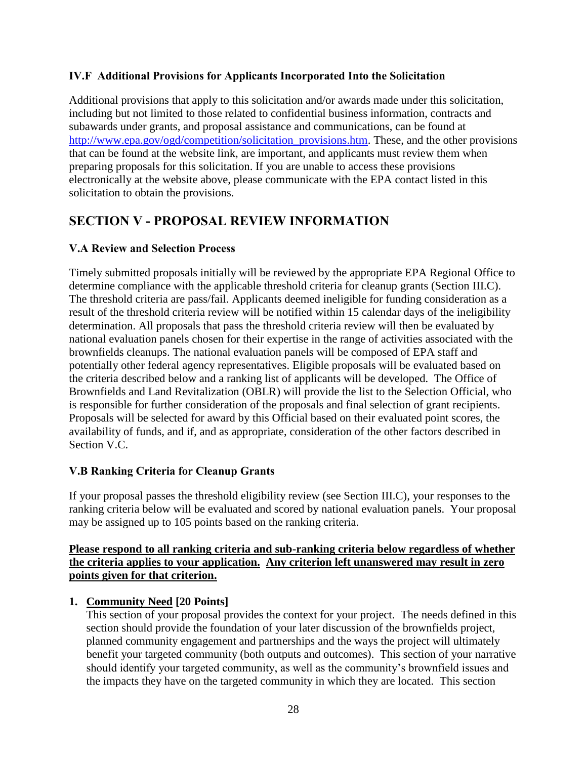#### <span id="page-27-0"></span>**IV.F Additional Provisions for Applicants Incorporated Into the Solicitation**

Additional provisions that apply to this solicitation and/or awards made under this solicitation, including but not limited to those related to confidential business information, contracts and subawards under grants, and proposal assistance and communications, can be found at [http://www.epa.gov/ogd/competition/solicitation\\_provisions.htm.](http://www.epa.gov/ogd/competition/solicitation_provisions.htm) These, and the other provisions that can be found at the website link, are important, and applicants must review them when preparing proposals for this solicitation. If you are unable to access these provisions electronically at the website above, please communicate with the EPA contact listed in this solicitation to obtain the provisions.

## <span id="page-27-1"></span>**SECTION V - PROPOSAL REVIEW INFORMATION**

## <span id="page-27-2"></span>**V.A Review and Selection Process**

Timely submitted proposals initially will be reviewed by the appropriate EPA Regional Office to determine compliance with the applicable threshold criteria for cleanup grants (Section III.C). The threshold criteria are pass/fail. Applicants deemed ineligible for funding consideration as a result of the threshold criteria review will be notified within 15 calendar days of the ineligibility determination. All proposals that pass the threshold criteria review will then be evaluated by national evaluation panels chosen for their expertise in the range of activities associated with the brownfields cleanups. The national evaluation panels will be composed of EPA staff and potentially other federal agency representatives. Eligible proposals will be evaluated based on the criteria described below and a ranking list of applicants will be developed. The Office of Brownfields and Land Revitalization (OBLR) will provide the list to the Selection Official, who is responsible for further consideration of the proposals and final selection of grant recipients. Proposals will be selected for award by this Official based on their evaluated point scores, the availability of funds, and if, and as appropriate, consideration of the other factors described in Section V.C.

#### <span id="page-27-3"></span>**V.B Ranking Criteria for Cleanup Grants**

If your proposal passes the threshold eligibility review (see Section III.C), your responses to the ranking criteria below will be evaluated and scored by national evaluation panels. Your proposal may be assigned up to 105 points based on the ranking criteria.

#### **Please respond to all ranking criteria and sub-ranking criteria below regardless of whether the criteria applies to your application. Any criterion left unanswered may result in zero points given for that criterion.**

#### <span id="page-27-4"></span>**1. Community Need [20 Points]**

This section of your proposal provides the context for your project. The needs defined in this section should provide the foundation of your later discussion of the brownfields project, planned community engagement and partnerships and the ways the project will ultimately benefit your targeted community (both outputs and outcomes). This section of your narrative should identify your targeted community, as well as the community's brownfield issues and the impacts they have on the targeted community in which they are located. This section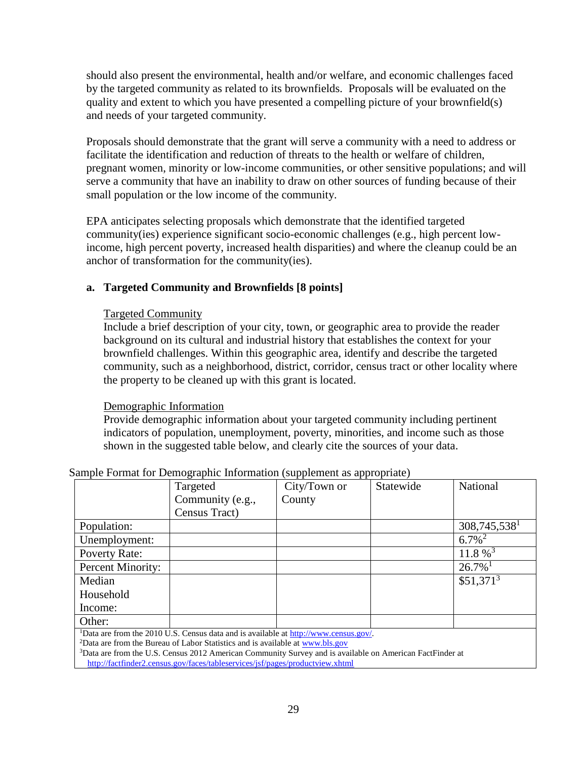should also present the environmental, health and/or welfare, and economic challenges faced by the targeted community as related to its brownfields. Proposals will be evaluated on the quality and extent to which you have presented a compelling picture of your brownfield(s) and needs of your targeted community.

Proposals should demonstrate that the grant will serve a community with a need to address or facilitate the identification and reduction of threats to the health or welfare of children, pregnant women, minority or low-income communities, or other sensitive populations; and will serve a community that have an inability to draw on other sources of funding because of their small population or the low income of the community.

EPA anticipates selecting proposals which demonstrate that the identified targeted community(ies) experience significant socio-economic challenges (e.g., high percent lowincome, high percent poverty, increased health disparities) and where the cleanup could be an anchor of transformation for the community(ies).

#### **a. Targeted Community and Brownfields [8 points]**

#### Targeted Community

Include a brief description of your city, town, or geographic area to provide the reader background on its cultural and industrial history that establishes the context for your brownfield challenges. Within this geographic area, identify and describe the targeted community, such as a neighborhood, district, corridor, census tract or other locality where the property to be cleaned up with this grant is located.

#### Demographic Information

Provide demographic information about your targeted community including pertinent indicators of population, unemployment, poverty, minorities, and income such as those shown in the suggested table below, and clearly cite the sources of your data.

|                                                                                                                                                                                                                                                                                                                                                                                                                                                                                                                         | Targeted         | City/Town or | Statewide | National               |
|-------------------------------------------------------------------------------------------------------------------------------------------------------------------------------------------------------------------------------------------------------------------------------------------------------------------------------------------------------------------------------------------------------------------------------------------------------------------------------------------------------------------------|------------------|--------------|-----------|------------------------|
|                                                                                                                                                                                                                                                                                                                                                                                                                                                                                                                         | Community (e.g., | County       |           |                        |
|                                                                                                                                                                                                                                                                                                                                                                                                                                                                                                                         | Census Tract)    |              |           |                        |
| Population:                                                                                                                                                                                                                                                                                                                                                                                                                                                                                                             |                  |              |           | $308,745,538^1$        |
| Unemployment:                                                                                                                                                                                                                                                                                                                                                                                                                                                                                                           |                  |              |           | $6.7\%$ <sup>2</sup>   |
| <b>Poverty Rate:</b>                                                                                                                                                                                                                                                                                                                                                                                                                                                                                                    |                  |              |           | $11.8 \%$ <sup>3</sup> |
| Percent Minority:                                                                                                                                                                                                                                                                                                                                                                                                                                                                                                       |                  |              |           | $26.7\%$ <sup>1</sup>  |
| Median                                                                                                                                                                                                                                                                                                                                                                                                                                                                                                                  |                  |              |           | $$51,371^3$            |
| Household                                                                                                                                                                                                                                                                                                                                                                                                                                                                                                               |                  |              |           |                        |
| Income:                                                                                                                                                                                                                                                                                                                                                                                                                                                                                                                 |                  |              |           |                        |
| Other:                                                                                                                                                                                                                                                                                                                                                                                                                                                                                                                  |                  |              |           |                        |
| <sup>1</sup> Data are from the 2010 U.S. Census data and is available at $\frac{http://www.census.gov/}{http://www.census.gov/}$ .<br>$2\pi$ and $\pi$<br>$\alpha$ , $\alpha$ , $\alpha$ , $\alpha$ , $\alpha$ , $\alpha$ , $\alpha$ , $\alpha$ , $\alpha$ , $\alpha$ , $\alpha$ , $\alpha$ , $\alpha$ , $\alpha$ , $\alpha$ , $\alpha$ , $\alpha$ , $\alpha$ , $\alpha$ , $\alpha$ , $\alpha$ , $\alpha$ , $\alpha$ , $\alpha$ , $\alpha$ , $\alpha$ , $\alpha$ , $\alpha$ , $\alpha$ , $\alpha$ , $\alpha$ , $\alpha$ |                  |              |           |                        |

#### Sample Format for Demographic Information (supplement as appropriate)

<sup>2</sup>Data are from the Bureau of Labor Statistics and is available at [www.bls.gov](https://www.sam.gov/portal/public/SAM/)

<sup>3</sup>Data are from the U.S. Census 2012 American Community Survey and is available on American FactFinder at http://factfinder2.census.gov/faces/tableservices/jsf/pages/productview.xhtml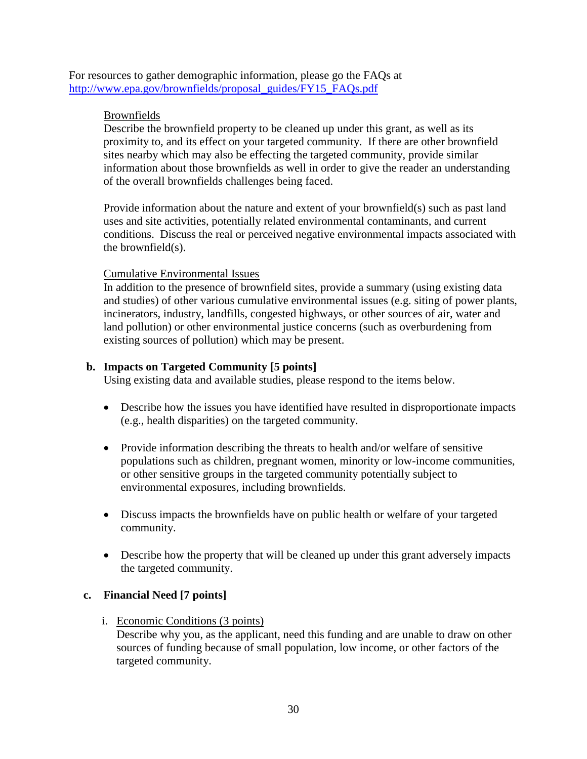For resources to gather demographic information, please go the FAQs at [http://www.epa.gov/brownfields/proposal\\_guides/FY15\\_FAQs.pdf](http://www.epa.gov/brownfields/proposal_guides/FY15_FAQs.pdf)

#### Brownfields

Describe the brownfield property to be cleaned up under this grant, as well as its proximity to, and its effect on your targeted community. If there are other brownfield sites nearby which may also be effecting the targeted community, provide similar information about those brownfields as well in order to give the reader an understanding of the overall brownfields challenges being faced.

Provide information about the nature and extent of your brownfield(s) such as past land uses and site activities, potentially related environmental contaminants, and current conditions. Discuss the real or perceived negative environmental impacts associated with the brownfield(s).

#### Cumulative Environmental Issues

In addition to the presence of brownfield sites, provide a summary (using existing data and studies) of other various cumulative environmental issues (e.g. siting of power plants, incinerators, industry, landfills, congested highways, or other sources of air, water and land pollution) or other environmental justice concerns (such as overburdening from existing sources of pollution) which may be present.

#### **b. Impacts on Targeted Community [5 points]**

Using existing data and available studies, please respond to the items below.

- Describe how the issues you have identified have resulted in disproportionate impacts (e.g., health disparities) on the targeted community.
- Provide information describing the threats to health and/or welfare of sensitive populations such as children, pregnant women, minority or low-income communities, or other sensitive groups in the targeted community potentially subject to environmental exposures, including brownfields.
- Discuss impacts the brownfields have on public health or welfare of your targeted community.
- Describe how the property that will be cleaned up under this grant adversely impacts the targeted community.

#### **c. Financial Need [7 points]**

i. Economic Conditions (3 points)

Describe why you, as the applicant, need this funding and are unable to draw on other sources of funding because of small population, low income, or other factors of the targeted community.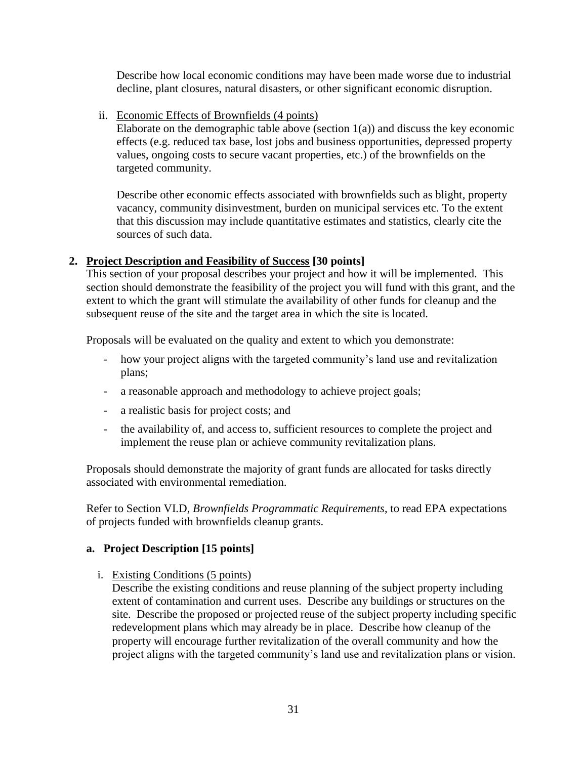Describe how local economic conditions may have been made worse due to industrial decline, plant closures, natural disasters, or other significant economic disruption.

ii. Economic Effects of Brownfields (4 points)

Elaborate on the demographic table above (section  $1(a)$ ) and discuss the key economic effects (e.g. reduced tax base, lost jobs and business opportunities, depressed property values, ongoing costs to secure vacant properties, etc.) of the brownfields on the targeted community.

Describe other economic effects associated with brownfields such as blight, property vacancy, community disinvestment, burden on municipal services etc. To the extent that this discussion may include quantitative estimates and statistics, clearly cite the sources of such data.

#### <span id="page-30-0"></span>**2. Project Description and Feasibility of Success [30 points]**

This section of your proposal describes your project and how it will be implemented. This section should demonstrate the feasibility of the project you will fund with this grant, and the extent to which the grant will stimulate the availability of other funds for cleanup and the subsequent reuse of the site and the target area in which the site is located.

Proposals will be evaluated on the quality and extent to which you demonstrate:

- how your project aligns with the targeted community's land use and revitalization plans;
- a reasonable approach and methodology to achieve project goals;
- a realistic basis for project costs; and
- the availability of, and access to, sufficient resources to complete the project and implement the reuse plan or achieve community revitalization plans.

Proposals should demonstrate the majority of grant funds are allocated for tasks directly associated with environmental remediation.

Refer to Section VI.D, *Brownfields Programmatic Requirements*, to read EPA expectations of projects funded with brownfields cleanup grants.

## **a. Project Description [15 points]**

i. Existing Conditions (5 points)

Describe the existing conditions and reuse planning of the subject property including extent of contamination and current uses. Describe any buildings or structures on the site. Describe the proposed or projected reuse of the subject property including specific redevelopment plans which may already be in place. Describe how cleanup of the property will encourage further revitalization of the overall community and how the project aligns with the targeted community's land use and revitalization plans or vision.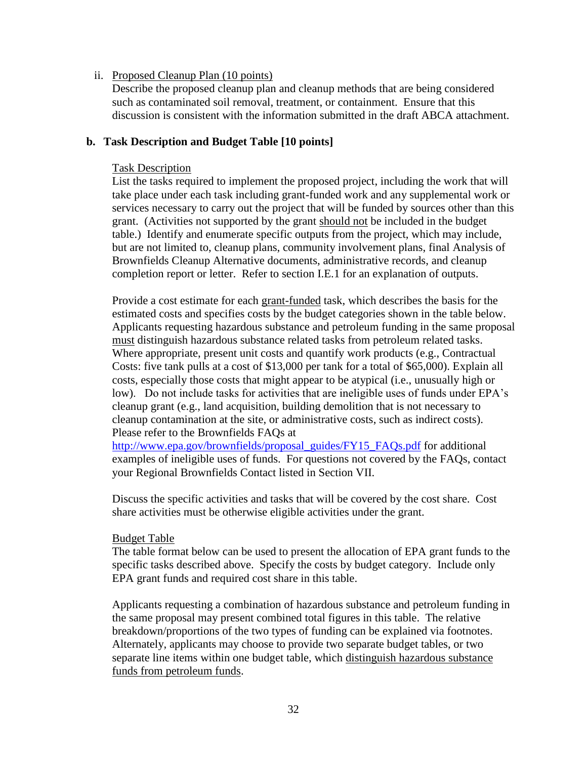#### ii. Proposed Cleanup Plan (10 points)

 Describe the proposed cleanup plan and cleanup methods that are being considered such as contaminated soil removal, treatment, or containment. Ensure that this discussion is consistent with the information submitted in the draft ABCA attachment.

#### **b. Task Description and Budget Table [10 points]**

#### Task Description

List the tasks required to implement the proposed project, including the work that will take place under each task including grant-funded work and any supplemental work or services necessary to carry out the project that will be funded by sources other than this grant. (Activities not supported by the grant should not be included in the budget table.) Identify and enumerate specific outputs from the project, which may include, but are not limited to, cleanup plans, community involvement plans, final Analysis of Brownfields Cleanup Alternative documents, administrative records, and cleanup completion report or letter. Refer to section I.E.1 for an explanation of outputs.

Provide a cost estimate for each grant-funded task, which describes the basis for the estimated costs and specifies costs by the budget categories shown in the table below. Applicants requesting hazardous substance and petroleum funding in the same proposal must distinguish hazardous substance related tasks from petroleum related tasks. Where appropriate, present unit costs and quantify work products (e.g., Contractual Costs: five tank pulls at a cost of \$13,000 per tank for a total of \$65,000). Explain all costs, especially those costs that might appear to be atypical (i.e., unusually high or low). Do not include tasks for activities that are ineligible uses of funds under EPA's cleanup grant (e.g., land acquisition, building demolition that is not necessary to cleanup contamination at the site, or administrative costs, such as indirect costs). Please refer to the Brownfields FAQs at

[http://www.epa.gov/brownfields/proposal\\_guides/FY15\\_FAQs.pdf](http://www.epa.gov/brownfields/proposal_guides/FY15_FAQs.pdf) for additional examples of ineligible uses of funds. For questions not covered by the FAQs, contact your Regional Brownfields Contact listed in Section VII.

Discuss the specific activities and tasks that will be covered by the cost share. Cost share activities must be otherwise eligible activities under the grant.

#### Budget Table

The table format below can be used to present the allocation of EPA grant funds to the specific tasks described above. Specify the costs by budget category. Include only EPA grant funds and required cost share in this table.

Applicants requesting a combination of hazardous substance and petroleum funding in the same proposal may present combined total figures in this table. The relative breakdown/proportions of the two types of funding can be explained via footnotes. Alternately, applicants may choose to provide two separate budget tables, or two separate line items within one budget table, which distinguish hazardous substance funds from petroleum funds.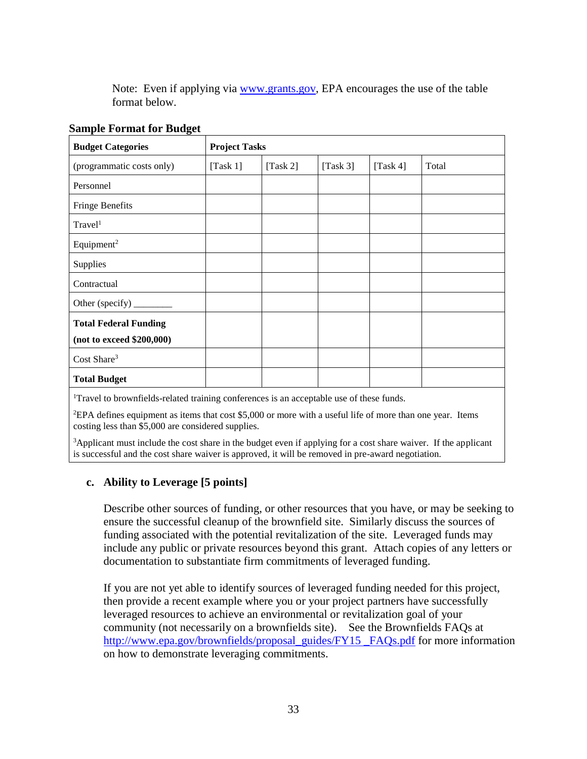Note: Even if applying via [www.grants.gov,](http://www.grants.gov/) EPA encourages the use of the table format below.

| <b>Budget Categories</b>     | <b>Project Tasks</b> |             |             |          |       |
|------------------------------|----------------------|-------------|-------------|----------|-------|
| (programmatic costs only)    | [Task $1$ ]          | [Task $2$ ] | [Task $3$ ] | [Task 4] | Total |
| Personnel                    |                      |             |             |          |       |
| <b>Fringe Benefits</b>       |                      |             |             |          |       |
| Travel <sup>1</sup>          |                      |             |             |          |       |
| Equipment <sup>2</sup>       |                      |             |             |          |       |
| Supplies                     |                      |             |             |          |       |
| Contractual                  |                      |             |             |          |       |
| Other (specify) _______      |                      |             |             |          |       |
| <b>Total Federal Funding</b> |                      |             |             |          |       |
| (not to exceed \$200,000)    |                      |             |             |          |       |
| Cost Share <sup>3</sup>      |                      |             |             |          |       |
| <b>Total Budget</b>          |                      |             |             |          |       |

#### **Sample Format for Budget**

<sup>1</sup>Travel to brownfields-related training conferences is an acceptable use of these funds.

<sup>2</sup>EPA defines equipment as items that cost \$5,000 or more with a useful life of more than one year. Items costing less than \$5,000 are considered supplies.

<sup>3</sup>Applicant must include the cost share in the budget even if applying for a cost share waiver. If the applicant is successful and the cost share waiver is approved, it will be removed in pre-award negotiation.

#### **c. Ability to Leverage [5 points]**

Describe other sources of funding, or other resources that you have, or may be seeking to ensure the successful cleanup of the brownfield site. Similarly discuss the sources of funding associated with the potential revitalization of the site. Leveraged funds may include any public or private resources beyond this grant. Attach copies of any letters or documentation to substantiate firm commitments of leveraged funding.

If you are not yet able to identify sources of leveraged funding needed for this project, then provide a recent example where you or your project partners have successfully leveraged resources to achieve an environmental or revitalization goal of your community (not necessarily on a brownfields site). See the Brownfields FAQs at [http://www.epa.gov/brownfields/proposal\\_guides/FY15 \\_FAQs.pdf](http://www.epa.gov/brownfields/proposal_guides/FY15%20_FAQs.pdf) for more information on how to demonstrate leveraging commitments.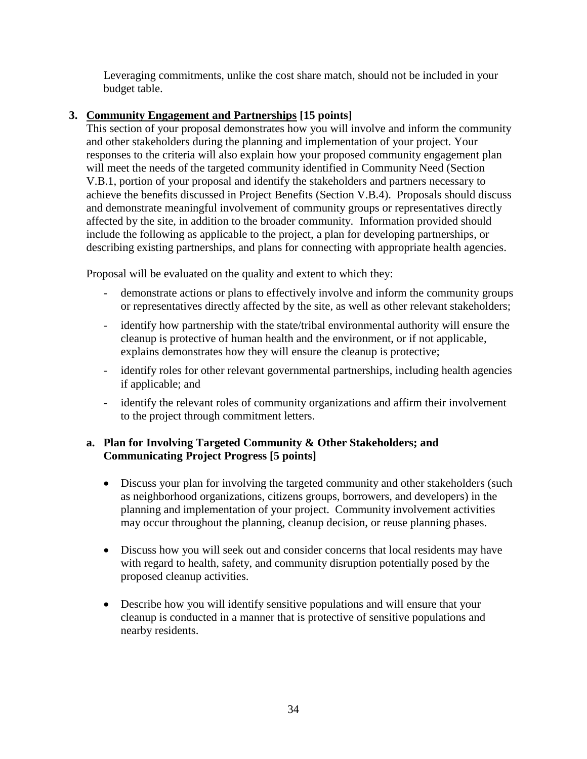Leveraging commitments, unlike the cost share match, should not be included in your budget table.

## <span id="page-33-0"></span>**3. Community Engagement and Partnerships [15 points]**

This section of your proposal demonstrates how you will involve and inform the community and other stakeholders during the planning and implementation of your project. Your responses to the criteria will also explain how your proposed community engagement plan will meet the needs of the targeted community identified in Community Need (Section V.B.1, portion of your proposal and identify the stakeholders and partners necessary to achieve the benefits discussed in Project Benefits (Section V.B.4). Proposals should discuss and demonstrate meaningful involvement of community groups or representatives directly affected by the site, in addition to the broader community. Information provided should include the following as applicable to the project, a plan for developing partnerships, or describing existing partnerships, and plans for connecting with appropriate health agencies.

Proposal will be evaluated on the quality and extent to which they:

- demonstrate actions or plans to effectively involve and inform the community groups or representatives directly affected by the site, as well as other relevant stakeholders;
- identify how partnership with the state/tribal environmental authority will ensure the cleanup is protective of human health and the environment, or if not applicable, explains demonstrates how they will ensure the cleanup is protective;
- identify roles for other relevant governmental partnerships, including health agencies if applicable; and
- identify the relevant roles of community organizations and affirm their involvement to the project through commitment letters.

## **a. Plan for Involving Targeted Community & Other Stakeholders; and Communicating Project Progress [5 points]**

- Discuss your plan for involving the targeted community and other stakeholders (such as neighborhood organizations, citizens groups, borrowers, and developers) in the planning and implementation of your project. Community involvement activities may occur throughout the planning, cleanup decision, or reuse planning phases.
- Discuss how you will seek out and consider concerns that local residents may have with regard to health, safety, and community disruption potentially posed by the proposed cleanup activities.
- Describe how you will identify sensitive populations and will ensure that your cleanup is conducted in a manner that is protective of sensitive populations and nearby residents.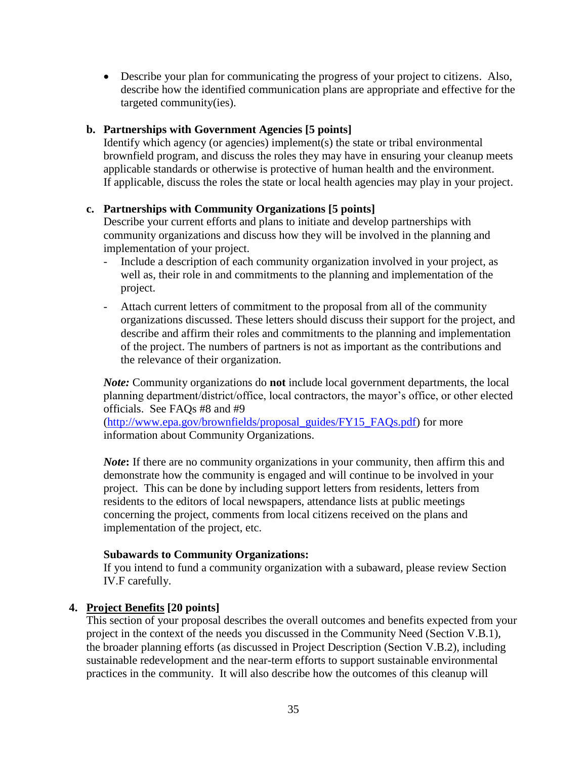Describe your plan for communicating the progress of your project to citizens. Also, describe how the identified communication plans are appropriate and effective for the targeted community(ies).

#### **b. Partnerships with Government Agencies [5 points]**

Identify which agency (or agencies) implement(s) the state or tribal environmental brownfield program, and discuss the roles they may have in ensuring your cleanup meets applicable standards or otherwise is protective of human health and the environment. If applicable, discuss the roles the state or local health agencies may play in your project.

#### **c. Partnerships with Community Organizations [5 points]**

Describe your current efforts and plans to initiate and develop partnerships with community organizations and discuss how they will be involved in the planning and implementation of your project.

- Include a description of each community organization involved in your project, as well as, their role in and commitments to the planning and implementation of the project.
- Attach current letters of commitment to the proposal from all of the community organizations discussed. These letters should discuss their support for the project, and describe and affirm their roles and commitments to the planning and implementation of the project. The numbers of partners is not as important as the contributions and the relevance of their organization.

*Note:* Community organizations do **not** include local government departments, the local planning department/district/office, local contractors, the mayor's office, or other elected officials. See FAQs #8 and #9

[\(http://www.epa.gov/brownfields/proposal\\_guides/FY15\\_FAQs.pdf\)](http://www.epa.gov/brownfields/proposal_guides/FY15_FAQs.pdf) for more information about Community Organizations.

*Note***:** If there are no community organizations in your community, then affirm this and demonstrate how the community is engaged and will continue to be involved in your project. This can be done by including support letters from residents, letters from residents to the editors of local newspapers, attendance lists at public meetings concerning the project, comments from local citizens received on the plans and implementation of the project, etc.

#### **Subawards to Community Organizations:**

If you intend to fund a community organization with a subaward, please review Section IV.F carefully.

#### <span id="page-34-0"></span>**4. Project Benefits [20 points]**

This section of your proposal describes the overall outcomes and benefits expected from your project in the context of the needs you discussed in the Community Need (Section V.B.1), the broader planning efforts (as discussed in Project Description (Section V.B.2), including sustainable redevelopment and the near-term efforts to support sustainable environmental practices in the community. It will also describe how the outcomes of this cleanup will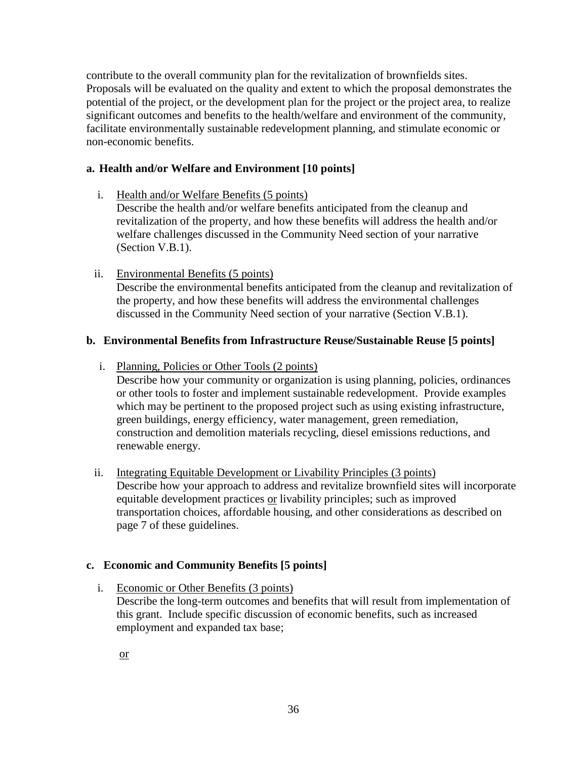contribute to the overall community plan for the revitalization of brownfields sites. Proposals will be evaluated on the quality and extent to which the proposal demonstrates the potential of the project, or the development plan for the project or the project area, to realize significant outcomes and benefits to the health/welfare and environment of the community, facilitate environmentally sustainable redevelopment planning, and stimulate economic or non-economic benefits.

## **a. Health and/or Welfare and Environment [10 points]**

i. Health and/or Welfare Benefits (5 points)

Describe the health and/or welfare benefits anticipated from the cleanup and revitalization of the property, and how these benefits will address the health and/or welfare challenges discussed in the Community Need section of your narrative (Section V.B.1).

ii. Environmental Benefits (5 points) Describe the environmental benefits anticipated from the cleanup and revitalization of the property, and how these benefits will address the environmental challenges discussed in the Community Need section of your narrative (Section V.B.1).

## **b. Environmental Benefits from Infrastructure Reuse/Sustainable Reuse [5 points]**

i. Planning, Policies or Other Tools (2 points)

Describe how your community or organization is using planning, policies, ordinances or other tools to foster and implement sustainable redevelopment. Provide examples which may be pertinent to the proposed project such as using existing infrastructure, green buildings, energy efficiency, water management, green remediation, construction and demolition materials recycling, diesel emissions reductions, and renewable energy.

ii. Integrating Equitable Development or Livability Principles (3 points) Describe how your approach to address and revitalize brownfield sites will incorporate equitable development practices or livability principles; such as improved transportation choices, affordable housing, and other considerations as described on page 7 of these guidelines.

#### **c. Economic and Community Benefits [5 points]**

i. Economic or Other Benefits (3 points) Describe the long-term outcomes and benefits that will result from implementation of this grant. Include specific discussion of economic benefits, such as increased employment and expanded tax base;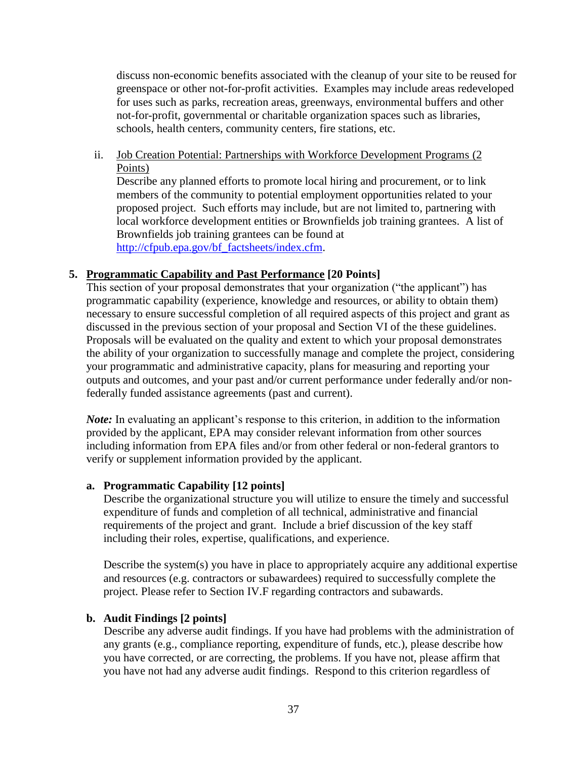discuss non-economic benefits associated with the cleanup of your site to be reused for greenspace or other not-for-profit activities. Examples may include areas redeveloped for uses such as parks, recreation areas, greenways, environmental buffers and other not-for-profit, governmental or charitable organization spaces such as libraries, schools, health centers, community centers, fire stations, etc.

ii. Job Creation Potential: Partnerships with Workforce Development Programs (2 Points)

Describe any planned efforts to promote local hiring and procurement, or to link members of the community to potential employment opportunities related to your proposed project. Such efforts may include, but are not limited to, partnering with local workforce development entities or Brownfields job training grantees. A list of Brownfields job training grantees can be found at [http://cfpub.epa.gov/bf\\_factsheets/index.cfm.](http://www.grants.gov/)

#### <span id="page-36-0"></span>**5. Programmatic Capability and Past Performance [20 Points]**

This section of your proposal demonstrates that your organization ("the applicant") has programmatic capability (experience, knowledge and resources, or ability to obtain them) necessary to ensure successful completion of all required aspects of this project and grant as discussed in the previous section of your proposal and Section VI of the these guidelines. Proposals will be evaluated on the quality and extent to which your proposal demonstrates the ability of your organization to successfully manage and complete the project, considering your programmatic and administrative capacity, plans for measuring and reporting your outputs and outcomes, and your past and/or current performance under federally and/or nonfederally funded assistance agreements (past and current).

*Note:* In evaluating an applicant's response to this criterion, in addition to the information provided by the applicant, EPA may consider relevant information from other sources including information from EPA files and/or from other federal or non-federal grantors to verify or supplement information provided by the applicant.

#### **a. Programmatic Capability [12 points]**

Describe the organizational structure you will utilize to ensure the timely and successful expenditure of funds and completion of all technical, administrative and financial requirements of the project and grant. Include a brief discussion of the key staff including their roles, expertise, qualifications, and experience.

Describe the system(s) you have in place to appropriately acquire any additional expertise and resources (e.g. contractors or subawardees) required to successfully complete the project. Please refer to Section IV.F regarding contractors and subawards.

#### **b. Audit Findings [2 points]**

Describe any adverse audit findings. If you have had problems with the administration of any grants (e.g., compliance reporting, expenditure of funds, etc.), please describe how you have corrected, or are correcting, the problems. If you have not, please affirm that you have not had any adverse audit findings. Respond to this criterion regardless of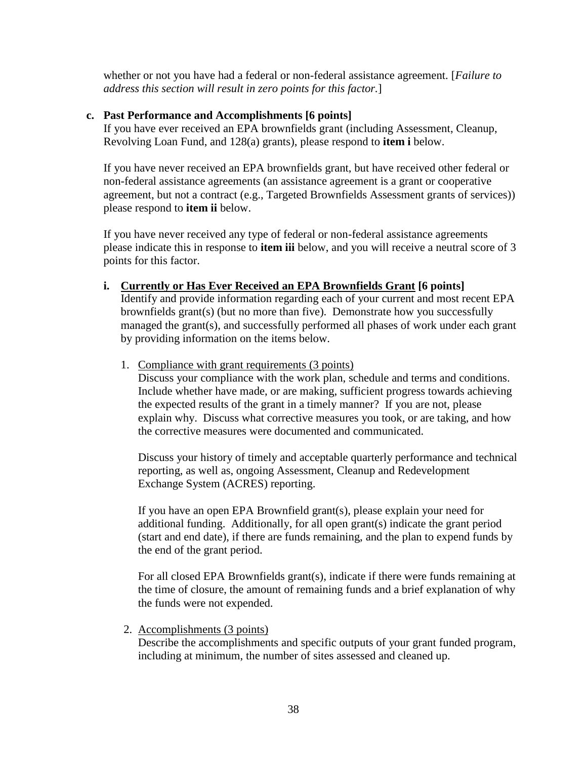whether or not you have had a federal or non-federal assistance agreement. [*Failure to address this section will result in zero points for this factor.*]

#### **c. Past Performance and Accomplishments [6 points]**

If you have ever received an EPA brownfields grant (including Assessment, Cleanup, Revolving Loan Fund, and 128(a) grants), please respond to **item i** below.

If you have never received an EPA brownfields grant, but have received other federal or non-federal assistance agreements (an assistance agreement is a grant or cooperative agreement, but not a contract (e.g., Targeted Brownfields Assessment grants of services)) please respond to **item ii** below.

If you have never received any type of federal or non-federal assistance agreements please indicate this in response to **item iii** below, and you will receive a neutral score of 3 points for this factor.

**i. Currently or Has Ever Received an EPA Brownfields Grant [6 points]**

Identify and provide information regarding each of your current and most recent EPA brownfields grant(s) (but no more than five). Demonstrate how you successfully managed the grant(s), and successfully performed all phases of work under each grant by providing information on the items below.

1. Compliance with grant requirements (3 points)

Discuss your compliance with the work plan, schedule and terms and conditions. Include whether have made, or are making, sufficient progress towards achieving the expected results of the grant in a timely manner? If you are not, please explain why. Discuss what corrective measures you took, or are taking, and how the corrective measures were documented and communicated.

Discuss your history of timely and acceptable quarterly performance and technical reporting, as well as, ongoing Assessment, Cleanup and Redevelopment Exchange System (ACRES) reporting.

If you have an open EPA Brownfield grant(s), please explain your need for additional funding. Additionally, for all open grant(s) indicate the grant period (start and end date), if there are funds remaining, and the plan to expend funds by the end of the grant period.

For all closed EPA Brownfields grant(s), indicate if there were funds remaining at the time of closure, the amount of remaining funds and a brief explanation of why the funds were not expended.

2. Accomplishments (3 points)

Describe the accomplishments and specific outputs of your grant funded program, including at minimum, the number of sites assessed and cleaned up.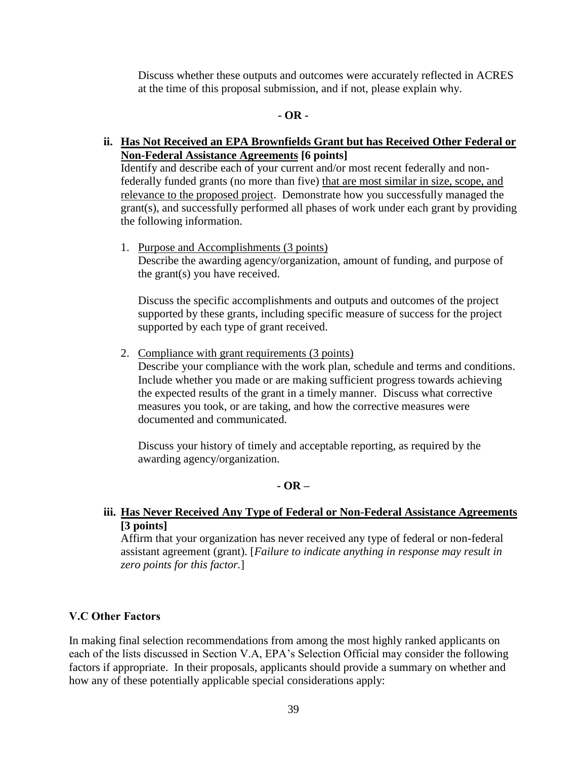Discuss whether these outputs and outcomes were accurately reflected in ACRES at the time of this proposal submission, and if not, please explain why.

#### **- OR -**

#### **ii. Has Not Received an EPA Brownfields Grant but has Received Other Federal or Non-Federal Assistance Agreements [6 points]**

Identify and describe each of your current and/or most recent federally and nonfederally funded grants (no more than five) that are most similar in size, scope, and relevance to the proposed project. Demonstrate how you successfully managed the grant(s), and successfully performed all phases of work under each grant by providing the following information.

1. Purpose and Accomplishments (3 points) Describe the awarding agency/organization, amount of funding, and purpose of the grant(s) you have received.

Discuss the specific accomplishments and outputs and outcomes of the project supported by these grants, including specific measure of success for the project supported by each type of grant received.

2. Compliance with grant requirements (3 points) Describe your compliance with the work plan, schedule and terms and conditions. Include whether you made or are making sufficient progress towards achieving the expected results of the grant in a timely manner. Discuss what corrective measures you took, or are taking, and how the corrective measures were documented and communicated.

Discuss your history of timely and acceptable reporting, as required by the awarding agency/organization.

#### **- OR –**

#### **iii. Has Never Received Any Type of Federal or Non-Federal Assistance Agreements [3 points]**

Affirm that your organization has never received any type of federal or non-federal assistant agreement (grant). [*Failure to indicate anything in response may result in zero points for this factor.*]

#### <span id="page-38-0"></span>**V.C Other Factors**

In making final selection recommendations from among the most highly ranked applicants on each of the lists discussed in Section V.A, EPA's Selection Official may consider the following factors if appropriate. In their proposals, applicants should provide a summary on whether and how any of these potentially applicable special considerations apply: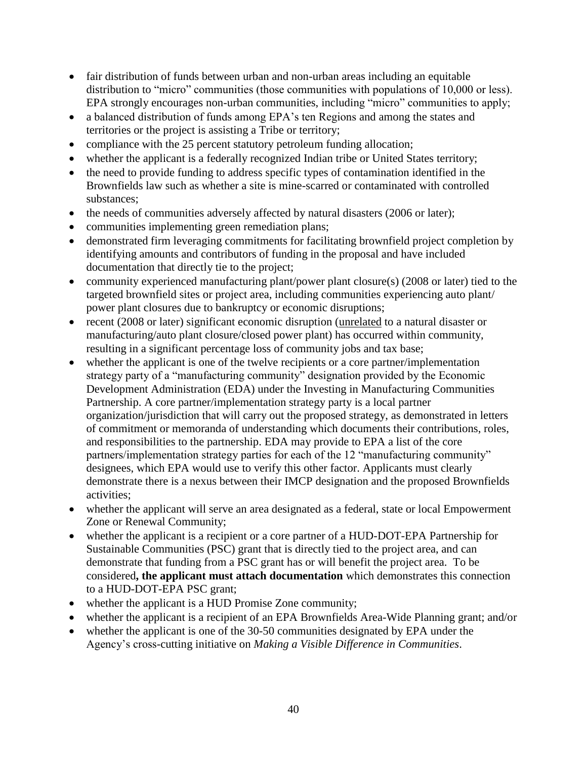- fair distribution of funds between urban and non-urban areas including an equitable distribution to "micro" communities (those communities with populations of 10,000 or less). EPA strongly encourages non-urban communities, including "micro" communities to apply;
- a balanced distribution of funds among EPA's ten Regions and among the states and territories or the project is assisting a Tribe or territory;
- compliance with the 25 percent statutory petroleum funding allocation;
- whether the applicant is a federally recognized Indian tribe or United States territory;
- the need to provide funding to address specific types of contamination identified in the Brownfields law such as whether a site is mine-scarred or contaminated with controlled substances;
- the needs of communities adversely affected by natural disasters (2006 or later);
- communities implementing green remediation plans;
- demonstrated firm leveraging commitments for facilitating brownfield project completion by identifying amounts and contributors of funding in the proposal and have included documentation that directly tie to the project;
- community experienced manufacturing plant/power plant closure(s) (2008 or later) tied to the targeted brownfield sites or project area, including communities experiencing auto plant/ power plant closures due to bankruptcy or economic disruptions;
- recent (2008 or later) significant economic disruption (unrelated to a natural disaster or manufacturing/auto plant closure/closed power plant) has occurred within community, resulting in a significant percentage loss of community jobs and tax base;
- whether the applicant is one of the twelve recipients or a core partner/implementation strategy party of a "manufacturing community" designation provided by the Economic Development Administration (EDA) under the Investing in Manufacturing Communities Partnership. A core partner/implementation strategy party is a local partner organization/jurisdiction that will carry out the proposed strategy, as demonstrated in letters of commitment or memoranda of understanding which documents their contributions, roles, and responsibilities to the partnership. EDA may provide to EPA a list of the core partners/implementation strategy parties for each of the 12 "manufacturing community" designees, which EPA would use to verify this other factor. Applicants must clearly demonstrate there is a nexus between their IMCP designation and the proposed Brownfields activities;
- whether the applicant will serve an area designated as a federal, state or local Empowerment Zone or Renewal Community;
- whether the applicant is a recipient or a core partner of a HUD-DOT-EPA Partnership for Sustainable Communities (PSC) grant that is directly tied to the project area, and can demonstrate that funding from a PSC grant has or will benefit the project area. To be considered**, the applicant must attach documentation** which demonstrates this connection to a HUD-DOT-EPA PSC grant;
- whether the applicant is a HUD Promise Zone community;
- whether the applicant is a recipient of an EPA Brownfields Area-Wide Planning grant; and/or
- whether the applicant is one of the 30-50 communities designated by EPA under the Agency's cross-cutting initiative on *Making a Visible Difference in Communities*.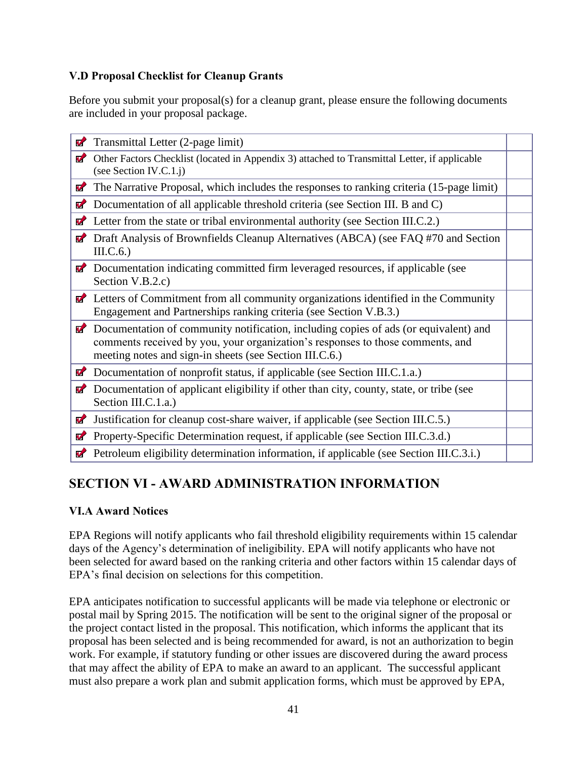## <span id="page-40-0"></span>**V.D Proposal Checklist for Cleanup Grants**

Before you submit your proposal(s) for a cleanup grant, please ensure the following documents are included in your proposal package.

| V                | Transmittal Letter (2-page limit)                                                                                                                                                                                                 |  |
|------------------|-----------------------------------------------------------------------------------------------------------------------------------------------------------------------------------------------------------------------------------|--|
| V                | Other Factors Checklist (located in Appendix 3) attached to Transmittal Letter, if applicable<br>(see Section IV.C.1.j)                                                                                                           |  |
| <b>M</b>         | The Narrative Proposal, which includes the responses to ranking criteria (15-page limit)                                                                                                                                          |  |
| V                | Documentation of all applicable threshold criteria (see Section III. B and C)                                                                                                                                                     |  |
| $\sigma$         | Letter from the state or tribal environmental authority (see Section III.C.2.)                                                                                                                                                    |  |
| V                | Draft Analysis of Brownfields Cleanup Alternatives (ABCA) (see FAQ #70 and Section<br>III.C.6.)                                                                                                                                   |  |
|                  | <b>Z</b> Documentation indicating committed firm leveraged resources, if applicable (see<br>Section V.B.2.c)                                                                                                                      |  |
|                  | $\blacktriangleright$ Letters of Commitment from all community organizations identified in the Community<br>Engagement and Partnerships ranking criteria (see Section V.B.3.)                                                     |  |
| $\boldsymbol{v}$ | Documentation of community notification, including copies of ads (or equivalent) and<br>comments received by you, your organization's responses to those comments, and<br>meeting notes and sign-in sheets (see Section III.C.6.) |  |
| $\mathbf{v}$     | Documentation of nonprofit status, if applicable (see Section III.C.1.a.)                                                                                                                                                         |  |
| $\boldsymbol{u}$ | Documentation of applicant eligibility if other than city, county, state, or tribe (see<br>Section III.C.1.a.)                                                                                                                    |  |
| $\boldsymbol{v}$ | Justification for cleanup cost-share waiver, if applicable (see Section III.C.5.)                                                                                                                                                 |  |
| $\boldsymbol{v}$ | Property-Specific Determination request, if applicable (see Section III.C.3.d.)                                                                                                                                                   |  |
|                  | Petroleum eligibility determination information, if applicable (see Section III.C.3.i.)                                                                                                                                           |  |

# <span id="page-40-1"></span>**SECTION VI - AWARD ADMINISTRATION INFORMATION**

## <span id="page-40-2"></span>**VI.A Award Notices**

EPA Regions will notify applicants who fail threshold eligibility requirements within 15 calendar days of the Agency's determination of ineligibility. EPA will notify applicants who have not been selected for award based on the ranking criteria and other factors within 15 calendar days of EPA's final decision on selections for this competition.

EPA anticipates notification to successful applicants will be made via telephone or electronic or postal mail by Spring 2015. The notification will be sent to the original signer of the proposal or the project contact listed in the proposal. This notification, which informs the applicant that its proposal has been selected and is being recommended for award, is not an authorization to begin work. For example, if statutory funding or other issues are discovered during the award process that may affect the ability of EPA to make an award to an applicant. The successful applicant must also prepare a work plan and submit application forms, which must be approved by EPA,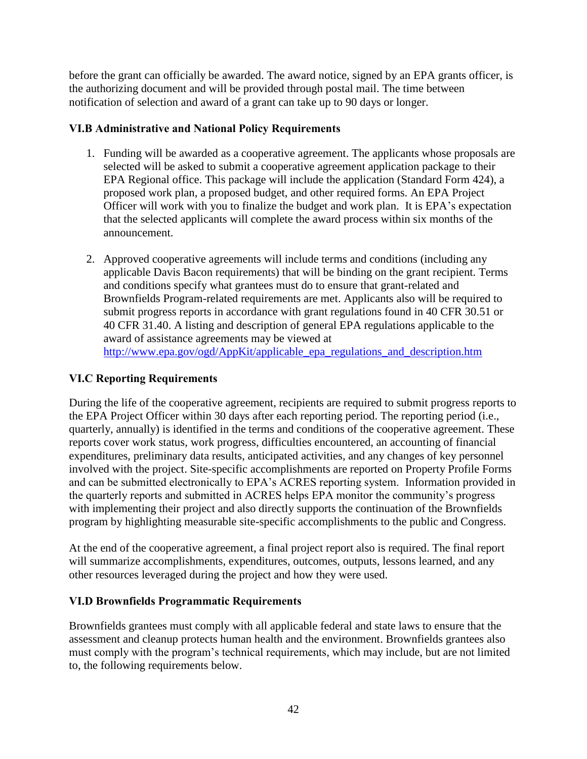before the grant can officially be awarded. The award notice, signed by an EPA grants officer, is the authorizing document and will be provided through postal mail. The time between notification of selection and award of a grant can take up to 90 days or longer.

## <span id="page-41-0"></span>**VI.B Administrative and National Policy Requirements**

- 1. Funding will be awarded as a cooperative agreement. The applicants whose proposals are selected will be asked to submit a cooperative agreement application package to their EPA Regional office. This package will include the application (Standard Form 424), a proposed work plan, a proposed budget, and other required forms. An EPA Project Officer will work with you to finalize the budget and work plan. It is EPA's expectation that the selected applicants will complete the award process within six months of the announcement.
- 2. Approved cooperative agreements will include terms and conditions (including any applicable Davis Bacon requirements) that will be binding on the grant recipient. Terms and conditions specify what grantees must do to ensure that grant-related and Brownfields Program-related requirements are met. Applicants also will be required to submit progress reports in accordance with grant regulations found in 40 CFR 30.51 or 40 CFR 31.40. A listing and description of general EPA regulations applicable to the award of assistance agreements may be viewed at [http://www.epa.gov/ogd/AppKit/applicable\\_epa\\_regulations\\_and\\_description.htm](http://www.epa.gov/ogd/AppKit/applicable_epa_regulations_and_description.htm)

## <span id="page-41-1"></span>**VI.C Reporting Requirements**

During the life of the cooperative agreement, recipients are required to submit progress reports to the EPA Project Officer within 30 days after each reporting period. The reporting period (i.e., quarterly, annually) is identified in the terms and conditions of the cooperative agreement. These reports cover work status, work progress, difficulties encountered, an accounting of financial expenditures, preliminary data results, anticipated activities, and any changes of key personnel involved with the project. Site-specific accomplishments are reported on Property Profile Forms and can be submitted electronically to EPA's ACRES reporting system. Information provided in the quarterly reports and submitted in ACRES helps EPA monitor the community's progress with implementing their project and also directly supports the continuation of the Brownfields program by highlighting measurable site-specific accomplishments to the public and Congress.

At the end of the cooperative agreement, a final project report also is required. The final report will summarize accomplishments, expenditures, outcomes, outputs, lessons learned, and any other resources leveraged during the project and how they were used.

#### <span id="page-41-2"></span>**VI.D Brownfields Programmatic Requirements**

Brownfields grantees must comply with all applicable federal and state laws to ensure that the assessment and cleanup protects human health and the environment. Brownfields grantees also must comply with the program's technical requirements, which may include, but are not limited to, the following requirements below.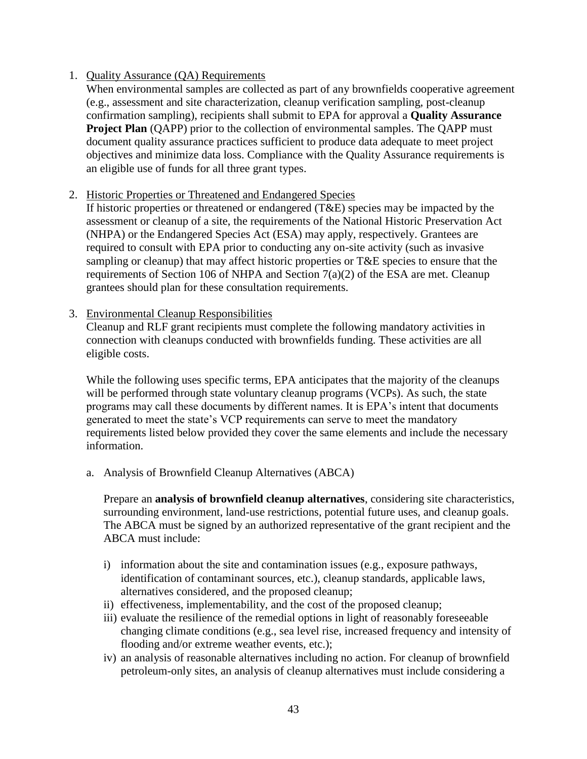#### 1. Quality Assurance (QA) Requirements

When environmental samples are collected as part of any brownfields cooperative agreement (e.g., assessment and site characterization, cleanup verification sampling, post-cleanup confirmation sampling), recipients shall submit to EPA for approval a **Quality Assurance Project Plan** (QAPP) prior to the collection of environmental samples. The QAPP must document quality assurance practices sufficient to produce data adequate to meet project objectives and minimize data loss. Compliance with the Quality Assurance requirements is an eligible use of funds for all three grant types.

#### 2. Historic Properties or Threatened and Endangered Species

If historic properties or threatened or endangered (T&E) species may be impacted by the assessment or cleanup of a site, the requirements of the National Historic Preservation Act (NHPA) or the Endangered Species Act (ESA) may apply, respectively. Grantees are required to consult with EPA prior to conducting any on-site activity (such as invasive sampling or cleanup) that may affect historic properties or T&E species to ensure that the requirements of Section 106 of NHPA and Section 7(a)(2) of the ESA are met. Cleanup grantees should plan for these consultation requirements.

#### 3. Environmental Cleanup Responsibilities

Cleanup and RLF grant recipients must complete the following mandatory activities in connection with cleanups conducted with brownfields funding. These activities are all eligible costs.

While the following uses specific terms, EPA anticipates that the majority of the cleanups will be performed through state voluntary cleanup programs (VCPs). As such, the state programs may call these documents by different names. It is EPA's intent that documents generated to meet the state's VCP requirements can serve to meet the mandatory requirements listed below provided they cover the same elements and include the necessary information.

a. Analysis of Brownfield Cleanup Alternatives (ABCA)

Prepare an **analysis of brownfield cleanup alternatives**, considering site characteristics, surrounding environment, land-use restrictions, potential future uses, and cleanup goals. The ABCA must be signed by an authorized representative of the grant recipient and the ABCA must include:

- i) information about the site and contamination issues (e.g., exposure pathways, identification of contaminant sources, etc.), cleanup standards, applicable laws, alternatives considered, and the proposed cleanup;
- ii) effectiveness, implementability, and the cost of the proposed cleanup;
- iii) evaluate the resilience of the remedial options in light of reasonably foreseeable changing climate conditions (e.g., sea level rise, increased frequency and intensity of flooding and/or extreme weather events, etc.);
- iv) an analysis of reasonable alternatives including no action. For cleanup of brownfield petroleum-only sites, an analysis of cleanup alternatives must include considering a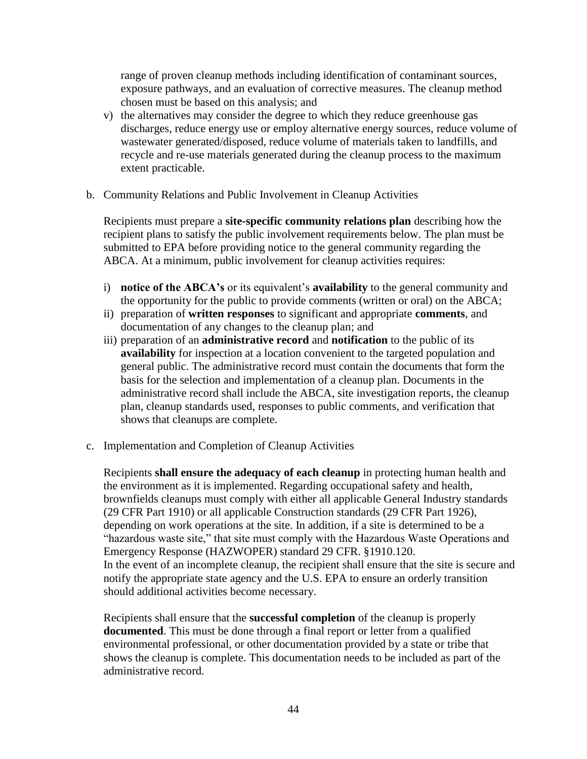range of proven cleanup methods including identification of contaminant sources, exposure pathways, and an evaluation of corrective measures. The cleanup method chosen must be based on this analysis; and

- v) the alternatives may consider the degree to which they reduce greenhouse gas discharges, reduce energy use or employ alternative energy sources, reduce volume of wastewater generated/disposed, reduce volume of materials taken to landfills, and recycle and re-use materials generated during the cleanup process to the maximum extent practicable.
- b. Community Relations and Public Involvement in Cleanup Activities

Recipients must prepare a **site-specific community relations plan** describing how the recipient plans to satisfy the public involvement requirements below. The plan must be submitted to EPA before providing notice to the general community regarding the ABCA. At a minimum, public involvement for cleanup activities requires:

- i) **notice of the ABCA's** or its equivalent's **availability** to the general community and the opportunity for the public to provide comments (written or oral) on the ABCA;
- ii) preparation of **written responses** to significant and appropriate **comments**, and documentation of any changes to the cleanup plan; and
- iii) preparation of an **administrative record** and **notification** to the public of its **availability** for inspection at a location convenient to the targeted population and general public. The administrative record must contain the documents that form the basis for the selection and implementation of a cleanup plan. Documents in the administrative record shall include the ABCA, site investigation reports, the cleanup plan, cleanup standards used, responses to public comments, and verification that shows that cleanups are complete.
- c. Implementation and Completion of Cleanup Activities

Recipients **shall ensure the adequacy of each cleanup** in protecting human health and the environment as it is implemented. Regarding occupational safety and health, brownfields cleanups must comply with either all applicable General Industry standards (29 CFR Part 1910) or all applicable Construction standards (29 CFR Part 1926), depending on work operations at the site. In addition, if a site is determined to be a "hazardous waste site," that site must comply with the Hazardous Waste Operations and Emergency Response (HAZWOPER) standard 29 CFR. §1910.120. In the event of an incomplete cleanup, the recipient shall ensure that the site is secure and notify the appropriate state agency and the U.S. EPA to ensure an orderly transition should additional activities become necessary.

Recipients shall ensure that the **successful completion** of the cleanup is properly **documented**. This must be done through a final report or letter from a qualified environmental professional, or other documentation provided by a state or tribe that shows the cleanup is complete. This documentation needs to be included as part of the administrative record.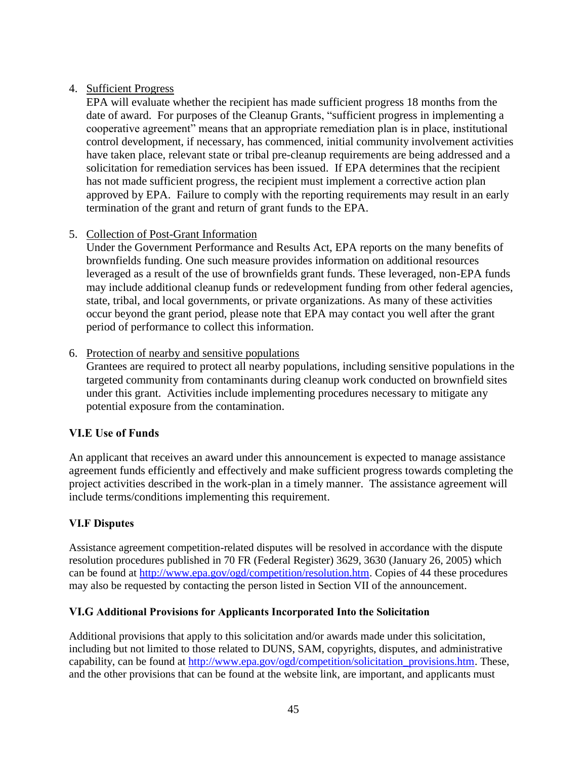## 4. Sufficient Progress

EPA will evaluate whether the recipient has made sufficient progress 18 months from the date of award. For purposes of the Cleanup Grants, "sufficient progress in implementing a cooperative agreement" means that an appropriate remediation plan is in place, institutional control development, if necessary, has commenced, initial community involvement activities have taken place, relevant state or tribal pre-cleanup requirements are being addressed and a solicitation for remediation services has been issued. If EPA determines that the recipient has not made sufficient progress, the recipient must implement a corrective action plan approved by EPA. Failure to comply with the reporting requirements may result in an early termination of the grant and return of grant funds to the EPA.

## 5. Collection of Post-Grant Information

Under the Government Performance and Results Act, EPA reports on the many benefits of brownfields funding. One such measure provides information on additional resources leveraged as a result of the use of brownfields grant funds. These leveraged, non-EPA funds may include additional cleanup funds or redevelopment funding from other federal agencies, state, tribal, and local governments, or private organizations. As many of these activities occur beyond the grant period, please note that EPA may contact you well after the grant period of performance to collect this information.

#### 6. Protection of nearby and sensitive populations

Grantees are required to protect all nearby populations, including sensitive populations in the targeted community from contaminants during cleanup work conducted on brownfield sites under this grant. Activities include implementing procedures necessary to mitigate any potential exposure from the contamination.

#### <span id="page-44-0"></span>**VI.E Use of Funds**

An applicant that receives an award under this announcement is expected to manage assistance agreement funds efficiently and effectively and make sufficient progress towards completing the project activities described in the work-plan in a timely manner. The assistance agreement will include terms/conditions implementing this requirement.

#### <span id="page-44-1"></span>**VI.F Disputes**

Assistance agreement competition-related disputes will be resolved in accordance with the dispute resolution procedures published in 70 FR (Federal Register) 3629, 3630 (January 26, 2005) which can be found at [http://www.epa.gov/ogd/competition/resolution.htm.](http://www.epa.gov/ogd/competition/resolution.htm) Copies of 44 these procedures may also be requested by contacting the person listed in Section VII of the announcement.

#### <span id="page-44-2"></span>**VI.G Additional Provisions for Applicants Incorporated Into the Solicitation**

Additional provisions that apply to this solicitation and/or awards made under this solicitation, including but not limited to those related to DUNS, SAM, copyrights, disputes, and administrative capability, can be found at [http://www.epa.gov/ogd/competition/solicitation\\_provisions.htm.](http://www.epa.gov/ogd/competition/solicitation_provisions.htm) These, and the other provisions that can be found at the website link, are important, and applicants must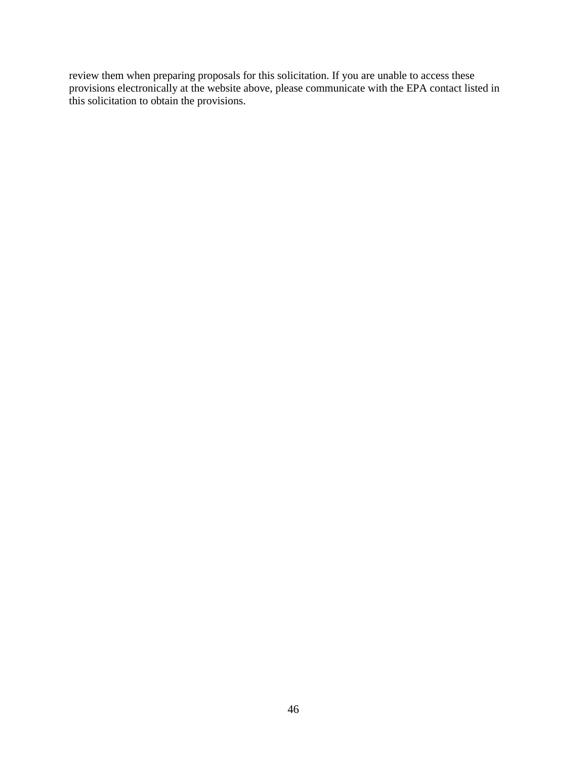review them when preparing proposals for this solicitation. If you are unable to access these provisions electronically at the website above, please communicate with the EPA contact listed in this solicitation to obtain the provisions.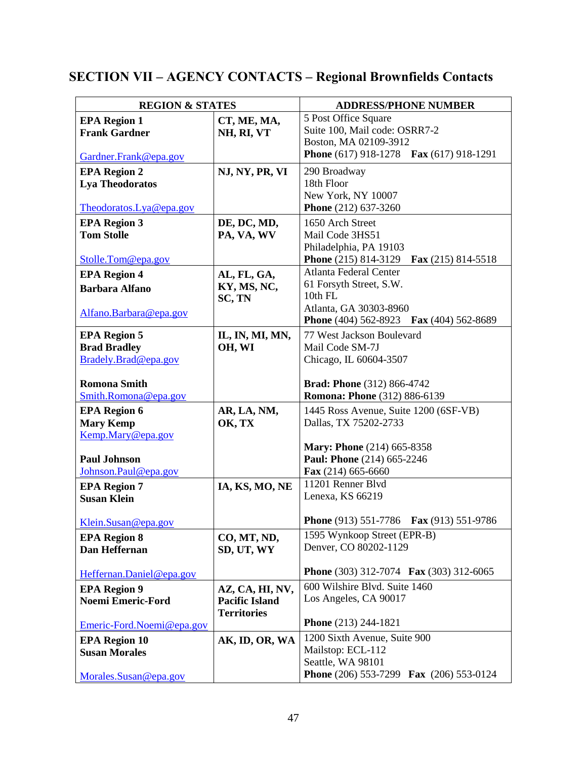# <span id="page-46-0"></span>**SECTION VII – AGENCY CONTACTS – Regional Brownfields Contacts**

| <b>REGION &amp; STATES</b> |                       | <b>ADDRESS/PHONE NUMBER</b>                                                   |  |  |
|----------------------------|-----------------------|-------------------------------------------------------------------------------|--|--|
| <b>EPA Region 1</b>        | CT, ME, MA,           | 5 Post Office Square                                                          |  |  |
| <b>Frank Gardner</b>       | NH, RI, VT            | Suite 100, Mail code: OSRR7-2                                                 |  |  |
|                            |                       | Boston, MA 02109-3912                                                         |  |  |
| Gardner.Frank@epa.gov      |                       | <b>Phone</b> (617) 918-1278 <b>Fax</b> (617) 918-1291                         |  |  |
| <b>EPA Region 2</b>        | NJ, NY, PR, VI        | 290 Broadway                                                                  |  |  |
| <b>Lya Theodoratos</b>     |                       | 18th Floor                                                                    |  |  |
|                            |                       | New York, NY 10007                                                            |  |  |
| Theodoratos.Lya@epa.gov    |                       | Phone (212) 637-3260                                                          |  |  |
| <b>EPA Region 3</b>        | DE, DC, MD,           | 1650 Arch Street                                                              |  |  |
| <b>Tom Stolle</b>          | PA, VA, WV            | Mail Code 3HS51                                                               |  |  |
|                            |                       | Philadelphia, PA 19103                                                        |  |  |
| Stolle.Tom@epa.gov         |                       | <b>Phone</b> (215) 814-3129<br>Fax $(215)$ 814-5518<br>Atlanta Federal Center |  |  |
| <b>EPA Region 4</b>        | AL, FL, GA,           | 61 Forsyth Street, S.W.                                                       |  |  |
| <b>Barbara Alfano</b>      | KY, MS, NC,<br>SC, TN | 10th FL                                                                       |  |  |
|                            |                       | Atlanta, GA 30303-8960                                                        |  |  |
| Alfano.Barbara@epa.gov     |                       | <b>Phone</b> (404) 562-8923<br><b>Fax</b> (404) 562-8689                      |  |  |
| <b>EPA Region 5</b>        | IL, IN, MI, MN,       | 77 West Jackson Boulevard                                                     |  |  |
| <b>Brad Bradley</b>        | OH, WI                | Mail Code SM-7J                                                               |  |  |
| Bradely.Brad@epa.gov       |                       | Chicago, IL 60604-3507                                                        |  |  |
|                            |                       |                                                                               |  |  |
| <b>Romona Smith</b>        |                       | <b>Brad: Phone</b> (312) 866-4742                                             |  |  |
| Smith.Romona@epa.gov       |                       | <b>Romona: Phone</b> (312) 886-6139                                           |  |  |
| <b>EPA Region 6</b>        | AR, LA, NM,           | 1445 Ross Avenue, Suite 1200 (6SF-VB)                                         |  |  |
| <b>Mary Kemp</b>           | OK, TX                | Dallas, TX 75202-2733                                                         |  |  |
| Kemp.Mary@epa.gov          |                       |                                                                               |  |  |
| <b>Paul Johnson</b>        |                       | <b>Mary: Phone</b> (214) 665-8358<br>Paul: Phone (214) 665-2246               |  |  |
| Johnson.Paul@epa.gov       |                       | Fax (214) 665-6660                                                            |  |  |
| <b>EPA Region 7</b>        | IA, KS, MO, NE        | 11201 Renner Blvd                                                             |  |  |
| <b>Susan Klein</b>         |                       | Lenexa, KS 66219                                                              |  |  |
|                            |                       |                                                                               |  |  |
| Klein.Susan@epa.gov        |                       | <b>Phone</b> (913) 551-7786<br>Fax (913) 551-9786                             |  |  |
| <b>EPA Region 8</b>        | CO, MT, ND,           | 1595 Wynkoop Street (EPR-B)                                                   |  |  |
| Dan Heffernan              | SD, UT, WY            | Denver, CO 80202-1129                                                         |  |  |
|                            |                       |                                                                               |  |  |
| Heffernan.Daniel@epa.gov   |                       | <b>Phone</b> (303) 312-7074 <b>Fax</b> (303) 312-6065                         |  |  |
| <b>EPA Region 9</b>        | AZ, CA, HI, NV,       | 600 Wilshire Blvd. Suite 1460                                                 |  |  |
| <b>Noemi Emeric-Ford</b>   | <b>Pacific Island</b> | Los Angeles, CA 90017                                                         |  |  |
|                            | <b>Territories</b>    | Phone (213) 244-1821                                                          |  |  |
| Emeric-Ford.Noemi@epa.gov  |                       |                                                                               |  |  |
| <b>EPA Region 10</b>       | AK, ID, OR, WA        | 1200 Sixth Avenue, Suite 900                                                  |  |  |
| <b>Susan Morales</b>       |                       | Mailstop: ECL-112<br>Seattle, WA 98101                                        |  |  |
|                            |                       | Phone (206) 553-7299 Fax (206) 553-0124                                       |  |  |
| Morales.Susan@epa.gov      |                       |                                                                               |  |  |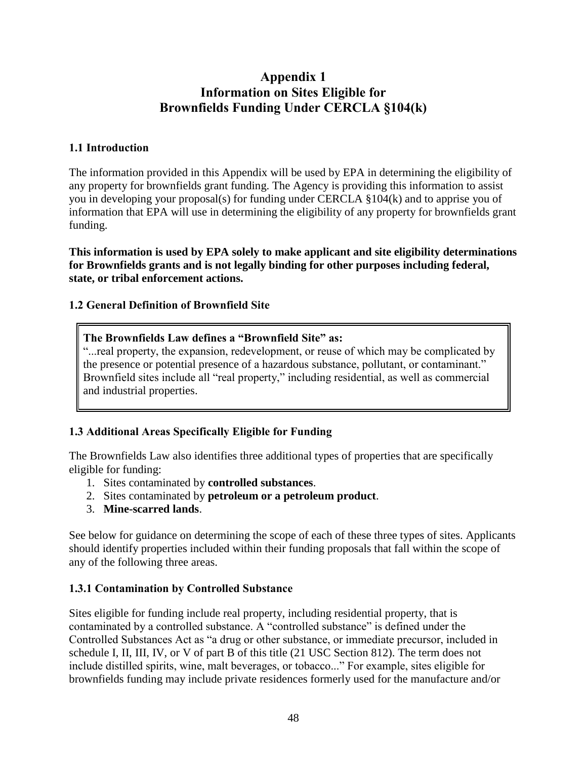# **Appendix 1 Information on Sites Eligible for Brownfields Funding Under CERCLA §104(k)**

## <span id="page-47-0"></span>**1.1 Introduction**

The information provided in this Appendix will be used by EPA in determining the eligibility of any property for brownfields grant funding. The Agency is providing this information to assist you in developing your proposal(s) for funding under CERCLA §104(k) and to apprise you of information that EPA will use in determining the eligibility of any property for brownfields grant funding.

**This information is used by EPA solely to make applicant and site eligibility determinations for Brownfields grants and is not legally binding for other purposes including federal, state, or tribal enforcement actions.** 

## **1.2 General Definition of Brownfield Site**

## **The Brownfields Law defines a "Brownfield Site" as:**

"...real property, the expansion, redevelopment, or reuse of which may be complicated by the presence or potential presence of a hazardous substance, pollutant, or contaminant." Brownfield sites include all "real property," including residential, as well as commercial and industrial properties.

## **1.3 Additional Areas Specifically Eligible for Funding**

The Brownfields Law also identifies three additional types of properties that are specifically eligible for funding:

- 1. Sites contaminated by **controlled substances**.
- 2. Sites contaminated by **petroleum or a petroleum product**.
- 3. **Mine-scarred lands**.

See below for guidance on determining the scope of each of these three types of sites. Applicants should identify properties included within their funding proposals that fall within the scope of any of the following three areas.

#### **1.3.1 Contamination by Controlled Substance**

Sites eligible for funding include real property, including residential property, that is contaminated by a controlled substance. A "controlled substance" is defined under the Controlled Substances Act as "a drug or other substance, or immediate precursor, included in schedule I, II, III, IV, or V of part B of this title (21 USC Section 812). The term does not include distilled spirits, wine, malt beverages, or tobacco..." For example, sites eligible for brownfields funding may include private residences formerly used for the manufacture and/or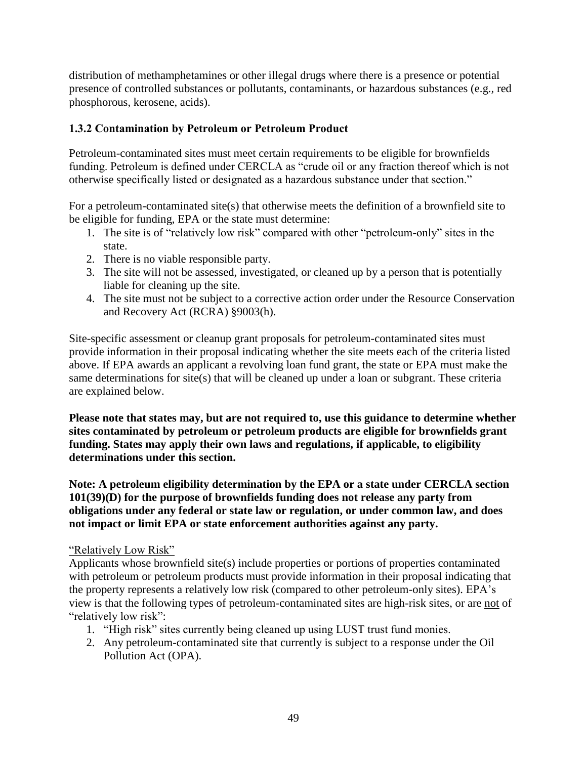distribution of methamphetamines or other illegal drugs where there is a presence or potential presence of controlled substances or pollutants, contaminants, or hazardous substances (e.g.*,* red phosphorous, kerosene, acids).

## **1.3.2 Contamination by Petroleum or Petroleum Product**

Petroleum-contaminated sites must meet certain requirements to be eligible for brownfields funding. Petroleum is defined under CERCLA as "crude oil or any fraction thereof which is not otherwise specifically listed or designated as a hazardous substance under that section."

For a petroleum-contaminated site(s) that otherwise meets the definition of a brownfield site to be eligible for funding, EPA or the state must determine:

- 1. The site is of "relatively low risk" compared with other "petroleum-only" sites in the state.
- 2. There is no viable responsible party.
- 3. The site will not be assessed, investigated, or cleaned up by a person that is potentially liable for cleaning up the site.
- 4. The site must not be subject to a corrective action order under the Resource Conservation and Recovery Act (RCRA) §9003(h).

Site-specific assessment or cleanup grant proposals for petroleum-contaminated sites must provide information in their proposal indicating whether the site meets each of the criteria listed above. If EPA awards an applicant a revolving loan fund grant, the state or EPA must make the same determinations for site(s) that will be cleaned up under a loan or subgrant. These criteria are explained below.

**Please note that states may, but are not required to, use this guidance to determine whether sites contaminated by petroleum or petroleum products are eligible for brownfields grant funding. States may apply their own laws and regulations, if applicable, to eligibility determinations under this section.** 

**Note: A petroleum eligibility determination by the EPA or a state under CERCLA section 101(39)(D) for the purpose of brownfields funding does not release any party from obligations under any federal or state law or regulation, or under common law, and does not impact or limit EPA or state enforcement authorities against any party.** 

#### "Relatively Low Risk"

Applicants whose brownfield site(s) include properties or portions of properties contaminated with petroleum or petroleum products must provide information in their proposal indicating that the property represents a relatively low risk (compared to other petroleum-only sites). EPA's view is that the following types of petroleum-contaminated sites are high-risk sites, or are not of "relatively low risk":

- 1. "High risk" sites currently being cleaned up using LUST trust fund monies.
- 2. Any petroleum-contaminated site that currently is subject to a response under the Oil Pollution Act (OPA).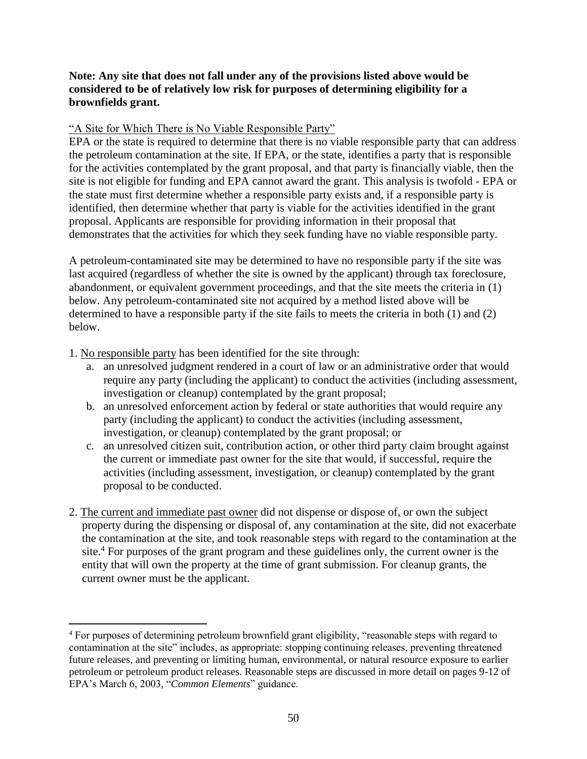#### **Note: Any site that does not fall under any of the provisions listed above would be considered to be of relatively low risk for purposes of determining eligibility for a brownfields grant.**

#### "A Site for Which There is No Viable Responsible Party"

EPA or the state is required to determine that there is no viable responsible party that can address the petroleum contamination at the site. If EPA, or the state, identifies a party that is responsible for the activities contemplated by the grant proposal, and that party is financially viable, then the site is not eligible for funding and EPA cannot award the grant. This analysis is twofold - EPA or the state must first determine whether a responsible party exists and, if a responsible party is identified, then determine whether that party is viable for the activities identified in the grant proposal. Applicants are responsible for providing information in their proposal that demonstrates that the activities for which they seek funding have no viable responsible party.

A petroleum-contaminated site may be determined to have no responsible party if the site was last acquired (regardless of whether the site is owned by the applicant) through tax foreclosure, abandonment, or equivalent government proceedings, and that the site meets the criteria in (1) below. Any petroleum-contaminated site not acquired by a method listed above will be determined to have a responsible party if the site fails to meets the criteria in both (1) and (2) below.

1. No responsible party has been identified for the site through:

 $\overline{a}$ 

- a. an unresolved judgment rendered in a court of law or an administrative order that would require any party (including the applicant) to conduct the activities (including assessment, investigation or cleanup) contemplated by the grant proposal;
- b. an unresolved enforcement action by federal or state authorities that would require any party (including the applicant) to conduct the activities (including assessment, investigation, or cleanup) contemplated by the grant proposal; or
- c. an unresolved citizen suit, contribution action, or other third party claim brought against the current or immediate past owner for the site that would, if successful, require the activities (including assessment, investigation, or cleanup) contemplated by the grant proposal to be conducted.
- 2. The current and immediate past owner did not dispense or dispose of, or own the subject property during the dispensing or disposal of, any contamination at the site, did not exacerbate the contamination at the site, and took reasonable steps with regard to the contamination at the site.<sup>4</sup> For purposes of the grant program and these guidelines only, the current owner is the entity that will own the property at the time of grant submission. For cleanup grants, the current owner must be the applicant.

<sup>4</sup> For purposes of determining petroleum brownfield grant eligibility, "reasonable steps with regard to contamination at the site" includes, as appropriate: stopping continuing releases, preventing threatened future releases, and preventing or limiting human, environmental, or natural resource exposure to earlier petroleum or petroleum product releases. Reasonable steps are discussed in more detail on pages 9-12 of EPA's March 6, 2003, "*Common Elements*" guidance.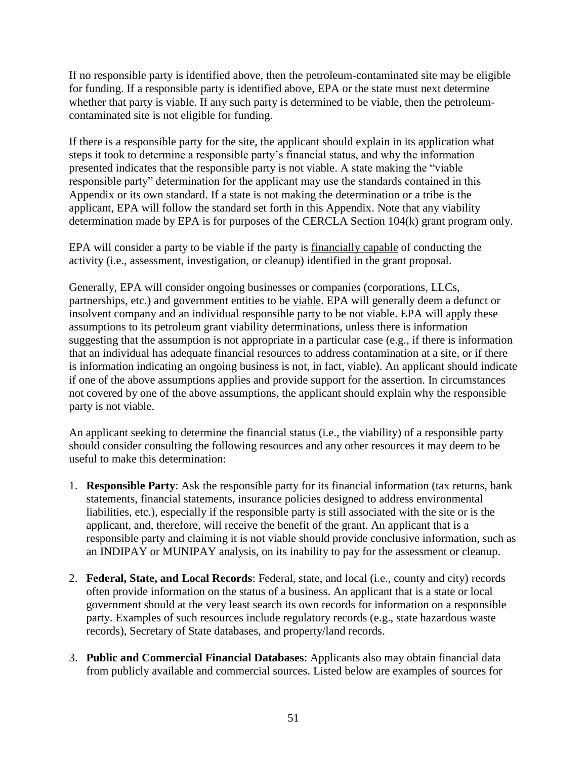If no responsible party is identified above, then the petroleum-contaminated site may be eligible for funding. If a responsible party is identified above, EPA or the state must next determine whether that party is viable. If any such party is determined to be viable, then the petroleumcontaminated site is not eligible for funding.

If there is a responsible party for the site, the applicant should explain in its application what steps it took to determine a responsible party's financial status, and why the information presented indicates that the responsible party is not viable. A state making the "viable responsible party" determination for the applicant may use the standards contained in this Appendix or its own standard. If a state is not making the determination or a tribe is the applicant, EPA will follow the standard set forth in this Appendix. Note that any viability determination made by EPA is for purposes of the CERCLA Section 104(k) grant program only.

EPA will consider a party to be viable if the party is financially capable of conducting the activity (i.e., assessment, investigation, or cleanup) identified in the grant proposal.

Generally, EPA will consider ongoing businesses or companies (corporations, LLCs, partnerships, etc.) and government entities to be viable. EPA will generally deem a defunct or insolvent company and an individual responsible party to be not viable. EPA will apply these assumptions to its petroleum grant viability determinations, unless there is information suggesting that the assumption is not appropriate in a particular case (e.g., if there is information that an individual has adequate financial resources to address contamination at a site, or if there is information indicating an ongoing business is not, in fact, viable). An applicant should indicate if one of the above assumptions applies and provide support for the assertion. In circumstances not covered by one of the above assumptions, the applicant should explain why the responsible party is not viable.

An applicant seeking to determine the financial status (i.e., the viability) of a responsible party should consider consulting the following resources and any other resources it may deem to be useful to make this determination:

- 1. **Responsible Party**: Ask the responsible party for its financial information (tax returns, bank statements, financial statements, insurance policies designed to address environmental liabilities, etc.), especially if the responsible party is still associated with the site or is the applicant, and, therefore, will receive the benefit of the grant. An applicant that is a responsible party and claiming it is not viable should provide conclusive information, such as an INDIPAY or MUNIPAY analysis, on its inability to pay for the assessment or cleanup.
- 2. **Federal, State, and Local Records**: Federal, state, and local (i.e., county and city) records often provide information on the status of a business. An applicant that is a state or local government should at the very least search its own records for information on a responsible party. Examples of such resources include regulatory records (e.g., state hazardous waste records), Secretary of State databases, and property/land records.
- 3. **Public and Commercial Financial Databases**: Applicants also may obtain financial data from publicly available and commercial sources. Listed below are examples of sources for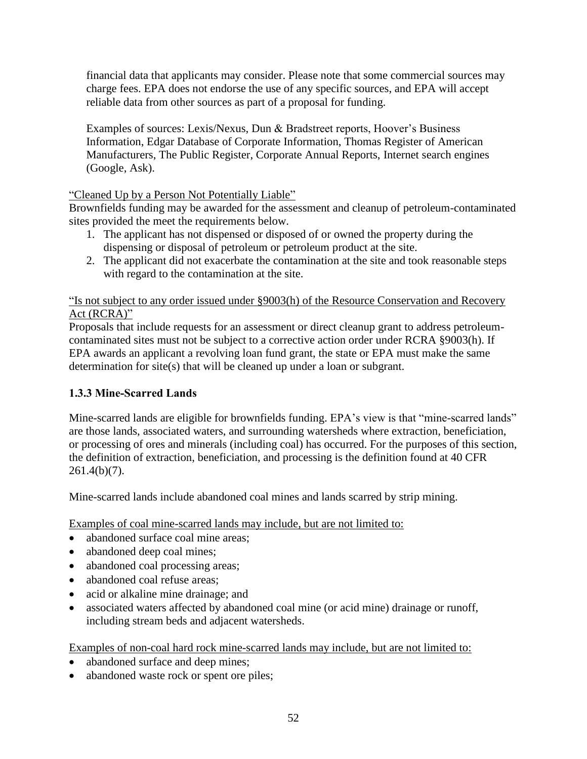financial data that applicants may consider. Please note that some commercial sources may charge fees. EPA does not endorse the use of any specific sources, and EPA will accept reliable data from other sources as part of a proposal for funding.

Examples of sources: Lexis/Nexus, Dun & Bradstreet reports, Hoover's Business Information, Edgar Database of Corporate Information, Thomas Register of American Manufacturers, The Public Register, Corporate Annual Reports, Internet search engines (Google, Ask).

## "Cleaned Up by a Person Not Potentially Liable"

Brownfields funding may be awarded for the assessment and cleanup of petroleum-contaminated sites provided the meet the requirements below.

- 1. The applicant has not dispensed or disposed of or owned the property during the dispensing or disposal of petroleum or petroleum product at the site.
- 2. The applicant did not exacerbate the contamination at the site and took reasonable steps with regard to the contamination at the site.

## "Is not subject to any order issued under §9003(h) of the Resource Conservation and Recovery Act (RCRA)"

Proposals that include requests for an assessment or direct cleanup grant to address petroleumcontaminated sites must not be subject to a corrective action order under RCRA §9003(h). If EPA awards an applicant a revolving loan fund grant, the state or EPA must make the same determination for site(s) that will be cleaned up under a loan or subgrant.

## **1.3.3 Mine-Scarred Lands**

Mine-scarred lands are eligible for brownfields funding. EPA's view is that "mine-scarred lands" are those lands, associated waters, and surrounding watersheds where extraction, beneficiation, or processing of ores and minerals (including coal) has occurred. For the purposes of this section, the definition of extraction, beneficiation, and processing is the definition found at 40 CFR  $261.4(b)(7)$ .

Mine-scarred lands include abandoned coal mines and lands scarred by strip mining.

Examples of coal mine-scarred lands may include, but are not limited to:

- abandoned surface coal mine areas;
- abandoned deep coal mines;
- abandoned coal processing areas;
- abandoned coal refuse areas;
- acid or alkaline mine drainage; and
- associated waters affected by abandoned coal mine (or acid mine) drainage or runoff, including stream beds and adjacent watersheds.

Examples of non-coal hard rock mine-scarred lands may include, but are not limited to:

- abandoned surface and deep mines;
- abandoned waste rock or spent ore piles;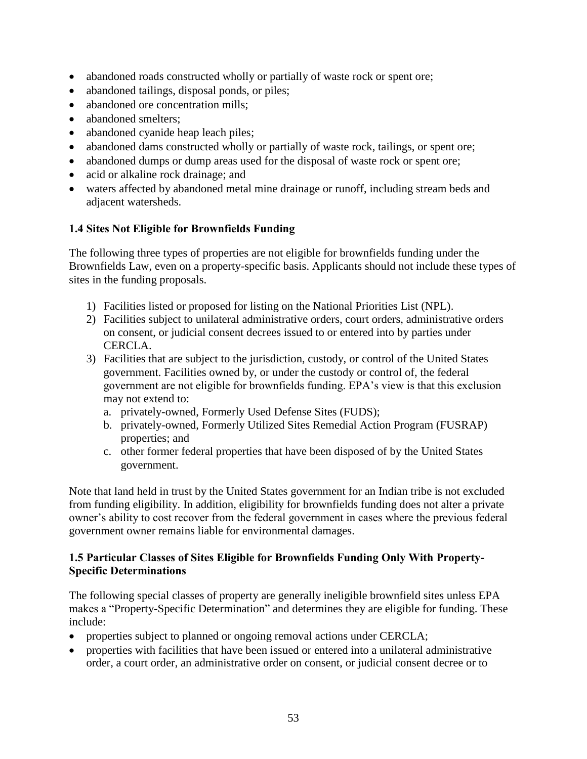- abandoned roads constructed wholly or partially of waste rock or spent ore;
- abandoned tailings, disposal ponds, or piles;
- abandoned ore concentration mills;
- abandoned smelters:
- abandoned cyanide heap leach piles;
- abandoned dams constructed wholly or partially of waste rock, tailings, or spent ore;
- abandoned dumps or dump areas used for the disposal of waste rock or spent ore;
- acid or alkaline rock drainage; and
- waters affected by abandoned metal mine drainage or runoff, including stream beds and adjacent watersheds.

## **1.4 Sites Not Eligible for Brownfields Funding**

The following three types of properties are not eligible for brownfields funding under the Brownfields Law, even on a property-specific basis. Applicants should not include these types of sites in the funding proposals.

- 1) Facilities listed or proposed for listing on the National Priorities List (NPL).
- 2) Facilities subject to unilateral administrative orders, court orders, administrative orders on consent, or judicial consent decrees issued to or entered into by parties under CERCLA.
- 3) Facilities that are subject to the jurisdiction, custody, or control of the United States government. Facilities owned by, or under the custody or control of, the federal government are not eligible for brownfields funding. EPA's view is that this exclusion may not extend to:
	- a. privately-owned, Formerly Used Defense Sites (FUDS);
	- b. privately-owned, Formerly Utilized Sites Remedial Action Program (FUSRAP) properties; and
	- c. other former federal properties that have been disposed of by the United States government.

Note that land held in trust by the United States government for an Indian tribe is not excluded from funding eligibility. In addition, eligibility for brownfields funding does not alter a private owner's ability to cost recover from the federal government in cases where the previous federal government owner remains liable for environmental damages.

#### **1.5 Particular Classes of Sites Eligible for Brownfields Funding Only With Property-Specific Determinations**

The following special classes of property are generally ineligible brownfield sites unless EPA makes a "Property-Specific Determination" and determines they are eligible for funding. These include:

- properties subject to planned or ongoing removal actions under CERCLA;
- properties with facilities that have been issued or entered into a unilateral administrative order, a court order, an administrative order on consent, or judicial consent decree or to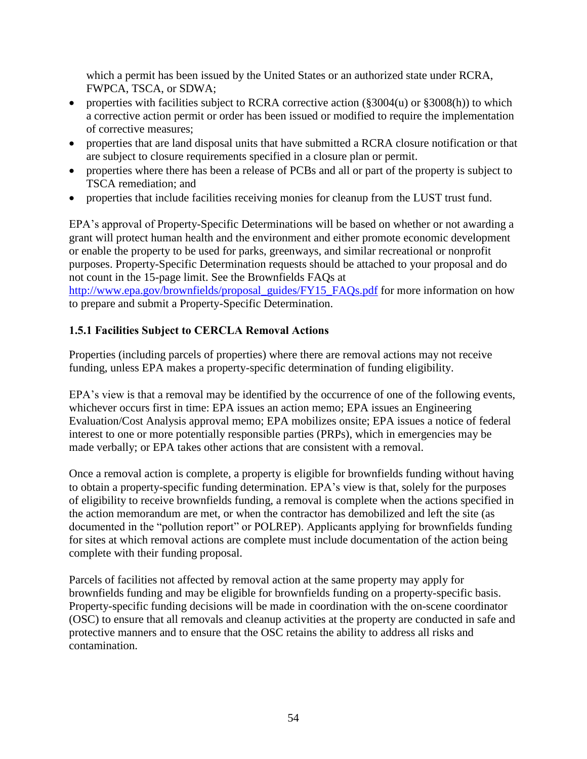which a permit has been issued by the United States or an authorized state under RCRA, FWPCA, TSCA, or SDWA;

- properties with facilities subject to RCRA corrective action (§3004(u) or §3008(h)) to which a corrective action permit or order has been issued or modified to require the implementation of corrective measures;
- properties that are land disposal units that have submitted a RCRA closure notification or that are subject to closure requirements specified in a closure plan or permit.
- properties where there has been a release of PCBs and all or part of the property is subject to TSCA remediation; and
- properties that include facilities receiving monies for cleanup from the LUST trust fund.

EPA's approval of Property-Specific Determinations will be based on whether or not awarding a grant will protect human health and the environment and either promote economic development or enable the property to be used for parks, greenways, and similar recreational or nonprofit purposes. Property-Specific Determination requests should be attached to your proposal and do not count in the 15-page limit. See the Brownfields FAQs at

[http://www.epa.gov/brownfields/proposal\\_guides/FY15\\_FAQs.pdf](http://www.epa.gov/brownfields/proposal_guides/FY15_FAQs.pdf) for more information on how to prepare and submit a Property-Specific Determination.

## **1.5.1 Facilities Subject to CERCLA Removal Actions**

Properties (including parcels of properties) where there are removal actions may not receive funding, unless EPA makes a property-specific determination of funding eligibility.

EPA's view is that a removal may be identified by the occurrence of one of the following events, whichever occurs first in time: EPA issues an action memo; EPA issues an Engineering Evaluation/Cost Analysis approval memo; EPA mobilizes onsite; EPA issues a notice of federal interest to one or more potentially responsible parties (PRPs), which in emergencies may be made verbally; or EPA takes other actions that are consistent with a removal.

Once a removal action is complete, a property is eligible for brownfields funding without having to obtain a property-specific funding determination. EPA's view is that, solely for the purposes of eligibility to receive brownfields funding, a removal is complete when the actions specified in the action memorandum are met, or when the contractor has demobilized and left the site (as documented in the "pollution report" or POLREP). Applicants applying for brownfields funding for sites at which removal actions are complete must include documentation of the action being complete with their funding proposal.

Parcels of facilities not affected by removal action at the same property may apply for brownfields funding and may be eligible for brownfields funding on a property-specific basis. Property-specific funding decisions will be made in coordination with the on-scene coordinator (OSC) to ensure that all removals and cleanup activities at the property are conducted in safe and protective manners and to ensure that the OSC retains the ability to address all risks and contamination.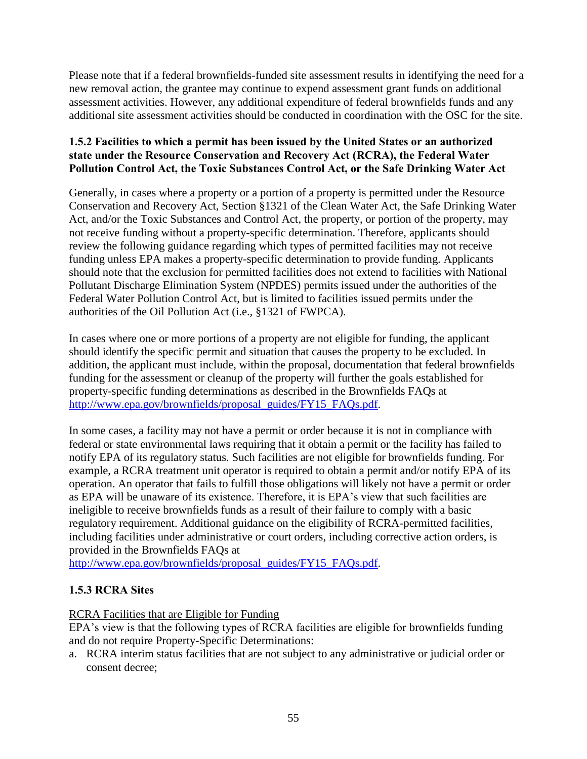Please note that if a federal brownfields-funded site assessment results in identifying the need for a new removal action, the grantee may continue to expend assessment grant funds on additional assessment activities. However, any additional expenditure of federal brownfields funds and any additional site assessment activities should be conducted in coordination with the OSC for the site.

## **1.5.2 Facilities to which a permit has been issued by the United States or an authorized state under the Resource Conservation and Recovery Act (RCRA), the Federal Water Pollution Control Act, the Toxic Substances Control Act, or the Safe Drinking Water Act**

Generally, in cases where a property or a portion of a property is permitted under the Resource Conservation and Recovery Act, Section §1321 of the Clean Water Act, the Safe Drinking Water Act, and/or the Toxic Substances and Control Act, the property, or portion of the property, may not receive funding without a property-specific determination. Therefore, applicants should review the following guidance regarding which types of permitted facilities may not receive funding unless EPA makes a property-specific determination to provide funding. Applicants should note that the exclusion for permitted facilities does not extend to facilities with National Pollutant Discharge Elimination System (NPDES) permits issued under the authorities of the Federal Water Pollution Control Act, but is limited to facilities issued permits under the authorities of the Oil Pollution Act (i.e.*,* §1321 of FWPCA).

In cases where one or more portions of a property are not eligible for funding, the applicant should identify the specific permit and situation that causes the property to be excluded. In addition, the applicant must include, within the proposal, documentation that federal brownfields funding for the assessment or cleanup of the property will further the goals established for property-specific funding determinations as described in the Brownfields FAQs at [http://www.epa.gov/brownfields/proposal\\_guides/FY15\\_FAQs.pdf.](http://www.epa.gov/brownfields/proposal_guides/FY15_FAQs.pdf)

In some cases, a facility may not have a permit or order because it is not in compliance with federal or state environmental laws requiring that it obtain a permit or the facility has failed to notify EPA of its regulatory status. Such facilities are not eligible for brownfields funding. For example, a RCRA treatment unit operator is required to obtain a permit and/or notify EPA of its operation. An operator that fails to fulfill those obligations will likely not have a permit or order as EPA will be unaware of its existence. Therefore, it is EPA's view that such facilities are ineligible to receive brownfields funds as a result of their failure to comply with a basic regulatory requirement. Additional guidance on the eligibility of RCRA-permitted facilities, including facilities under administrative or court orders, including corrective action orders, is provided in the Brownfields FAQs at

[http://www.epa.gov/brownfields/proposal\\_guides/FY15\\_FAQs.pdf.](http://www.epa.gov/brownfields/proposal_guides/FY15_FAQs.pdf)

## **1.5.3 RCRA Sites**

RCRA Facilities that are Eligible for Funding

EPA's view is that the following types of RCRA facilities are eligible for brownfields funding and do not require Property-Specific Determinations:

a. RCRA interim status facilities that are not subject to any administrative or judicial order or consent decree;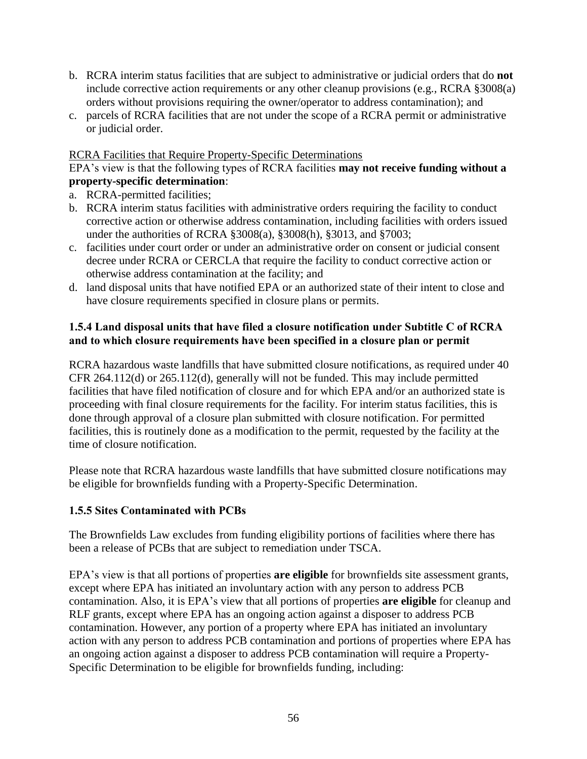- b. RCRA interim status facilities that are subject to administrative or judicial orders that do **not**  include corrective action requirements or any other cleanup provisions (e.g.*,* RCRA §3008(a) orders without provisions requiring the owner/operator to address contamination); and
- c. parcels of RCRA facilities that are not under the scope of a RCRA permit or administrative or judicial order.

#### RCRA Facilities that Require Property-Specific Determinations

#### EPA's view is that the following types of RCRA facilities **may not receive funding without a property-specific determination**:

- a. RCRA-permitted facilities;
- b. RCRA interim status facilities with administrative orders requiring the facility to conduct corrective action or otherwise address contamination, including facilities with orders issued under the authorities of RCRA §3008(a), §3008(h), §3013, and §7003;
- c. facilities under court order or under an administrative order on consent or judicial consent decree under RCRA or CERCLA that require the facility to conduct corrective action or otherwise address contamination at the facility; and
- d. land disposal units that have notified EPA or an authorized state of their intent to close and have closure requirements specified in closure plans or permits.

#### **1.5.4 Land disposal units that have filed a closure notification under Subtitle C of RCRA and to which closure requirements have been specified in a closure plan or permit**

RCRA hazardous waste landfills that have submitted closure notifications, as required under 40 CFR 264.112(d) or 265.112(d), generally will not be funded. This may include permitted facilities that have filed notification of closure and for which EPA and/or an authorized state is proceeding with final closure requirements for the facility. For interim status facilities, this is done through approval of a closure plan submitted with closure notification. For permitted facilities, this is routinely done as a modification to the permit, requested by the facility at the time of closure notification.

Please note that RCRA hazardous waste landfills that have submitted closure notifications may be eligible for brownfields funding with a Property-Specific Determination.

#### **1.5.5 Sites Contaminated with PCBs**

The Brownfields Law excludes from funding eligibility portions of facilities where there has been a release of PCBs that are subject to remediation under TSCA.

EPA's view is that all portions of properties **are eligible** for brownfields site assessment grants, except where EPA has initiated an involuntary action with any person to address PCB contamination. Also, it is EPA's view that all portions of properties **are eligible** for cleanup and RLF grants, except where EPA has an ongoing action against a disposer to address PCB contamination. However, any portion of a property where EPA has initiated an involuntary action with any person to address PCB contamination and portions of properties where EPA has an ongoing action against a disposer to address PCB contamination will require a Property-Specific Determination to be eligible for brownfields funding, including: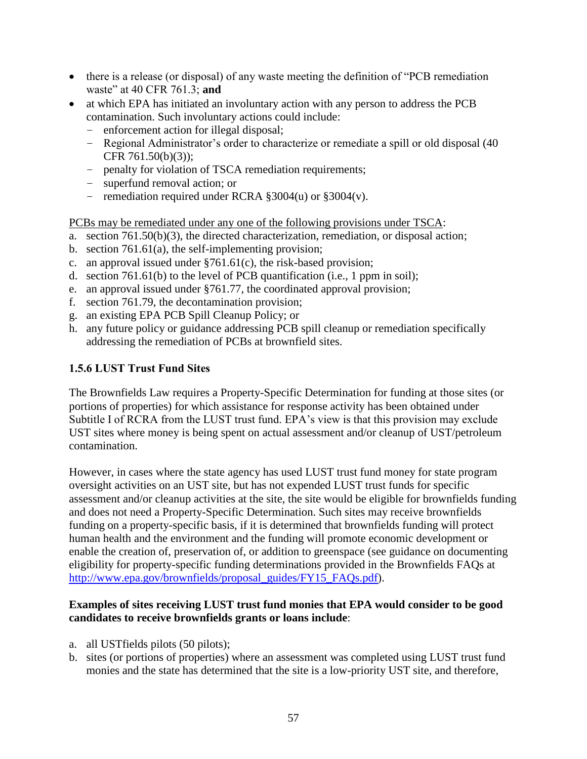- there is a release (or disposal) of any waste meeting the definition of "PCB remediation waste" at 40 CFR 761.3; **and**
- at which EPA has initiated an involuntary action with any person to address the PCB contamination. Such involuntary actions could include:
	- enforcement action for illegal disposal;
	- Regional Administrator's order to characterize or remediate a spill or old disposal (40 CFR 761.50(b)(3));
	- penalty for violation of TSCA remediation requirements;
	- superfund removal action; or
	- remediation required under RCRA §3004(u) or §3004(v).

#### PCBs may be remediated under any one of the following provisions under TSCA:

- a. section 761.50(b)(3), the directed characterization, remediation, or disposal action;
- b. section 761.61(a), the self-implementing provision;
- c. an approval issued under §761.61(c), the risk-based provision;
- d. section 761.61(b) to the level of PCB quantification (i.e., 1 ppm in soil);
- e. an approval issued under §761.77, the coordinated approval provision;
- f. section 761.79, the decontamination provision;
- g. an existing EPA PCB Spill Cleanup Policy; or
- h. any future policy or guidance addressing PCB spill cleanup or remediation specifically addressing the remediation of PCBs at brownfield sites.

## **1.5.6 LUST Trust Fund Sites**

The Brownfields Law requires a Property-Specific Determination for funding at those sites (or portions of properties) for which assistance for response activity has been obtained under Subtitle I of RCRA from the LUST trust fund. EPA's view is that this provision may exclude UST sites where money is being spent on actual assessment and/or cleanup of UST/petroleum contamination.

However, in cases where the state agency has used LUST trust fund money for state program oversight activities on an UST site, but has not expended LUST trust funds for specific assessment and/or cleanup activities at the site, the site would be eligible for brownfields funding and does not need a Property-Specific Determination. Such sites may receive brownfields funding on a property-specific basis, if it is determined that brownfields funding will protect human health and the environment and the funding will promote economic development or enable the creation of, preservation of, or addition to greenspace (see guidance on documenting eligibility for property-specific funding determinations provided in the Brownfields FAQs at [http://www.epa.gov/brownfields/proposal\\_guides/FY15\\_FAQs.pdf\)](http://www.epa.gov/brownfields/proposal_guides/FY15_FAQs.pdf).

#### **Examples of sites receiving LUST trust fund monies that EPA would consider to be good candidates to receive brownfields grants or loans include**:

- a. all USTfields pilots (50 pilots);
- b. sites (or portions of properties) where an assessment was completed using LUST trust fund monies and the state has determined that the site is a low-priority UST site, and therefore,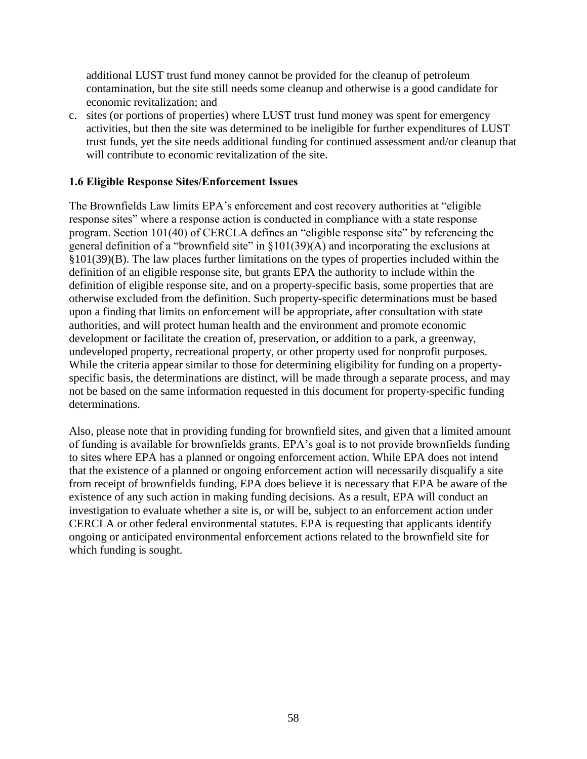additional LUST trust fund money cannot be provided for the cleanup of petroleum contamination, but the site still needs some cleanup and otherwise is a good candidate for economic revitalization; and

c. sites (or portions of properties) where LUST trust fund money was spent for emergency activities, but then the site was determined to be ineligible for further expenditures of LUST trust funds, yet the site needs additional funding for continued assessment and/or cleanup that will contribute to economic revitalization of the site.

#### **1.6 Eligible Response Sites/Enforcement Issues**

The Brownfields Law limits EPA's enforcement and cost recovery authorities at "eligible response sites" where a response action is conducted in compliance with a state response program. Section 101(40) of CERCLA defines an "eligible response site" by referencing the general definition of a "brownfield site" in §101(39)(A) and incorporating the exclusions at §101(39)(B). The law places further limitations on the types of properties included within the definition of an eligible response site, but grants EPA the authority to include within the definition of eligible response site, and on a property-specific basis, some properties that are otherwise excluded from the definition. Such property-specific determinations must be based upon a finding that limits on enforcement will be appropriate, after consultation with state authorities, and will protect human health and the environment and promote economic development or facilitate the creation of, preservation, or addition to a park, a greenway, undeveloped property, recreational property, or other property used for nonprofit purposes. While the criteria appear similar to those for determining eligibility for funding on a propertyspecific basis, the determinations are distinct, will be made through a separate process, and may not be based on the same information requested in this document for property-specific funding determinations.

Also, please note that in providing funding for brownfield sites, and given that a limited amount of funding is available for brownfields grants, EPA's goal is to not provide brownfields funding to sites where EPA has a planned or ongoing enforcement action. While EPA does not intend that the existence of a planned or ongoing enforcement action will necessarily disqualify a site from receipt of brownfields funding, EPA does believe it is necessary that EPA be aware of the existence of any such action in making funding decisions. As a result, EPA will conduct an investigation to evaluate whether a site is, or will be, subject to an enforcement action under CERCLA or other federal environmental statutes. EPA is requesting that applicants identify ongoing or anticipated environmental enforcement actions related to the brownfield site for which funding is sought.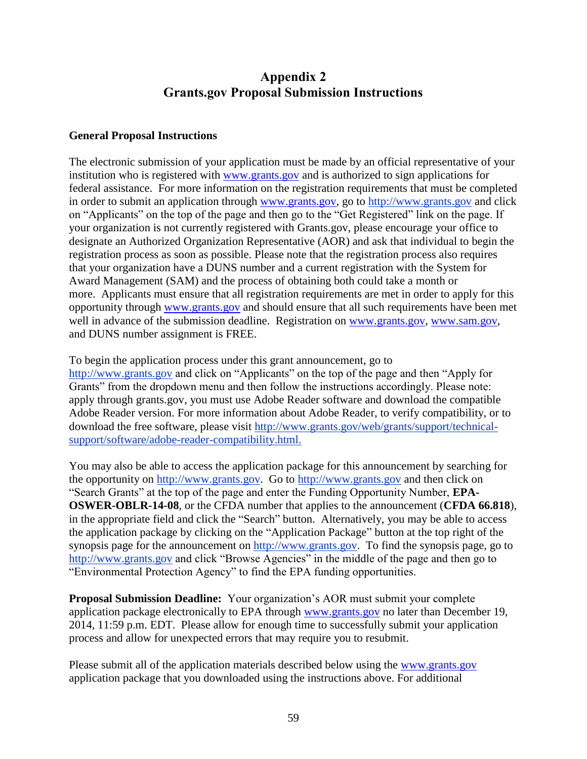# **Appendix 2 Grants.gov Proposal Submission Instructions**

#### <span id="page-58-0"></span>**General Proposal Instructions**

The electronic submission of your application must be made by an official representative of your institution who is registered with [www.grants.gov](http://www.grants.gov/) and is authorized to sign applications for federal assistance. For more information on the registration requirements that must be completed in order to submit an application through [www.grants.gov,](http://www.grants.gov/) go to [http://www.grants.gov](http://www.grants.gov/) and click on "Applicants" on the top of the page and then go to the "Get Registered" link on the page. If your organization is not currently registered with Grants.gov, please encourage your office to designate an Authorized Organization Representative (AOR) and ask that individual to begin the registration process as soon as possible. Please note that the registration process also requires that your organization have a DUNS number and a current registration with the System for Award Management (SAM) and the process of obtaining both could take a month or more. Applicants must ensure that all registration requirements are met in order to apply for this opportunity through [www.grants.gov](file:///C:/Users/mminorgo/Desktop/Temp%20DeskTopDocs/www.grants.gov) and should ensure that all such requirements have been met well in advance of the submission deadline. Registration on [www.grants.gov,](file:///C:/Users/mminorgo/Desktop/Temp%20DeskTopDocs/www.grants.gov) [www.sam.gov,](file:///C:/Users/mminorgo/Desktop/Temp%20DeskTopDocs/www.sam.gov) and DUNS number assignment is FREE.

To begin the application process under this grant announcement, go to [http://www.grants.gov](http://www.grants.gov/) and click on "Applicants" on the top of the page and then "Apply for Grants" from the dropdown menu and then follow the instructions accordingly. Please note: apply through grants.gov, you must use Adobe Reader software and download the compatible Adobe Reader version. For more information about Adobe Reader, to verify compatibility, or to download the free software, please visit [http://www.grants.gov/web/grants/support/technical](http://www.grants.gov/web/grants/support/technical-support/software/adobe-reader-compatibility.html)[support/software/adobe-reader-compatibility.html.](http://www.grants.gov/web/grants/support/technical-support/software/adobe-reader-compatibility.html)

You may also be able to access the application package for this announcement by searching for the opportunity on [http://www.grants.gov.](http://www.grants.gov/) Go to [http://www.grants.gov](http://www.grants.gov/) and then click on "Search Grants" at the top of the page and enter the Funding Opportunity Number, **EPA-OSWER-OBLR-14-08**, or the CFDA number that applies to the announcement (**CFDA 66.818**), in the appropriate field and click the "Search" button. Alternatively, you may be able to access the application package by clicking on the "Application Package" button at the top right of the synopsis page for the announcement on [http://www.grants.gov.](http://www.epa.gov/brownfields/aai/index.htm) To find the synopsis page, go to [http://www.grants.gov](http://www.grants.gov/) and click "Browse Agencies" in the middle of the page and then go to "Environmental Protection Agency" to find the EPA funding opportunities.

**Proposal Submission Deadline:** Your organization's AOR must submit your complete application package electronically to EPA through [www.grants.gov](http://www.grants.gov/) no later than December 19, 2014, 11:59 p.m. EDT. Please allow for enough time to successfully submit your application process and allow for unexpected errors that may require you to resubmit.

Please submit all of the application materials described below using the [www.grants.gov](http://www.grants.gov/) application package that you downloaded using the instructions above. For additional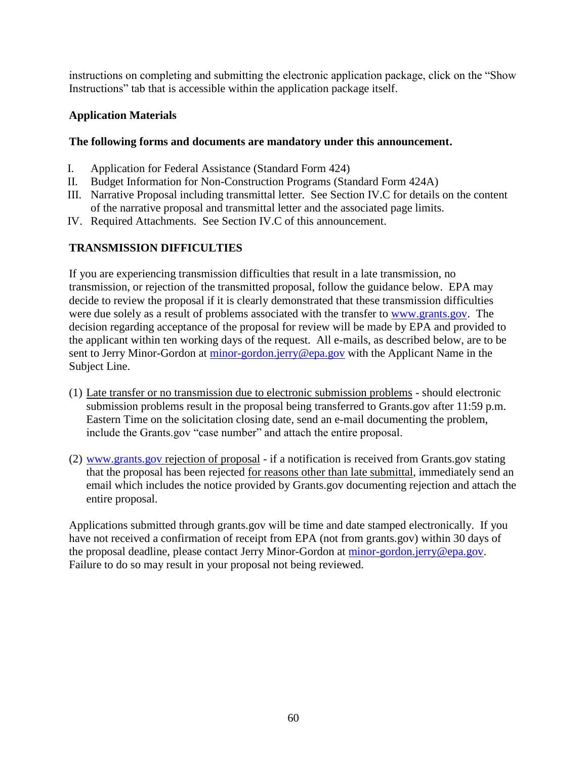instructions on completing and submitting the electronic application package, click on the "Show Instructions" tab that is accessible within the application package itself.

## **Application Materials**

## **The following forms and documents are mandatory under this announcement.**

- I. Application for Federal Assistance (Standard Form 424)
- II. Budget Information for Non-Construction Programs (Standard Form 424A)
- III. Narrative Proposal including transmittal letter. See Section IV.C for details on the content of the narrative proposal and transmittal letter and the associated page limits.
- IV. Required Attachments. See Section IV.C of this announcement.

## **TRANSMISSION DIFFICULTIES**

If you are experiencing transmission difficulties that result in a late transmission, no transmission, or rejection of the transmitted proposal, follow the guidance below. EPA may decide to review the proposal if it is clearly demonstrated that these transmission difficulties were due solely as a result of problems associated with the transfer to [www.grants.gov.](http://www.grants.gov/) The decision regarding acceptance of the proposal for review will be made by EPA and provided to the applicant within ten working days of the request. All e-mails, as described below, are to be sent to Jerry Minor-Gordon at [minor-gordon.jerry@epa.gov](mailto:minor-gordon.jerry@epa.gov) with the Applicant Name in the Subject Line.

- (1) Late transfer or no transmission due to electronic submission problems should electronic submission problems result in the proposal being transferred to Grants.gov after 11:59 p.m. Eastern Time on the solicitation closing date, send an e-mail documenting the problem, include the Grants.gov "case number" and attach the entire proposal.
- (2) [www.grants.gov](file://Dccx050-oswer01/OSWER-OAA-DEX/OBLR/BFIELDS/BF%20Grants%20New%20Law/FY15%20BF%20Grants/Guidelines,%20Checklist,%20Summary%20Changes,%20FAQs,%20Getting%20Started%20Early/www.grants.gov) rejection of proposal if a notification is received from Grants.gov stating that the proposal has been rejected for reasons other than late submittal, immediately send an email which includes the notice provided by Grants.gov documenting rejection and attach the entire proposal.

Applications submitted through grants.gov will be time and date stamped electronically. If you have not received a confirmation of receipt from EPA (not from grants.gov) within 30 days of the proposal deadline, please contact Jerry Minor-Gordon at [minor-gordon.jerry@epa.gov.](mailto:Theodoratos.Lya@epa.gov) Failure to do so may result in your proposal not being reviewed.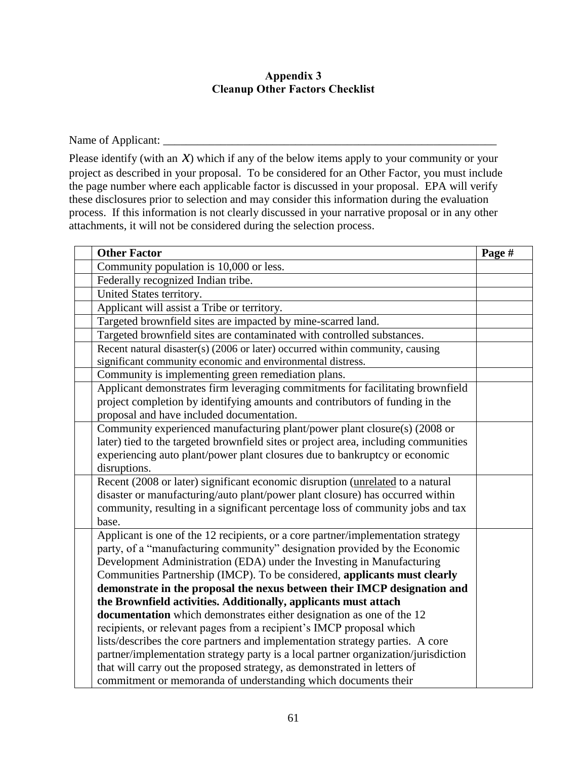#### **Appendix 3 Cleanup Other Factors Checklist**

<span id="page-60-0"></span>Name of Applicant: \_\_\_\_\_\_\_\_\_\_\_\_\_\_\_\_\_\_\_\_\_\_\_\_\_\_\_\_\_\_\_\_\_\_\_\_\_\_\_\_\_\_\_\_\_\_\_\_\_\_\_\_\_\_\_\_\_\_

Please identify (with an  $X$ ) which if any of the below items apply to your community or your project as described in your proposal. To be considered for an Other Factor, you must include the page number where each applicable factor is discussed in your proposal. EPA will verify these disclosures prior to selection and may consider this information during the evaluation process. If this information is not clearly discussed in your narrative proposal or in any other attachments, it will not be considered during the selection process.

| <b>Other Factor</b>                                                                     | Page # |
|-----------------------------------------------------------------------------------------|--------|
| Community population is 10,000 or less.                                                 |        |
| Federally recognized Indian tribe.                                                      |        |
| United States territory.                                                                |        |
| Applicant will assist a Tribe or territory.                                             |        |
| Targeted brownfield sites are impacted by mine-scarred land.                            |        |
| Targeted brownfield sites are contaminated with controlled substances.                  |        |
| Recent natural disaster(s) $(2006 \text{ or later})$ occurred within community, causing |        |
| significant community economic and environmental distress.                              |        |
| Community is implementing green remediation plans.                                      |        |
| Applicant demonstrates firm leveraging commitments for facilitating brownfield          |        |
| project completion by identifying amounts and contributors of funding in the            |        |
| proposal and have included documentation.                                               |        |
| Community experienced manufacturing plant/power plant closure(s) (2008 or               |        |
| later) tied to the targeted brownfield sites or project area, including communities     |        |
| experiencing auto plant/power plant closures due to bankruptcy or economic              |        |
| disruptions.                                                                            |        |
| Recent (2008 or later) significant economic disruption (unrelated to a natural          |        |
| disaster or manufacturing/auto plant/power plant closure) has occurred within           |        |
| community, resulting in a significant percentage loss of community jobs and tax         |        |
| base.                                                                                   |        |
| Applicant is one of the 12 recipients, or a core partner/implementation strategy        |        |
| party, of a "manufacturing community" designation provided by the Economic              |        |
| Development Administration (EDA) under the Investing in Manufacturing                   |        |
| Communities Partnership (IMCP). To be considered, applicants must clearly               |        |
| demonstrate in the proposal the nexus between their IMCP designation and                |        |
| the Brownfield activities. Additionally, applicants must attach                         |        |
| <b>documentation</b> which demonstrates either designation as one of the 12             |        |
| recipients, or relevant pages from a recipient's IMCP proposal which                    |        |
| lists/describes the core partners and implementation strategy parties. A core           |        |
| partner/implementation strategy party is a local partner organization/jurisdiction      |        |
| that will carry out the proposed strategy, as demonstrated in letters of                |        |
| commitment or memoranda of understanding which documents their                          |        |